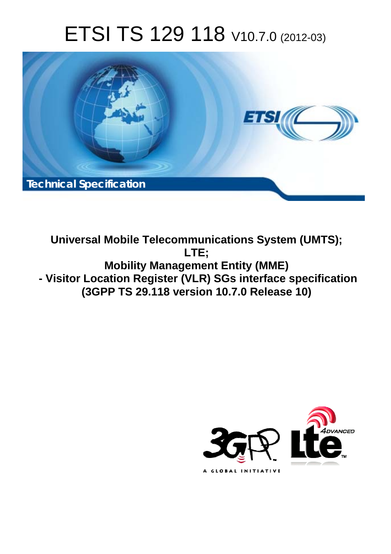# ETSI TS 129 118 V10.7.0 (2012-03)



**Universal Mobile Telecommunications System (UMTS); LTE; Mobility Management Entity (MME) - Visitor Location Register (VLR) SGs interface specification (3GPP TS 29.118 version 10.7.0 Release 10)** 

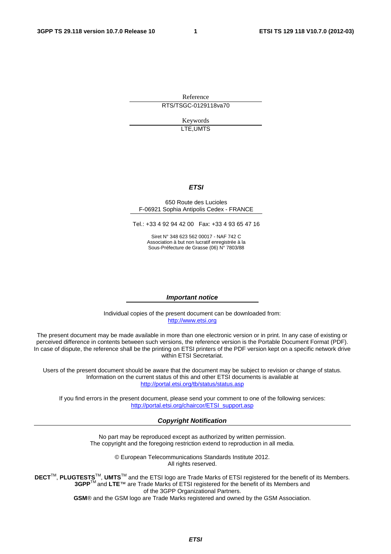Reference RTS/TSGC-0129118va70

> Keywords LTE,UMTS

#### *ETSI*

#### 650 Route des Lucioles F-06921 Sophia Antipolis Cedex - FRANCE

Tel.: +33 4 92 94 42 00 Fax: +33 4 93 65 47 16

Siret N° 348 623 562 00017 - NAF 742 C Association à but non lucratif enregistrée à la Sous-Préfecture de Grasse (06) N° 7803/88

#### *Important notice*

Individual copies of the present document can be downloaded from: [http://www.etsi.org](http://www.etsi.org/)

The present document may be made available in more than one electronic version or in print. In any case of existing or perceived difference in contents between such versions, the reference version is the Portable Document Format (PDF). In case of dispute, the reference shall be the printing on ETSI printers of the PDF version kept on a specific network drive within ETSI Secretariat.

Users of the present document should be aware that the document may be subject to revision or change of status. Information on the current status of this and other ETSI documents is available at <http://portal.etsi.org/tb/status/status.asp>

If you find errors in the present document, please send your comment to one of the following services: [http://portal.etsi.org/chaircor/ETSI\\_support.asp](http://portal.etsi.org/chaircor/ETSI_support.asp)

#### *Copyright Notification*

No part may be reproduced except as authorized by written permission. The copyright and the foregoing restriction extend to reproduction in all media.

> © European Telecommunications Standards Institute 2012. All rights reserved.

DECT<sup>™</sup>, PLUGTESTS<sup>™</sup>, UMTS<sup>™</sup> and the ETSI logo are Trade Marks of ETSI registered for the benefit of its Members. **3GPP**TM and **LTE**™ are Trade Marks of ETSI registered for the benefit of its Members and of the 3GPP Organizational Partners.

**GSM**® and the GSM logo are Trade Marks registered and owned by the GSM Association.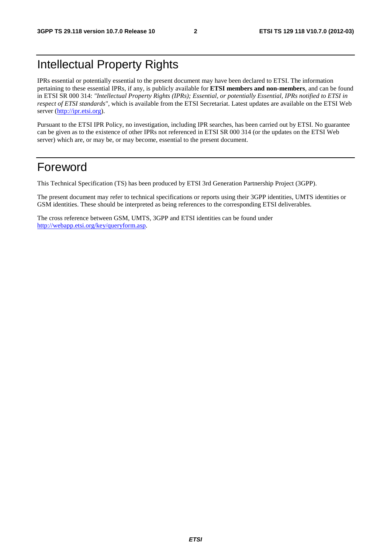## Intellectual Property Rights

IPRs essential or potentially essential to the present document may have been declared to ETSI. The information pertaining to these essential IPRs, if any, is publicly available for **ETSI members and non-members**, and can be found in ETSI SR 000 314: *"Intellectual Property Rights (IPRs); Essential, or potentially Essential, IPRs notified to ETSI in respect of ETSI standards"*, which is available from the ETSI Secretariat. Latest updates are available on the ETSI Web server ([http://ipr.etsi.org\)](http://webapp.etsi.org/IPR/home.asp).

Pursuant to the ETSI IPR Policy, no investigation, including IPR searches, has been carried out by ETSI. No guarantee can be given as to the existence of other IPRs not referenced in ETSI SR 000 314 (or the updates on the ETSI Web server) which are, or may be, or may become, essential to the present document.

## Foreword

This Technical Specification (TS) has been produced by ETSI 3rd Generation Partnership Project (3GPP).

The present document may refer to technical specifications or reports using their 3GPP identities, UMTS identities or GSM identities. These should be interpreted as being references to the corresponding ETSI deliverables.

The cross reference between GSM, UMTS, 3GPP and ETSI identities can be found under [http://webapp.etsi.org/key/queryform.asp.](http://webapp.etsi.org/key/queryform.asp)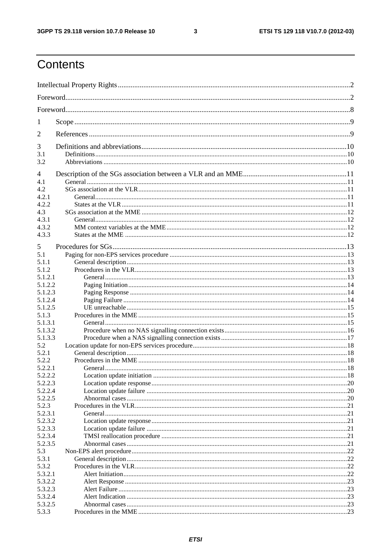$\mathbf{3}$ 

## Contents

| 1          |  |
|------------|--|
| 2          |  |
| 3          |  |
| 3.1<br>3.2 |  |
|            |  |
| 4          |  |
| 4.1        |  |
| 4.2        |  |
| 4.2.1      |  |
| 4.2.2      |  |
| 4.3        |  |
| 4.3.1      |  |
| 4.3.2      |  |
| 4.3.3      |  |
| 5          |  |
| 5.1        |  |
| 5.1.1      |  |
| 5.1.2      |  |
| 5.1.2.1    |  |
| 5.1.2.2    |  |
| 5.1.2.3    |  |
| 5.1.2.4    |  |
| 5.1.2.5    |  |
| 5.1.3      |  |
| 5.1.3.1    |  |
| 5.1.3.2    |  |
| 5.1.3.3    |  |
| 5.2        |  |
| 5.2.1      |  |
| 5.2.2      |  |
| 5.2.2.1    |  |
| 5.2.2.2    |  |
| 5.2.2.3    |  |
| 5.2.2.4    |  |
| 5.2.2.5    |  |
| 5.2.3      |  |
| 5.2.3.1    |  |
| 5.2.3.2    |  |
| 5.2.3.3    |  |
| 5.2.3.4    |  |
| 5.2.3.5    |  |
| 5.3        |  |
| 5.3.1      |  |
| 5.3.2      |  |
| 5.3.2.1    |  |
| 5.3.2.2    |  |
| 5.3.2.3    |  |
| 5.3.2.4    |  |
| 5.3.2.5    |  |
| 5.3.3      |  |
|            |  |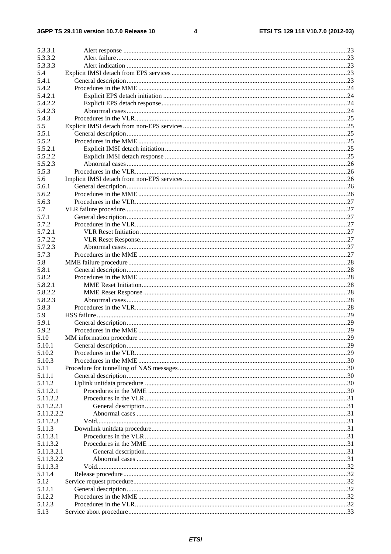#### $\overline{\mathbf{4}}$

| 5.3.3.1    |     |
|------------|-----|
| 5.3.3.2    |     |
| 5.3.3.3    |     |
| 5.4        |     |
| 5.4.1      |     |
| 5.4.2      |     |
| 5.4.2.1    |     |
| 5.4.2.2    |     |
| 5.4.2.3    |     |
|            |     |
| 5.4.3      |     |
| 5.5        |     |
| 5.5.1      |     |
| 5.5.2      |     |
| 5.5.2.1    |     |
| 5.5.2.2    |     |
| 5.5.2.3    |     |
| 5.5.3      |     |
| 5.6        |     |
| 5.6.1      |     |
|            |     |
| 5.6.2      |     |
| 5.6.3      |     |
| 5.7        |     |
| 5.7.1      |     |
| 5.7.2      |     |
| 5.7.2.1    |     |
| 5.7.2.2    |     |
| 5.7.2.3    |     |
| 5.7.3      |     |
| 5.8        |     |
|            |     |
| 5.8.1      |     |
| 5.8.2      |     |
| 5.8.2.1    |     |
| 5.8.2.2    |     |
| 5.8.2.3    |     |
| 5.8.3      |     |
| 5.9        |     |
| 5.9.1      |     |
| 5.9.2      |     |
| 5.10       | .29 |
| 5.10.1     |     |
| 5.10.2     |     |
|            |     |
| 5.10.3     |     |
| 5.11       |     |
| 5.11.1     |     |
| 5.11.2     |     |
| 5.11.2.1   |     |
| 5.11.2.2   |     |
| 5.11.2.2.1 |     |
| 5.11.2.2.2 |     |
| 5.11.2.3   |     |
| 5.11.3     |     |
| 5.11.3.1   |     |
| 5.11.3.2   |     |
|            |     |
| 5.11.3.2.1 |     |
| 5.11.3.2.2 |     |
| 5.11.3.3   |     |
| 5.11.4     |     |
| 5.12       |     |
| 5.12.1     |     |
| 5.12.2     |     |
| 5.12.3     |     |
| 5.13       |     |
|            |     |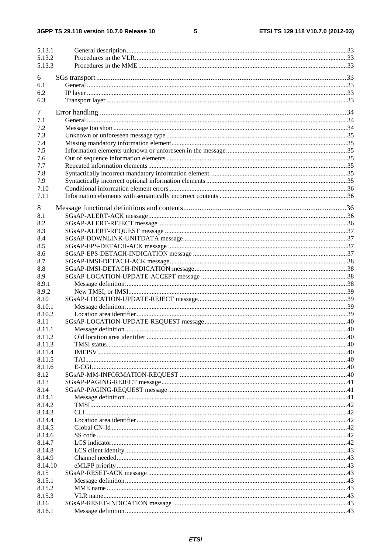#### $5\phantom{a}$

| 5.13.1           |  |
|------------------|--|
| 5.13.2           |  |
| 5.13.3           |  |
|                  |  |
| 6                |  |
| 6.1              |  |
| 6.2              |  |
| 6.3              |  |
| 7                |  |
| 7.1              |  |
| 7.2              |  |
| 7.3              |  |
| 7.4              |  |
| 7.5              |  |
| 7.6              |  |
| 7.7              |  |
| 7.8              |  |
| 7.9              |  |
| 7.10             |  |
| 7.11             |  |
|                  |  |
| 8                |  |
| 8.1              |  |
| 8.2              |  |
| 8.3              |  |
| 8.4              |  |
| 8.5              |  |
| 8.6              |  |
| 8.7              |  |
| 8.8              |  |
| 8.9              |  |
| 8.9.1            |  |
| 8.9.2            |  |
| 8.10             |  |
| 8.10.1           |  |
| 8.10.2           |  |
| 8.11             |  |
| 8.11.1           |  |
| 8.11.2           |  |
| 8.11.3           |  |
| 8.11.4           |  |
| 8.11.5<br>8.11.6 |  |
| 8.12             |  |
| 8.13             |  |
| 8.14             |  |
| 8.14.1           |  |
| 8.14.2           |  |
| 8.14.3           |  |
| 8.14.4           |  |
| 8.14.5           |  |
| 8.14.6           |  |
| 8.14.7           |  |
| 8.14.8           |  |
| 8.14.9           |  |
| 8.14.10          |  |
| 8.15             |  |
| 8.15.1           |  |
| 8.15.2           |  |
| 8.15.3           |  |
| 8.16             |  |
| 8.16.1           |  |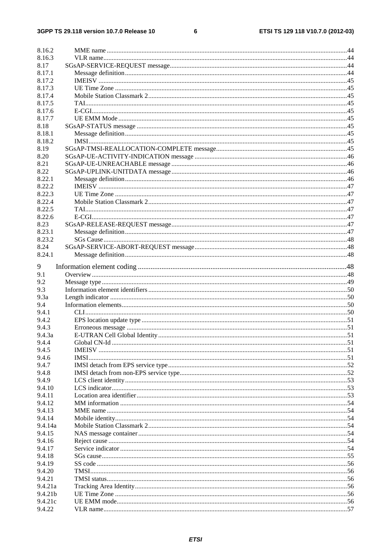#### $\bf 6$

| 8.16.2            |  |
|-------------------|--|
|                   |  |
| 8.16.3            |  |
| 8.17              |  |
| 8.17.1            |  |
| 8.17.2            |  |
| 8.17.3            |  |
| 8.17.4            |  |
| 8.17.5            |  |
| 8.17.6            |  |
| 8.17.7            |  |
| 8.18              |  |
| 8.18.1            |  |
| 8.18.2            |  |
| 8.19              |  |
| 8.20              |  |
| 8.21              |  |
| 8.22              |  |
| 8.22.1            |  |
| 8.22.2            |  |
| 8.22.3            |  |
| 8.22.4            |  |
| 8.22.5            |  |
| 8.22.6            |  |
| 8.23              |  |
|                   |  |
| 8.23.1            |  |
| 8.23.2            |  |
| 8.24              |  |
| 8.24.1            |  |
| 9                 |  |
| 9.1               |  |
| 9.2               |  |
| 9.3               |  |
| 9.3a              |  |
|                   |  |
|                   |  |
| 9.4               |  |
| 9.4.1             |  |
| 9.4.2             |  |
| 9.4.3             |  |
| 9.4.3a            |  |
| 9.4.4             |  |
| 9.4.5             |  |
| 9.4.6             |  |
| 9.4.7             |  |
| 9.4.8             |  |
| 9.4.9             |  |
| 9.4.10            |  |
| 9.4.11            |  |
| 9.4.12            |  |
| 9.4.13            |  |
| 9.4.14            |  |
| 9.4.14a           |  |
| 9.4.15            |  |
| 9.4.16            |  |
| 9.4.17            |  |
| 9.4.18            |  |
| 9.4.19            |  |
| 9.4.20            |  |
| 9.4.21            |  |
| 9.4.21a           |  |
| 9.4.21b           |  |
| 9.4.21c<br>9.4.22 |  |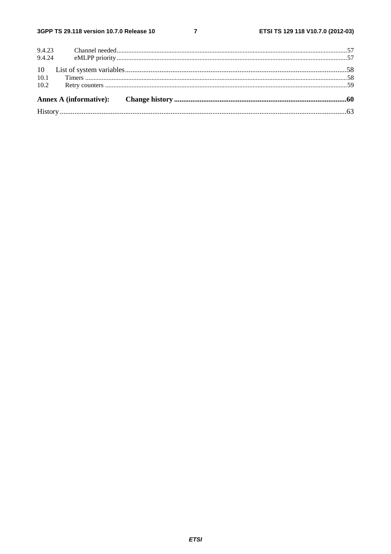$\overline{7}$ 

| 10.2 |  |  |
|------|--|--|
|      |  |  |
|      |  |  |
|      |  |  |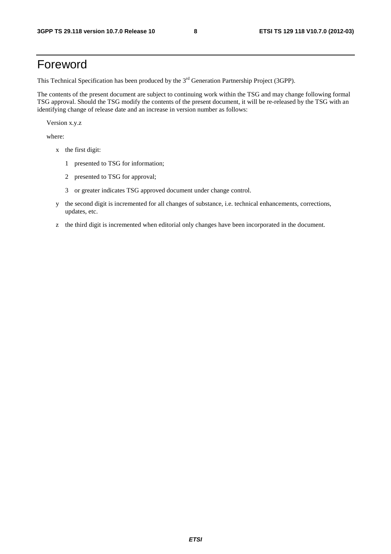## Foreword

This Technical Specification has been produced by the 3<sup>rd</sup> Generation Partnership Project (3GPP).

The contents of the present document are subject to continuing work within the TSG and may change following formal TSG approval. Should the TSG modify the contents of the present document, it will be re-released by the TSG with an identifying change of release date and an increase in version number as follows:

Version x.y.z

where:

- x the first digit:
	- 1 presented to TSG for information;
	- 2 presented to TSG for approval;
	- 3 or greater indicates TSG approved document under change control.
- y the second digit is incremented for all changes of substance, i.e. technical enhancements, corrections, updates, etc.
- z the third digit is incremented when editorial only changes have been incorporated in the document.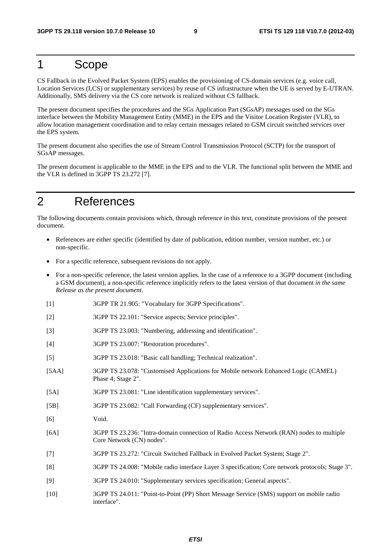## 1 Scope

CS Fallback in the Evolved Packet System (EPS) enables the provisioning of CS-domain services (e.g. voice call, Location Services (LCS) or supplementary services) by reuse of CS infrastructure when the UE is served by E-UTRAN. Additionally, SMS delivery via the CS core network is realized without CS fallback.

The present document specifies the procedures and the SGs Application Part (SGsAP) messages used on the SGs interface between the Mobility Management Entity (MME) in the EPS and the Visitor Location Register (VLR), to allow location management coordination and to relay certain messages related to GSM circuit switched services over the EPS system.

The present document also specifies the use of Stream Control Transmission Protocol (SCTP) for the transport of SGsAP messages.

The present document is applicable to the MME in the EPS and to the VLR. The functional split between the MME and the VLR is defined in 3GPP TS 23.272 [7].

## 2 References

The following documents contain provisions which, through reference in this text, constitute provisions of the present document.

- References are either specific (identified by date of publication, edition number, version number, etc.) or non-specific.
- For a specific reference, subsequent revisions do not apply.
- For a non-specific reference, the latest version applies. In the case of a reference to a 3GPP document (including a GSM document), a non-specific reference implicitly refers to the latest version of that document *in the same Release as the present document*.
- [1] 3GPP TR 21.905: "Vocabulary for 3GPP Specifications".
- [2] 3GPP TS 22.101: "Service aspects; Service principles".
- [3] 3GPP TS 23.003: "Numbering, addressing and identification".
- [4] 3GPP TS 23.007: "Restoration procedures".
- [5] 3GPP TS 23.018: "Basic call handling; Technical realization".
- [5AA] 3GPP TS 23.078: "Customised Applications for Mobile network Enhanced Logic (CAMEL) Phase 4; Stage 2".
- [5A] 3GPP TS 23.081: "Line identification supplementary services".
- [5B] 3GPP TS 23.082: "Call Forwarding (CF) supplementary services".
- [6] Void.
- [6A] 3GPP TS 23.236: "Intra-domain connection of Radio Access Network (RAN) nodes to multiple Core Network (CN) nodes".
- [7] 3GPP TS 23.272: "Circuit Switched Fallback in Evolved Packet System; Stage 2".
- [8] 3GPP TS 24.008: "Mobile radio interface Layer 3 specification; Core network protocols; Stage 3".
- [9] 3GPP TS 24.010: "Supplementary services specification; General aspects".
- [10] 3GPP TS 24.011: "Point-to-Point (PP) Short Message Service (SMS) support on mobile radio interface".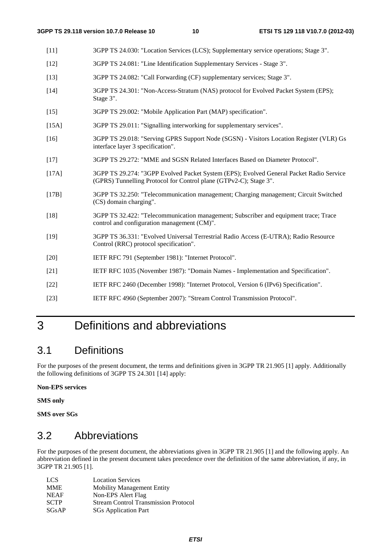- [11] 3GPP TS 24.030: "Location Services (LCS); Supplementary service operations; Stage 3".
- [12] 3GPP TS 24.081: "Line Identification Supplementary Services Stage 3".
- [13] 3GPP TS 24.082: "Call Forwarding (CF) supplementary services; Stage 3".
- [14] 3GPP TS 24.301: "Non-Access-Stratum (NAS) protocol for Evolved Packet System (EPS); Stage 3".
- [15] 3GPP TS 29.002: "Mobile Application Part (MAP) specification".
- [15A] 3GPP TS 29.011: "Signalling interworking for supplementary services".
- [16] 3GPP TS 29.018: "Serving GPRS Support Node (SGSN) Visitors Location Register (VLR) Gs interface layer 3 specification".
- [17] 3GPP TS 29.272: "MME and SGSN Related Interfaces Based on Diameter Protocol".
- [17A] 3GPP TS 29.274: "3GPP Evolved Packet System (EPS); Evolved General Packet Radio Service (GPRS) Tunnelling Protocol for Control plane (GTPv2-C); Stage 3".
- [17B] 3GPP TS 32.250: "Telecommunication management; Charging management; Circuit Switched (CS) domain charging".
- [18] 3GPP TS 32.422: "Telecommunication management; Subscriber and equipment trace; Trace control and configuration management (CM)".
- [19] 3GPP TS 36.331: "Evolved Universal Terrestrial Radio Access (E-UTRA); Radio Resource Control (RRC) protocol specification".
- [20] IETF RFC 791 (September 1981): "Internet Protocol".
- [21] IETF RFC 1035 (November 1987): "Domain Names Implementation and Specification".
- [22] IETF RFC 2460 (December 1998): "Internet Protocol, Version 6 (IPv6) Specification".
- [23] IETF RFC 4960 (September 2007): "Stream Control Transmission Protocol".

## 3 Definitions and abbreviations

## 3.1 Definitions

For the purposes of the present document, the terms and definitions given in 3GPP TR 21.905 [1] apply. Additionally the following definitions of 3GPP TS 24.301 [14] apply:

#### **Non-EPS services**

**SMS only** 

**SMS over SGs** 

## 3.2 Abbreviations

For the purposes of the present document, the abbreviations given in 3GPP TR 21.905 [1] and the following apply. An abbreviation defined in the present document takes precedence over the definition of the same abbreviation, if any, in 3GPP TR 21.905 [1].

| LCS.        | <b>Location Services</b>                    |
|-------------|---------------------------------------------|
| <b>MME</b>  | <b>Mobility Management Entity</b>           |
| <b>NEAF</b> | Non-EPS Alert Flag                          |
| <b>SCTP</b> | <b>Stream Control Transmission Protocol</b> |
| SGsAP       | <b>SGs</b> Application Part                 |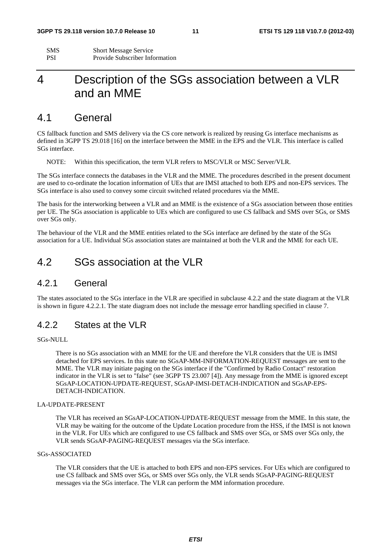| <b>SMS</b> | <b>Short Message Service</b>          |
|------------|---------------------------------------|
| PSI        | <b>Provide Subscriber Information</b> |

## 4 Description of the SGs association between a VLR and an MME

### 4.1 General

CS fallback function and SMS delivery via the CS core network is realized by reusing Gs interface mechanisms as defined in 3GPP TS 29.018 [16] on the interface between the MME in the EPS and the VLR. This interface is called SGs interface.

NOTE: Within this specification, the term VLR refers to MSC/VLR or MSC Server/VLR.

The SGs interface connects the databases in the VLR and the MME. The procedures described in the present document are used to co-ordinate the location information of UEs that are IMSI attached to both EPS and non-EPS services. The SGs interface is also used to convey some circuit switched related procedures via the MME.

The basis for the interworking between a VLR and an MME is the existence of a SGs association between those entities per UE. The SGs association is applicable to UEs which are configured to use CS fallback and SMS over SGs, or SMS over SGs only.

The behaviour of the VLR and the MME entities related to the SGs interface are defined by the state of the SGs association for a UE. Individual SGs association states are maintained at both the VLR and the MME for each UE.

### 4.2 SGs association at the VLR

#### 4.2.1 General

The states associated to the SGs interface in the VLR are specified in subclause 4.2.2 and the state diagram at the VLR is shown in figure 4.2.2.1. The state diagram does not include the message error handling specified in clause 7.

#### 4.2.2 States at the VLR

#### SGs-NULL

There is no SGs association with an MME for the UE and therefore the VLR considers that the UE is IMSI detached for EPS services. In this state no SGsAP-MM-INFORMATION-REQUEST messages are sent to the MME. The VLR may initiate paging on the SGs interface if the "Confirmed by Radio Contact" restoration indicator in the VLR is set to "false" (see 3GPP TS 23.007 [4]). Any message from the MME is ignored except SGsAP-LOCATION-UPDATE-REQUEST, SGsAP-IMSI-DETACH-INDICATION and SGsAP-EPS-DETACH-INDICATION.

#### LA-UPDATE-PRESENT

The VLR has received an SGsAP-LOCATION-UPDATE-REQUEST message from the MME. In this state, the VLR may be waiting for the outcome of the Update Location procedure from the HSS, if the IMSI is not known in the VLR. For UEs which are configured to use CS fallback and SMS over SGs, or SMS over SGs only, the VLR sends SGsAP-PAGING-REQUEST messages via the SGs interface.

#### SGs-ASSOCIATED

The VLR considers that the UE is attached to both EPS and non-EPS services. For UEs which are configured to use CS fallback and SMS over SGs, or SMS over SGs only, the VLR sends SGsAP-PAGING-REQUEST messages via the SGs interface. The VLR can perform the MM information procedure.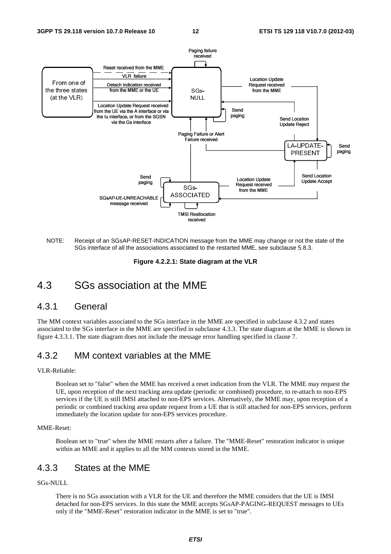

NOTE: Receipt of an SGsAP-RESET-INDICATION message from the MME may change or not the state of the SGs interface of all the associations associated to the restarted MME, see subclause 5.8.3.

**Figure 4.2.2.1: State diagram at the VLR** 

## 4.3 SGs association at the MME

#### 4.3.1 General

The MM context variables associated to the SGs interface in the MME are specified in subclause 4.3.2 and states associated to the SGs interface in the MME are specified in subclause 4.3.3. The state diagram at the MME is shown in figure 4.3.3.1. The state diagram does not include the message error handling specified in clause 7.

### 4.3.2 MM context variables at the MME

#### VLR-Reliable:

TMSI Reallocati<br>
received<br>
ATION messag<br>
associated to the<br>
1: State diag<br>
1: State diag<br>
1: The MME<br>
terface in the N<br>
cified in subclap<br>
the message err<br>
: the MME<br>
eceived a reset<br>
i update (period<br>
on-EPS services proc Boolean set to "false" when the MME has received a reset indication from the VLR. The MME may request the UE, upon reception of the next tracking area update (periodic or combined) procedure, to re-attach to non-EPS services if the UE is still IMSI attached to non-EPS services. Alternatively, the MME may, upon reception of a periodic or combined tracking area update request from a UE that is still attached for non-EPS services, perform immediately the location update for non-EPS services procedure.

#### MME-Reset:

Boolean set to "true" when the MME restarts after a failure. The "MME-Reset" restoration indicator is unique within an MME and it applies to all the MM contexts stored in the MME.

#### 4.3.3 States at the MME

#### SGs-NULL

There is no SGs association with a VLR for the UE and therefore the MME considers that the UE is IMSI detached for non-EPS services. In this state the MME accepts SGsAP-PAGING-REQUEST messages to UEs only if the "MME-Reset" restoration indicator in the MME is set to "true".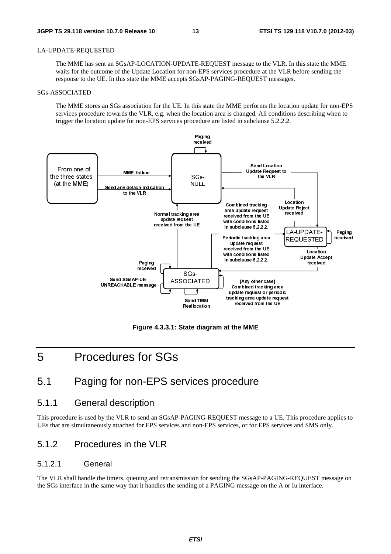#### LA-UPDATE-REQUESTED

The MME has sent an SGsAP-LOCATION-UPDATE-REQUEST message to the VLR. In this state the MME waits for the outcome of the Update Location for non-EPS services procedure at the VLR before sending the response to the UE. In this state the MME accepts SGsAP-PAGING-REQUEST messages.

#### SGs-ASSOCIATED

The MME stores an SGs association for the UE. In this state the MME performs the location update for non-EPS services procedure towards the VLR, e.g. when the location area is changed. All conditions describing when to trigger the location update for non-EPS services procedure are listed in subclause 5.2.2.2.



**Figure 4.3.3.1: State diagram at the MME** 

## 5 Procedures for SGs

### 5.1 Paging for non-EPS services procedure

#### 5.1.1 General description

This procedure is used by the VLR to send an SGsAP-PAGING-REQUEST message to a UE. This procedure applies to UEs that are simultaneously attached for EPS services and non-EPS services, or for EPS services and SMS only.

#### 5.1.2 Procedures in the VLR

#### 5.1.2.1 General

The VLR shall handle the timers, queuing and retransmission for sending the SGsAP-PAGING-REQUEST message on the SGs interface in the same way that it handles the sending of a PAGING message on the A or Iu interface.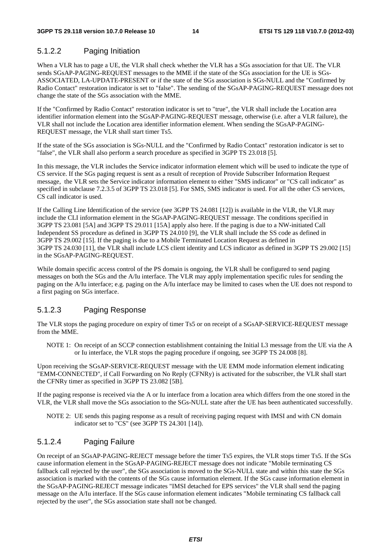#### 5.1.2.2 Paging Initiation

When a VLR has to page a UE, the VLR shall check whether the VLR has a SGs association for that UE. The VLR sends SGsAP-PAGING-REQUEST messages to the MME if the state of the SGs association for the UE is SGs-ASSOCIATED, LA-UPDATE-PRESENT or if the state of the SGs association is SGs-NULL and the "Confirmed by Radio Contact" restoration indicator is set to "false". The sending of the SGsAP-PAGING-REQUEST message does not change the state of the SGs association with the MME.

If the "Confirmed by Radio Contact" restoration indicator is set to "true", the VLR shall include the Location area identifier information element into the SGsAP-PAGING-REQUEST message, otherwise (i.e. after a VLR failure), the VLR shall not include the Location area identifier information element. When sending the SGsAP-PAGING-REQUEST message, the VLR shall start timer Ts5.

If the state of the SGs association is SGs-NULL and the "Confirmed by Radio Contact" restoration indicator is set to "false", the VLR shall also perform a search procedure as specified in 3GPP TS 23.018 [5].

In this message, the VLR includes the Service indicator information element which will be used to indicate the type of CS service. If the SGs paging request is sent as a result of reception of Provide Subscriber Information Request message, the VLR sets the Service indicator information element to either "SMS indicator" or "CS call indicator" as specified in subclause 7.2.3.5 of 3GPP TS 23.018 [5]. For SMS, SMS indicator is used. For all the other CS services, CS call indicator is used.

If the Calling Line Identification of the service (see 3GPP TS 24.081 [12]) is available in the VLR, the VLR may include the CLI information element in the SGsAP-PAGING-REQUEST message. The conditions specified in 3GPP TS 23.081 [5A] and 3GPP TS 29.011 [15A] apply also here. If the paging is due to a NW-initiated Call Independent SS procedure as defined in 3GPP TS 24.010 [9], the VLR shall include the SS code as defined in 3GPP TS 29.002 [15]. If the paging is due to a Mobile Terminated Location Request as defined in 3GPP TS 24.030 [11], the VLR shall include LCS client identity and LCS indicator as defined in 3GPP TS 29.002 [15] in the SGsAP-PAGING-REQUEST.

While domain specific access control of the PS domain is ongoing, the VLR shall be configured to send paging messages on both the SGs and the A/Iu interface. The VLR may apply implementation specific rules for sending the paging on the A/Iu interface; e.g. paging on the A/Iu interface may be limited to cases when the UE does not respond to a first paging on SGs interface.

#### 5.1.2.3 Paging Response

The VLR stops the paging procedure on expiry of timer Ts5 or on receipt of a SGsAP-SERVICE-REQUEST message from the MME.

NOTE 1: On receipt of an SCCP connection establishment containing the Initial L3 message from the UE via the A or Iu interface, the VLR stops the paging procedure if ongoing, see 3GPP TS 24.008 [8].

Upon receiving the SGsAP-SERVICE-REQUEST message with the UE EMM mode information element indicating "EMM-CONNECTED", if Call Forwarding on No Reply (CFNRy) is activated for the subscriber, the VLR shall start the CFNRy timer as specified in 3GPP TS 23.082 [5B].

If the paging response is received via the A or Iu interface from a location area which differs from the one stored in the VLR, the VLR shall move the SGs association to the SGs-NULL state after the UE has been authenticated successfully.

NOTE 2: UE sends this paging response as a result of receiving paging request with IMSI and with CN domain indicator set to "CS" (see 3GPP TS 24.301 [14]).

#### 5.1.2.4 Paging Failure

On receipt of an SGsAP-PAGING-REJECT message before the timer Ts5 expires, the VLR stops timer Ts5. If the SGs cause information element in the SGsAP-PAGING-REJECT message does not indicate "Mobile terminating CS fallback call rejected by the user", the SGs association is moved to the SGs-NULL state and within this state the SGs association is marked with the contents of the SGs cause information element. If the SGs cause information element in the SGsAP-PAGING-REJECT message indicates "IMSI detached for EPS services" the VLR shall send the paging message on the A/Iu interface. If the SGs cause information element indicates "Mobile terminating CS fallback call rejected by the user", the SGs association state shall not be changed.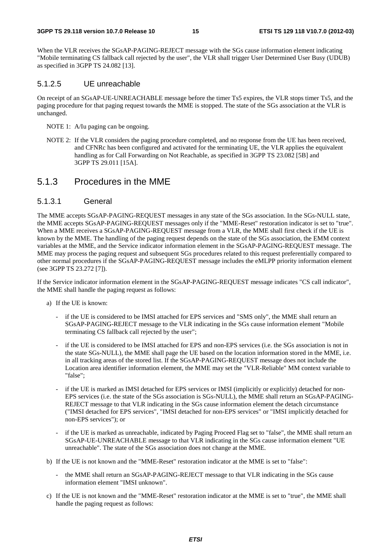When the VLR receives the SGsAP-PAGING-REJECT message with the SGs cause information element indicating "Mobile terminating CS fallback call rejected by the user", the VLR shall trigger User Determined User Busy (UDUB) as specified in 3GPP TS 24.082 [13].

#### 5.1.2.5 UE unreachable

On receipt of an SGsAP-UE-UNREACHABLE message before the timer Ts5 expires, the VLR stops timer Ts5, and the paging procedure for that paging request towards the MME is stopped. The state of the SGs association at the VLR is unchanged.

- NOTE 1: A/Iu paging can be ongoing.
- NOTE 2: If the VLR considers the paging procedure completed, and no response from the UE has been received, and CFNRc has been configured and activated for the terminating UE, the VLR applies the equivalent handling as for Call Forwarding on Not Reachable, as specified in 3GPP TS 23.082 [5B] and 3GPP TS 29.011 [15A].

#### 5.1.3 Procedures in the MME

#### 5.1.3.1 General

The MME accepts SGsAP-PAGING-REQUEST messages in any state of the SGs association. In the SGs-NULL state, the MME accepts SGsAP-PAGING-REQUEST messages only if the "MME-Reset" restoration indicator is set to "true". When a MME receives a SGsAP-PAGING-REQUEST message from a VLR, the MME shall first check if the UE is known by the MME. The handling of the paging request depends on the state of the SGs association, the EMM context variables at the MME, and the Service indicator information element in the SGsAP-PAGING-REQUEST message. The MME may process the paging request and subsequent SGs procedures related to this request preferentially compared to other normal procedures if the SGsAP-PAGING-REQUEST message includes the eMLPP priority information element (see 3GPP TS 23.272 [7]).

If the Service indicator information element in the SGsAP-PAGING-REQUEST message indicates "CS call indicator", the MME shall handle the paging request as follows:

- a) If the UE is known:
	- if the UE is considered to be IMSI attached for EPS services and "SMS only", the MME shall return an SGsAP-PAGING-REJECT message to the VLR indicating in the SGs cause information element "Mobile terminating CS fallback call rejected by the user";
	- if the UE is considered to be IMSI attached for EPS and non-EPS services (i.e. the SGs association is not in the state SGs-NULL), the MME shall page the UE based on the location information stored in the MME, i.e. in all tracking areas of the stored list. If the SGsAP-PAGING-REQUEST message does not include the Location area identifier information element, the MME may set the "VLR-Reliable" MM context variable to "false";
	- if the UE is marked as IMSI detached for EPS services or IMSI (implicitly or explicitly) detached for non-EPS services (i.e. the state of the SGs association is SGs-NULL), the MME shall return an SGsAP-PAGING-REJECT message to that VLR indicating in the SGs cause information element the detach circumstance ("IMSI detached for EPS services", "IMSI detached for non-EPS services" or "IMSI implicitly detached for non-EPS services"); or
	- if the UE is marked as unreachable, indicated by Paging Proceed Flag set to "false", the MME shall return an SGsAP-UE-UNREACHABLE message to that VLR indicating in the SGs cause information element "UE unreachable". The state of the SGs association does not change at the MME.
- b) If the UE is not known and the "MME-Reset" restoration indicator at the MME is set to "false":
	- the MME shall return an SGsAP-PAGING-REJECT message to that VLR indicating in the SGs cause information element "IMSI unknown".
- c) If the UE is not known and the "MME-Reset" restoration indicator at the MME is set to "true", the MME shall handle the paging request as follows: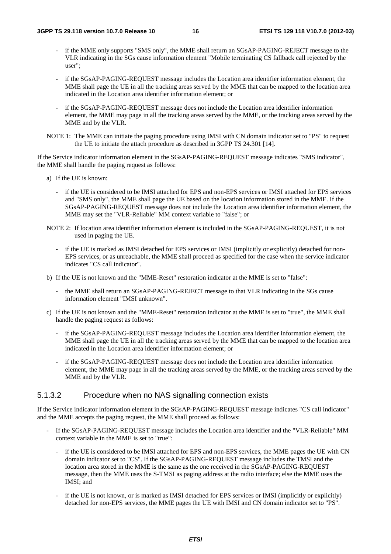- if the MME only supports "SMS only", the MME shall return an SGsAP-PAGING-REJECT message to the VLR indicating in the SGs cause information element "Mobile terminating CS fallback call rejected by the user";
- if the SGsAP-PAGING-REQUEST message includes the Location area identifier information element, the MME shall page the UE in all the tracking areas served by the MME that can be mapped to the location area indicated in the Location area identifier information element; or
- if the SGsAP-PAGING-REQUEST message does not include the Location area identifier information element, the MME may page in all the tracking areas served by the MME, or the tracking areas served by the MME and by the VLR.
- NOTE 1: The MME can initiate the paging procedure using IMSI with CN domain indicator set to "PS" to request the UE to initiate the attach procedure as described in 3GPP TS 24.301 [14].

If the Service indicator information element in the SGsAP-PAGING-REQUEST message indicates "SMS indicator", the MME shall handle the paging request as follows:

- a) If the UE is known:
	- if the UE is considered to be IMSI attached for EPS and non-EPS services or IMSI attached for EPS services and "SMS only", the MME shall page the UE based on the location information stored in the MME. If the SGsAP-PAGING-REQUEST message does not include the Location area identifier information element, the MME may set the "VLR-Reliable" MM context variable to "false"; or
- NOTE 2: If location area identifier information element is included in the SGsAP-PAGING-REQUEST, it is not used in paging the UE.
	- if the UE is marked as IMSI detached for EPS services or IMSI (implicitly or explicitly) detached for non-EPS services, or as unreachable, the MME shall proceed as specified for the case when the service indicator indicates "CS call indicator".
- b) If the UE is not known and the "MME-Reset" restoration indicator at the MME is set to "false":
	- the MME shall return an SGsAP-PAGING-REJECT message to that VLR indicating in the SGs cause information element "IMSI unknown".
- c) If the UE is not known and the "MME-Reset" restoration indicator at the MME is set to "true", the MME shall handle the paging request as follows:
	- if the SGsAP-PAGING-REQUEST message includes the Location area identifier information element, the MME shall page the UE in all the tracking areas served by the MME that can be mapped to the location area indicated in the Location area identifier information element; or
	- if the SGsAP-PAGING-REOUEST message does not include the Location area identifier information element, the MME may page in all the tracking areas served by the MME, or the tracking areas served by the MME and by the VLR.

#### 5.1.3.2 Procedure when no NAS signalling connection exists

If the Service indicator information element in the SGsAP-PAGING-REQUEST message indicates "CS call indicator" and the MME accepts the paging request, the MME shall proceed as follows:

- If the SGsAP-PAGING-REQUEST message includes the Location area identifier and the "VLR-Reliable" MM context variable in the MME is set to "true":
	- if the UE is considered to be IMSI attached for EPS and non-EPS services, the MME pages the UE with CN domain indicator set to "CS". If the SGsAP-PAGING-REQUEST message includes the TMSI and the location area stored in the MME is the same as the one received in the SGsAP-PAGING-REQUEST message, then the MME uses the S-TMSI as paging address at the radio interface; else the MME uses the IMSI; and
	- if the UE is not known, or is marked as IMSI detached for EPS services or IMSI (implicitly or explicitly) detached for non-EPS services, the MME pages the UE with IMSI and CN domain indicator set to "PS".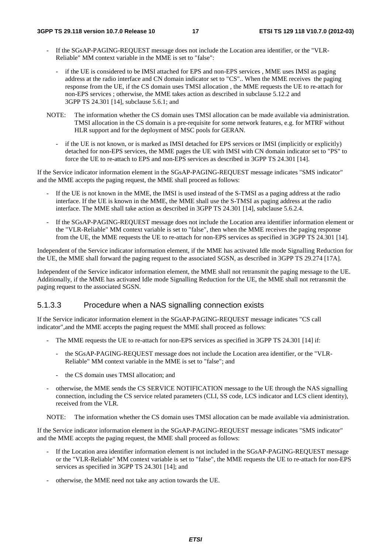- If the SGsAP-PAGING-REQUEST message does not include the Location area identifier, or the "VLR-Reliable" MM context variable in the MME is set to "false":
	- if the UE is considered to be IMSI attached for EPS and non-EPS services, MME uses IMSI as paging address at the radio interface and CN domain indicator set to "CS".. When the MME receives the paging response from the UE, if the CS domain uses TMSI allocation , the MME requests the UE to re-attach for non-EPS services ; otherwise, the MME takes action as described in subclause 5.12.2 and 3GPP TS 24.301 [14], subclause 5.6.1; and
- NOTE: The information whether the CS domain uses TMSI allocation can be made available via administration. TMSI allocation in the CS domain is a pre-requisite for some network features, e.g. for MTRF without HLR support and for the deployment of MSC pools for GERAN.
	- if the UE is not known, or is marked as IMSI detached for EPS services or IMSI (implicitly or explicitly) detached for non-EPS services, the MME pages the UE with IMSI with CN domain indicator set to "PS" to force the UE to re-attach to EPS and non-EPS services as described in 3GPP TS 24.301 [14].

If the Service indicator information element in the SGsAP-PAGING-REQUEST message indicates "SMS indicator" and the MME accepts the paging request, the MME shall proceed as follows:

- If the UE is not known in the MME, the IMSI is used instead of the S-TMSI as a paging address at the radio interface. If the UE is known in the MME, the MME shall use the S-TMSI as paging address at the radio interface. The MME shall take action as described in 3GPP TS 24.301 [14], subclause 5.6.2.4.
- If the SGsAP-PAGING-REQUEST message does not include the Location area identifier information element or the "VLR-Reliable" MM context variable is set to "false", then when the MME receives the paging response from the UE, the MME requests the UE to re-attach for non-EPS services as specified in 3GPP TS 24.301 [14].

Independent of the Service indicator information element, if the MME has activated Idle mode Signalling Reduction for the UE, the MME shall forward the paging request to the associated SGSN, as described in 3GPP TS 29.274 [17A].

Independent of the Service indicator information element, the MME shall not retransmit the paging message to the UE. Additionally, if the MME has activated Idle mode Signalling Reduction for the UE, the MME shall not retransmit the paging request to the associated SGSN.

### 5.1.3.3 Procedure when a NAS signalling connection exists

If the Service indicator information element in the SGsAP-PAGING-REQUEST message indicates "CS call indicator",and the MME accepts the paging request the MME shall proceed as follows:

- The MME requests the UE to re-attach for non-EPS services as specified in 3GPP TS 24.301 [14] if:
	- the SGsAP-PAGING-REQUEST message does not include the Location area identifier, or the "VLR-Reliable" MM context variable in the MME is set to "false"; and
	- the CS domain uses TMSI allocation; and
- otherwise, the MME sends the CS SERVICE NOTIFICATION message to the UE through the NAS signalling connection, including the CS service related parameters (CLI, SS code, LCS indicator and LCS client identity), received from the VLR.

NOTE: The information whether the CS domain uses TMSI allocation can be made available via administration.

If the Service indicator information element in the SGsAP-PAGING-REQUEST message indicates "SMS indicator" and the MME accepts the paging request, the MME shall proceed as follows:

- If the Location area identifier information element is not included in the SGsAP-PAGING-REOUEST message or the "VLR-Reliable" MM context variable is set to "false", the MME requests the UE to re-attach for non-EPS services as specified in 3GPP TS 24.301 [14]; and
- otherwise, the MME need not take any action towards the UE.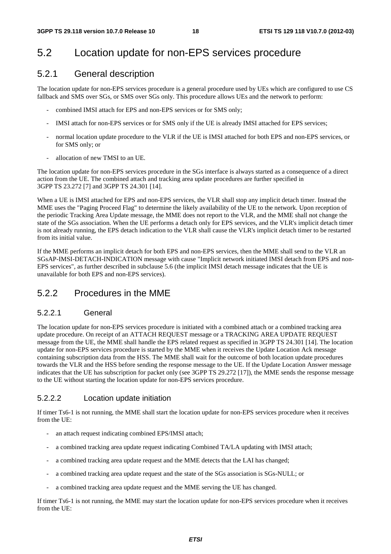## 5.2 Location update for non-EPS services procedure

### 5.2.1 General description

The location update for non-EPS services procedure is a general procedure used by UEs which are configured to use CS fallback and SMS over SGs, or SMS over SGs only. This procedure allows UEs and the network to perform:

- combined IMSI attach for EPS and non-EPS services or for SMS only;
- IMSI attach for non-EPS services or for SMS only if the UE is already IMSI attached for EPS services;
- normal location update procedure to the VLR if the UE is IMSI attached for both EPS and non-EPS services, or for SMS only; or
- allocation of new TMSI to an UE.

The location update for non-EPS services procedure in the SGs interface is always started as a consequence of a direct action from the UE. The combined attach and tracking area update procedures are further specified in 3GPP TS 23.272 [7] and 3GPP TS 24.301 [14].

When a UE is IMSI attached for EPS and non-EPS services, the VLR shall stop any implicit detach timer. Instead the MME uses the "Paging Proceed Flag" to determine the likely availability of the UE to the network. Upon reception of the periodic Tracking Area Update message, the MME does not report to the VLR, and the MME shall not change the state of the SGs association. When the UE performs a detach only for EPS services, and the VLR's implicit detach timer is not already running, the EPS detach indication to the VLR shall cause the VLR's implicit detach timer to be restarted from its initial value.

If the MME performs an implicit detach for both EPS and non-EPS services, then the MME shall send to the VLR an SGsAP-IMSI-DETACH-INDICATION message with cause "Implicit network initiated IMSI detach from EPS and non-EPS services", as further described in subclause 5.6 (the implicit IMSI detach message indicates that the UE is unavailable for both EPS and non-EPS services).

### 5.2.2 Procedures in the MME

#### 5.2.2.1 General

The location update for non-EPS services procedure is initiated with a combined attach or a combined tracking area update procedure. On receipt of an ATTACH REQUEST message or a TRACKING AREA UPDATE REQUEST message from the UE, the MME shall handle the EPS related request as specified in 3GPP TS 24.301 [14]. The location update for non-EPS services procedure is started by the MME when it receives the Update Location Ack message containing subscription data from the HSS. The MME shall wait for the outcome of both location update procedures towards the VLR and the HSS before sending the response message to the UE. If the Update Location Answer message indicates that the UE has subscription for packet only (see 3GPP TS 29.272 [17]), the MME sends the response message to the UE without starting the location update for non-EPS services procedure.

#### 5.2.2.2 Location update initiation

If timer Ts6-1 is not running, the MME shall start the location update for non-EPS services procedure when it receives from the UE:

- an attach request indicating combined EPS/IMSI attach;
- a combined tracking area update request indicating Combined TA/LA updating with IMSI attach;
- a combined tracking area update request and the MME detects that the LAI has changed;
- a combined tracking area update request and the state of the SGs association is SGs-NULL; or
- a combined tracking area update request and the MME serving the UE has changed.

If timer Ts6-1 is not running, the MME may start the location update for non-EPS services procedure when it receives from the UE: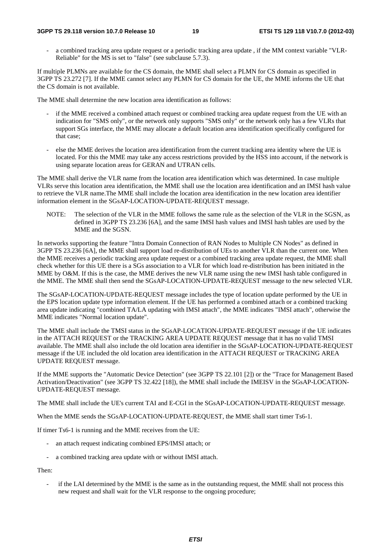#### **3GPP TS 29.118 version 10.7.0 Release 10 19 ETSI TS 129 118 V10.7.0 (2012-03)**

- a combined tracking area update request or a periodic tracking area update , if the MM context variable "VLR-Reliable" for the MS is set to "false" (see subclause 5.7.3).

If multiple PLMNs are available for the CS domain, the MME shall select a PLMN for CS domain as specified in 3GPP TS 23.272 [7]. If the MME cannot select any PLMN for CS domain for the UE, the MME informs the UE that the CS domain is not available.

The MME shall determine the new location area identification as follows:

- if the MME received a combined attach request or combined tracking area update request from the UE with an indication for "SMS only", or the network only supports "SMS only" or the network only has a few VLRs that support SGs interface, the MME may allocate a default location area identification specifically configured for that case;
- else the MME derives the location area identification from the current tracking area identity where the UE is located. For this the MME may take any access restrictions provided by the HSS into account, if the network is using separate location areas for GERAN and UTRAN cells.

The MME shall derive the VLR name from the location area identification which was determined. In case multiple VLRs serve this location area identification, the MME shall use the location area identification and an IMSI hash value to retrieve the VLR name.The MME shall include the location area identification in the new location area identifier information element in the SGsAP-LOCATION-UPDATE-REQUEST message.

NOTE: The selection of the VLR in the MME follows the same rule as the selection of the VLR in the SGSN, as defined in 3GPP TS 23.236 [6A], and the same IMSI hash values and IMSI hash tables are used by the MME and the SGSN.

In networks supporting the feature "Intra Domain Connection of RAN Nodes to Multiple CN Nodes" as defined in 3GPP TS 23.236 [6A], the MME shall support load re-distribution of UEs to another VLR than the current one. When the MME receives a periodic tracking area update request or a combined tracking area update request, the MME shall check whether for this UE there is a SGs association to a VLR for which load re-distribution has been initiated in the MME by O&M. If this is the case, the MME derives the new VLR name using the new IMSI hash table configured in the MME. The MME shall then send the SGsAP-LOCATION-UPDATE-REQUEST message to the new selected VLR.

The SGsAP-LOCATION-UPDATE-REQUEST message includes the type of location update performed by the UE in the EPS location update type information element. If the UE has performed a combined attach or a combined tracking area update indicating "combined TA/LA updating with IMSI attach", the MME indicates "IMSI attach", otherwise the MME indicates "Normal location update".

The MME shall include the TMSI status in the SGsAP-LOCATION-UPDATE-REQUEST message if the UE indicates in the ATTACH REQUEST or the TRACKING AREA UPDATE REQUEST message that it has no valid TMSI available. The MME shall also include the old location area identifier in the SGsAP-LOCATION-UPDATE-REQUEST message if the UE included the old location area identification in the ATTACH REQUEST or TRACKING AREA UPDATE REQUEST message.

If the MME supports the "Automatic Device Detection" (see 3GPP TS 22.101 [2]) or the "Trace for Management Based Activation/Deactivation" (see 3GPP TS 32.422 [18]), the MME shall include the IMEISV in the SGsAP-LOCATION-UPDATE-REQUEST message.

The MME shall include the UE's current TAI and E-CGI in the SGsAP-LOCATION-UPDATE-REQUEST message.

When the MME sends the SGsAP-LOCATION-UPDATE-REQUEST, the MME shall start timer Ts6-1.

If timer Ts6-1 is running and the MME receives from the UE:

- an attach request indicating combined EPS/IMSI attach; or
- a combined tracking area update with or without IMSI attach.

Then:

if the LAI determined by the MME is the same as in the outstanding request, the MME shall not process this new request and shall wait for the VLR response to the ongoing procedure;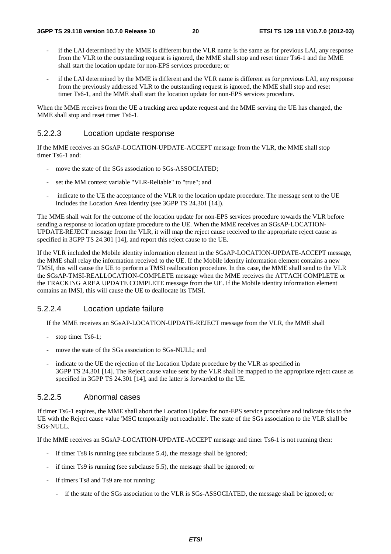- if the LAI determined by the MME is different but the VLR name is the same as for previous LAI, any response from the VLR to the outstanding request is ignored, the MME shall stop and reset timer Ts6-1 and the MME shall start the location update for non-EPS services procedure; or
- if the LAI determined by the MME is different and the VLR name is different as for previous LAI, any response from the previously addressed VLR to the outstanding request is ignored, the MME shall stop and reset timer Ts6-1, and the MME shall start the location update for non-EPS services procedure.

When the MME receives from the UE a tracking area update request and the MME serving the UE has changed, the MME shall stop and reset timer Ts6-1.

#### 5.2.2.3 Location update response

If the MME receives an SGsAP-LOCATION-UPDATE-ACCEPT message from the VLR, the MME shall stop timer Ts6-1 and:

- move the state of the SGs association to SGs-ASSOCIATED:
- set the MM context variable "VLR-Reliable" to "true"; and
- indicate to the UE the acceptance of the VLR to the location update procedure. The message sent to the UE includes the Location Area Identity (see 3GPP TS 24.301 [14]).

The MME shall wait for the outcome of the location update for non-EPS services procedure towards the VLR before sending a response to location update procedure to the UE. When the MME receives an SGsAP-LOCATION-UPDATE-REJECT message from the VLR, it will map the reject cause received to the appropriate reject cause as specified in 3GPP TS 24.301 [14], and report this reject cause to the UE.

If the VLR included the Mobile identity information element in the SGsAP-LOCATION-UPDATE-ACCEPT message, the MME shall relay the information received to the UE. If the Mobile identity information element contains a new TMSI, this will cause the UE to perform a TMSI reallocation procedure. In this case, the MME shall send to the VLR the SGsAP-TMSI-REALLOCATION-COMPLETE message when the MME receives the ATTACH COMPLETE or the TRACKING AREA UPDATE COMPLETE message from the UE. If the Mobile identity information element contains an IMSI, this will cause the UE to deallocate its TMSI.

#### 5.2.2.4 Location update failure

If the MME receives an SGsAP-LOCATION-UPDATE-REJECT message from the VLR, the MME shall

- stop timer Ts6-1;
- move the state of the SGs association to SGs-NULL; and
- indicate to the UE the rejection of the Location Update procedure by the VLR as specified in 3GPP TS 24.301 [14]. The Reject cause value sent by the VLR shall be mapped to the appropriate reject cause as specified in 3GPP TS 24.301 [14], and the latter is forwarded to the UE.

#### 5.2.2.5 Abnormal cases

If timer Ts6-1 expires, the MME shall abort the Location Update for non-EPS service procedure and indicate this to the UE with the Reject cause value 'MSC temporarily not reachable'. The state of the SGs association to the VLR shall be SGs-NULL.

If the MME receives an SGsAP-LOCATION-UPDATE-ACCEPT message and timer Ts6-1 is not running then:

- if timer Ts8 is running (see subclause 5.4), the message shall be ignored;
- if timer Ts9 is running (see subclause 5.5), the message shall be ignored; or
- if timers Ts8 and Ts9 are not running:
	- if the state of the SGs association to the VLR is SGs-ASSOCIATED, the message shall be ignored; or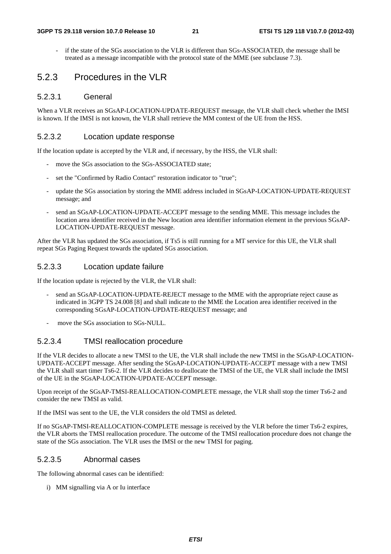if the state of the SGs association to the VLR is different than SGs-ASSOCIATED, the message shall be treated as a message incompatible with the protocol state of the MME (see subclause 7.3).

#### 5.2.3 Procedures in the VLR

#### 5.2.3.1 General

When a VLR receives an SGsAP-LOCATION-UPDATE-REQUEST message, the VLR shall check whether the IMSI is known. If the IMSI is not known, the VLR shall retrieve the MM context of the UE from the HSS.

#### 5.2.3.2 Location update response

If the location update is accepted by the VLR and, if necessary, by the HSS, the VLR shall:

- move the SGs association to the SGs-ASSOCIATED state:
- set the "Confirmed by Radio Contact" restoration indicator to "true";
- update the SGs association by storing the MME address included in SGsAP-LOCATION-UPDATE-REQUEST message; and
- send an SGsAP-LOCATION-UPDATE-ACCEPT message to the sending MME. This message includes the location area identifier received in the New location area identifier information element in the previous SGsAP-LOCATION-UPDATE-REQUEST message.

After the VLR has updated the SGs association, if Ts5 is still running for a MT service for this UE, the VLR shall repeat SGs Paging Request towards the updated SGs association.

#### 5.2.3.3 Location update failure

If the location update is rejected by the VLR, the VLR shall:

- send an SGsAP-LOCATION-UPDATE-REJECT message to the MME with the appropriate reject cause as indicated in 3GPP TS 24.008 [8] and shall indicate to the MME the Location area identifier received in the corresponding SGsAP-LOCATION-UPDATE-REQUEST message; and
- move the SGs association to SGs-NULL.

#### 5.2.3.4 TMSI reallocation procedure

If the VLR decides to allocate a new TMSI to the UE, the VLR shall include the new TMSI in the SGsAP-LOCATION-UPDATE-ACCEPT message. After sending the SGsAP-LOCATION-UPDATE-ACCEPT message with a new TMSI the VLR shall start timer Ts6-2. If the VLR decides to deallocate the TMSI of the UE, the VLR shall include the IMSI of the UE in the SGsAP-LOCATION-UPDATE-ACCEPT message.

Upon receipt of the SGsAP-TMSI-REALLOCATION-COMPLETE message, the VLR shall stop the timer Ts6-2 and consider the new TMSI as valid.

If the IMSI was sent to the UE, the VLR considers the old TMSI as deleted.

If no SGsAP-TMSI-REALLOCATION-COMPLETE message is received by the VLR before the timer Ts6-2 expires, the VLR aborts the TMSI reallocation procedure. The outcome of the TMSI reallocation procedure does not change the state of the SGs association. The VLR uses the IMSI or the new TMSI for paging.

#### 5.2.3.5 Abnormal cases

The following abnormal cases can be identified:

i) MM signalling via A or Iu interface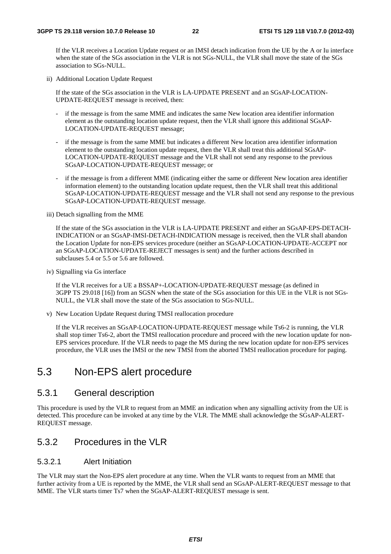If the VLR receives a Location Update request or an IMSI detach indication from the UE by the A or Iu interface when the state of the SGs association in the VLR is not SGs-NULL, the VLR shall move the state of the SGs association to SGs-NULL.

ii) Additional Location Update Request

If the state of the SGs association in the VLR is LA-UPDATE PRESENT and an SGsAP-LOCATION-UPDATE-REQUEST message is received, then:

- if the message is from the same MME and indicates the same New location area identifier information element as the outstanding location update request, then the VLR shall ignore this additional SGsAP-LOCATION-UPDATE-REQUEST message;
- if the message is from the same MME but indicates a different New location area identifier information element to the outstanding location update request, then the VLR shall treat this additional SGsAP-LOCATION-UPDATE-REQUEST message and the VLR shall not send any response to the previous SGsAP-LOCATION-UPDATE-REQUEST message; or
- if the message is from a different MME (indicating either the same or different New location area identifier information element) to the outstanding location update request, then the VLR shall treat this additional SGsAP-LOCATION-UPDATE-REQUEST message and the VLR shall not send any response to the previous SGsAP-LOCATION-UPDATE-REQUEST message.

iii) Detach signalling from the MME

If the state of the SGs association in the VLR is LA-UPDATE PRESENT and either an SGsAP-EPS-DETACH-INDICATION or an SGsAP-IMSI-DETACH-INDICATION message is received, then the VLR shall abandon the Location Update for non-EPS services procedure (neither an SGsAP-LOCATION-UPDATE-ACCEPT nor an SGsAP-LOCATION-UPDATE-REJECT messages is sent) and the further actions described in subclauses 5.4 or 5.5 or 5.6 are followed.

iv) Signalling via Gs interface

If the VLR receives for a UE a BSSAP+-LOCATION-UPDATE-REQUEST message (as defined in 3GPP TS 29.018 [16]) from an SGSN when the state of the SGs association for this UE in the VLR is not SGs-NULL, the VLR shall move the state of the SGs association to SGs-NULL.

v) New Location Update Request during TMSI reallocation procedure

 If the VLR receives an SGsAP-LOCATION-UPDATE-REQUEST message while Ts6-2 is running, the VLR shall stop timer Ts6-2, abort the TMSI reallocation procedure and proceed with the new location update for non-EPS services procedure. If the VLR needs to page the MS during the new location update for non-EPS services procedure, the VLR uses the IMSI or the new TMSI from the aborted TMSI reallocation procedure for paging.

## 5.3 Non-EPS alert procedure

#### 5.3.1 General description

This procedure is used by the VLR to request from an MME an indication when any signalling activity from the UE is detected. This procedure can be invoked at any time by the VLR. The MME shall acknowledge the SGsAP-ALERT-REQUEST message.

### 5.3.2 Procedures in the VLR

#### 5.3.2.1 Alert Initiation

The VLR may start the Non-EPS alert procedure at any time. When the VLR wants to request from an MME that further activity from a UE is reported by the MME, the VLR shall send an SGsAP-ALERT-REQUEST message to that MME. The VLR starts timer Ts7 when the SGsAP-ALERT-REQUEST message is sent.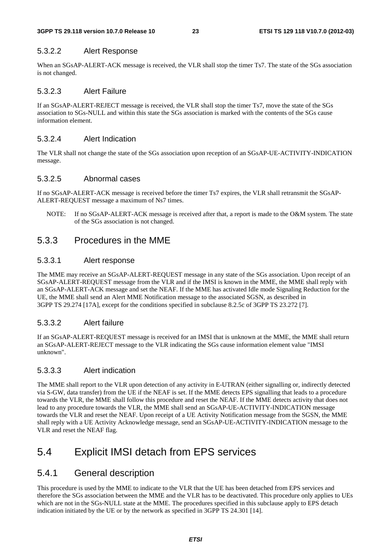#### 5.3.2.2 Alert Response

When an SGsAP-ALERT-ACK message is received, the VLR shall stop the timer Ts7. The state of the SGs association is not changed.

#### 5.3.2.3 Alert Failure

If an SGsAP-ALERT-REJECT message is received, the VLR shall stop the timer Ts7, move the state of the SGs association to SGs-NULL and within this state the SGs association is marked with the contents of the SGs cause information element.

#### 5.3.2.4 Alert Indication

The VLR shall not change the state of the SGs association upon reception of an SGsAP-UE-ACTIVITY-INDICATION message.

#### 5.3.2.5 Abnormal cases

If no SGsAP-ALERT-ACK message is received before the timer Ts7 expires, the VLR shall retransmit the SGsAP-ALERT-REQUEST message a maximum of Ns7 times.

NOTE: If no SGsAP-ALERT-ACK message is received after that, a report is made to the O&M system. The state of the SGs association is not changed.

#### 5.3.3 Procedures in the MME

#### 5.3.3.1 Alert response

The MME may receive an SGsAP-ALERT-REQUEST message in any state of the SGs association. Upon receipt of an SGsAP-ALERT-REQUEST message from the VLR and if the IMSI is known in the MME, the MME shall reply with an SGsAP-ALERT-ACK message and set the NEAF. If the MME has activated Idle mode Signaling Reduction for the UE, the MME shall send an Alert MME Notification message to the associated SGSN, as described in 3GPP TS 29.274 [17A], except for the conditions specified in subclause 8.2.5c of 3GPP TS 23.272 [7].

#### 5.3.3.2 Alert failure

If an SGsAP-ALERT-REQUEST message is received for an IMSI that is unknown at the MME, the MME shall return an SGsAP-ALERT-REJECT message to the VLR indicating the SGs cause information element value "IMSI unknown".

#### 5.3.3.3 Alert indication

The MME shall report to the VLR upon detection of any activity in E-UTRAN (either signalling or, indirectly detected via S-GW, data transfer) from the UE if the NEAF is set. If the MME detects EPS signalling that leads to a procedure towards the VLR, the MME shall follow this procedure and reset the NEAF. If the MME detects activity that does not lead to any procedure towards the VLR, the MME shall send an SGsAP-UE-ACTIVITY-INDICATION message towards the VLR and reset the NEAF. Upon receipt of a UE Activity Notification message from the SGSN, the MME shall reply with a UE Activity Acknowledge message, send an SGsAP-UE-ACTIVITY-INDICATION message to the VLR and reset the NEAF flag.

### 5.4 Explicit IMSI detach from EPS services

### 5.4.1 General description

This procedure is used by the MME to indicate to the VLR that the UE has been detached from EPS services and therefore the SGs association between the MME and the VLR has to be deactivated. This procedure only applies to UEs which are not in the SGs-NULL state at the MME. The procedures specified in this subclause apply to EPS detach indication initiated by the UE or by the network as specified in 3GPP TS 24.301 [14].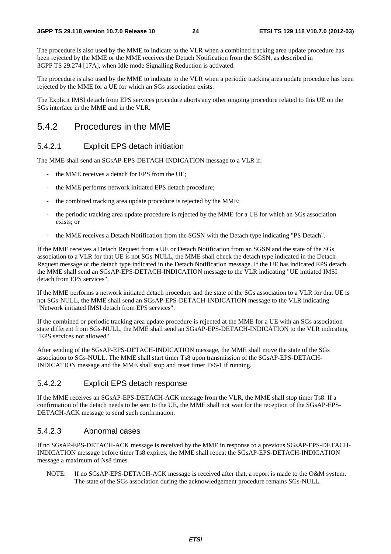The procedure is also used by the MME to indicate to the VLR when a combined tracking area update procedure has been rejected by the MME or the MME receives the Detach Notification from the SGSN, as described in 3GPP TS 29.274 [17A], when Idle mode Signalling Reduction is activated.

The procedure is also used by the MME to indicate to the VLR when a periodic tracking area update procedure has been rejected by the MME for a UE for which an SGs association exists.

The Explicit IMSI detach from EPS services procedure aborts any other ongoing procedure related to this UE on the SGs interface in the MME and in the VLR.

#### 5.4.2 Procedures in the MME

#### 5.4.2.1 Explicit EPS detach initiation

The MME shall send an SGsAP-EPS-DETACH-INDICATION message to a VLR if:

- the MME receives a detach for EPS from the UE;
- the MME performs network initiated EPS detach procedure;
- the combined tracking area update procedure is rejected by the MME;
- the periodic tracking area update procedure is rejected by the MME for a UE for which an SGs association exists; or
- the MME receives a Detach Notification from the SGSN with the Detach type indicating "PS Detach".

If the MME receives a Detach Request from a UE or Detach Notification from an SGSN and the state of the SGs association to a VLR for that UE is not SGs-NULL, the MME shall check the detach type indicated in the Detach Request message or the detach type indicated in the Detach Notification message. If the UE has indicated EPS detach the MME shall send an SGsAP-EPS-DETACH-INDICATION message to the VLR indicating "UE initiated IMSI detach from EPS services".

If the MME performs a network initiated detach procedure and the state of the SGs association to a VLR for that UE is not SGs-NULL, the MME shall send an SGsAP-EPS-DETACH-INDICATION message to the VLR indicating "Network initiated IMSI detach from EPS services".

If the combined or periodic tracking area update procedure is rejected at the MME for a UE with an SGs association state different from SGs-NULL, the MME shall send an SGsAP-EPS-DETACH-INDICATION to the VLR indicating "EPS services not allowed".

After sending of the SGsAP-EPS-DETACH-INDICATION message, the MME shall move the state of the SGs association to SGs-NULL. The MME shall start timer Ts8 upon transmission of the SGsAP-EPS-DETACH-INDICATION message and the MME shall stop and reset timer Ts6-1 if running.

#### 5.4.2.2 Explicit EPS detach response

If the MME receives an SGsAP-EPS-DETACH-ACK message from the VLR, the MME shall stop timer Ts8. If a confirmation of the detach needs to be sent to the UE, the MME shall not wait for the reception of the SGsAP-EPS-DETACH-ACK message to send such confirmation.

#### 5.4.2.3 Abnormal cases

If no SGsAP-EPS-DETACH-ACK message is received by the MME in response to a previous SGsAP-EPS-DETACH-INDICATION message before timer Ts8 expires, the MME shall repeat the SGsAP-EPS-DETACH-INDICATION message a maximum of Ns8 times.

NOTE: If no SGsAP-EPS-DETACH-ACK message is received after that, a report is made to the O&M system. The state of the SGs association during the acknowledgement procedure remains SGs-NULL.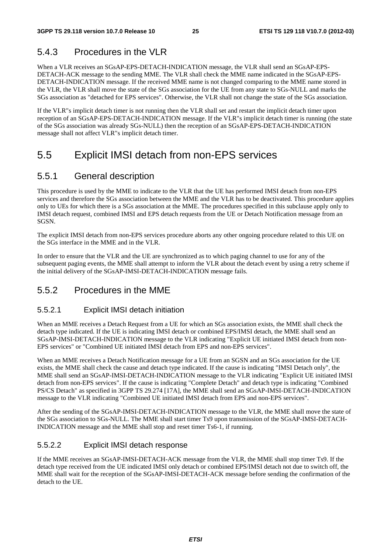## 5.4.3 Procedures in the VLR

When a VLR receives an SGsAP-EPS-DETACH-INDICATION message, the VLR shall send an SGsAP-EPS-DETACH-ACK message to the sending MME. The VLR shall check the MME name indicated in the SGsAP-EPS-DETACH-INDICATION message. If the received MME name is not changed comparing to the MME name stored in the VLR, the VLR shall move the state of the SGs association for the UE from any state to SGs-NULL and marks the SGs association as "detached for EPS services". Otherwise, the VLR shall not change the state of the SGs association.

If the VLR"s implicit detach timer is not running then the VLR shall set and restart the implicit detach timer upon reception of an SGsAP-EPS-DETACH-INDICATION message. If the VLR"s implicit detach timer is running (the state of the SGs association was already SGs-NULL) then the reception of an SGsAP-EPS-DETACH-INDICATION message shall not affect VLR"s implicit detach timer.

## 5.5 Explicit IMSI detach from non-EPS services

## 5.5.1 General description

This procedure is used by the MME to indicate to the VLR that the UE has performed IMSI detach from non-EPS services and therefore the SGs association between the MME and the VLR has to be deactivated. This procedure applies only to UEs for which there is a SGs association at the MME. The procedures specified in this subclause apply only to IMSI detach request, combined IMSI and EPS detach requests from the UE or Detach Notification message from an SGSN.

The explicit IMSI detach from non-EPS services procedure aborts any other ongoing procedure related to this UE on the SGs interface in the MME and in the VLR.

In order to ensure that the VLR and the UE are synchronized as to which paging channel to use for any of the subsequent paging events, the MME shall attempt to inform the VLR about the detach event by using a retry scheme if the initial delivery of the SGsAP-IMSI-DETACH-INDICATION message fails.

### 5.5.2 Procedures in the MME

#### 5.5.2.1 Explicit IMSI detach initiation

When an MME receives a Detach Request from a UE for which an SGs association exists, the MME shall check the detach type indicated. If the UE is indicating IMSI detach or combined EPS/IMSI detach, the MME shall send an SGsAP-IMSI-DETACH-INDICATION message to the VLR indicating "Explicit UE initiated IMSI detach from non-EPS services" or "Combined UE initiated IMSI detach from EPS and non-EPS services".

When an MME receives a Detach Notification message for a UE from an SGSN and an SGs association for the UE exists, the MME shall check the cause and detach type indicated. If the cause is indicating "IMSI Detach only", the MME shall send an SGsAP-IMSI-DETACH-INDICATION message to the VLR indicating "Explicit UE initiated IMSI detach from non-EPS services". If the cause is indicating "Complete Detach" and detach type is indicating "Combined PS/CS Detach" as specified in 3GPP TS 29.274 [17A], the MME shall send an SGsAP-IMSI-DETACH-INDICATION message to the VLR indicating "Combined UE initiated IMSI detach from EPS and non-EPS services".

After the sending of the SGsAP-IMSI-DETACH-INDICATION message to the VLR, the MME shall move the state of the SGs association to SGs-NULL. The MME shall start timer Ts9 upon transmission of the SGsAP-IMSI-DETACH-INDICATION message and the MME shall stop and reset timer Ts6-1, if running.

#### 5.5.2.2 Explicit IMSI detach response

If the MME receives an SGsAP-IMSI-DETACH-ACK message from the VLR, the MME shall stop timer Ts9. If the detach type received from the UE indicated IMSI only detach or combined EPS/IMSI detach not due to switch off, the MME shall wait for the reception of the SGsAP-IMSI-DETACH-ACK message before sending the confirmation of the detach to the UE.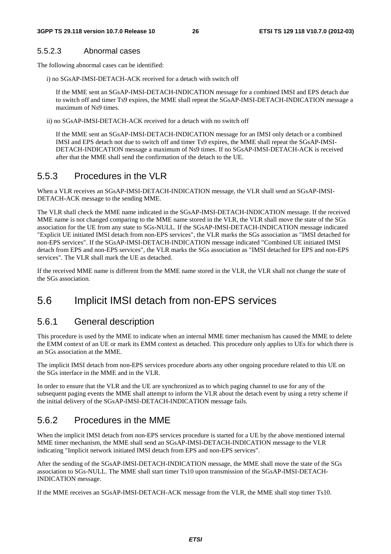#### 5.5.2.3 Abnormal cases

The following abnormal cases can be identified:

i) no SGsAP-IMSI-DETACH-ACK received for a detach with switch off

If the MME sent an SGsAP-IMSI-DETACH-INDICATION message for a combined IMSI and EPS detach due to switch off and timer Ts9 expires, the MME shall repeat the SGsAP-IMSI-DETACH-INDICATION message a maximum of Ns9 times.

ii) no SGsAP-IMSI-DETACH-ACK received for a detach with no switch off

If the MME sent an SGsAP-IMSI-DETACH-INDICATION message for an IMSI only detach or a combined IMSI and EPS detach not due to switch off and timer Ts9 expires, the MME shall repeat the SGsAP-IMSI-DETACH-INDICATION message a maximum of Ns9 times. If no SGsAP-IMSI-DETACH-ACK is received after that the MME shall send the confirmation of the detach to the UE.

#### 5.5.3 Procedures in the VLR

When a VLR receives an SGsAP-IMSI-DETACH-INDICATION message, the VLR shall send an SGsAP-IMSI-DETACH-ACK message to the sending MME.

The VLR shall check the MME name indicated in the SGsAP-IMSI-DETACH-INDICATION message. If the received MME name is not changed comparing to the MME name stored in the VLR, the VLR shall move the state of the SGs association for the UE from any state to SGs-NULL. If the SGsAP-IMSI-DETACH-INDICATION message indicated "Explicit UE initiated IMSI detach from non-EPS services", the VLR marks the SGs association as "IMSI detached for non-EPS services". If the SGsAP-IMSI-DETACH-INDICATION message indicated "Combined UE initiated IMSI detach from EPS and non-EPS services", the VLR marks the SGs association as "IMSI detached for EPS and non-EPS services". The VLR shall mark the UE as detached.

If the received MME name is different from the MME name stored in the VLR, the VLR shall not change the state of the SGs association.

### 5.6 Implicit IMSI detach from non-EPS services

#### 5.6.1 General description

This procedure is used by the MME to indicate when an internal MME timer mechanism has caused the MME to delete the EMM context of an UE or mark its EMM context as detached. This procedure only applies to UEs for which there is an SGs association at the MME.

The implicit IMSI detach from non-EPS services procedure aborts any other ongoing procedure related to this UE on the SGs interface in the MME and in the VLR.

In order to ensure that the VLR and the UE are synchronized as to which paging channel to use for any of the subsequent paging events the MME shall attempt to inform the VLR about the detach event by using a retry scheme if the initial delivery of the SGsAP-IMSI-DETACH-INDICATION message fails.

### 5.6.2 Procedures in the MME

When the implicit IMSI detach from non-EPS services procedure is started for a UE by the above mentioned internal MME timer mechanism, the MME shall send an SGsAP-IMSI-DETACH-INDICATION message to the VLR indicating "Implicit network initiated IMSI detach from EPS and non-EPS services".

After the sending of the SGsAP-IMSI-DETACH-INDICATION message, the MME shall move the state of the SGs association to SGs-NULL. The MME shall start timer Ts10 upon transmission of the SGsAP-IMSI-DETACH-INDICATION message.

If the MME receives an SGsAP-IMSI-DETACH-ACK message from the VLR, the MME shall stop timer Ts10.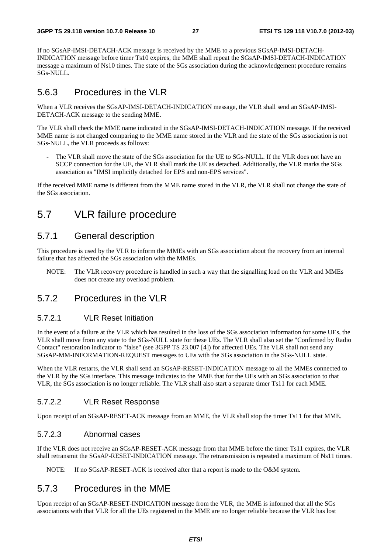If no SGsAP-IMSI-DETACH-ACK message is received by the MME to a previous SGsAP-IMSI-DETACH-INDICATION message before timer Ts10 expires, the MME shall repeat the SGsAP-IMSI-DETACH-INDICATION message a maximum of Ns10 times. The state of the SGs association during the acknowledgement procedure remains SGs-NULL.

### 5.6.3 Procedures in the VLR

When a VLR receives the SGsAP-IMSI-DETACH-INDICATION message, the VLR shall send an SGsAP-IMSI-DETACH-ACK message to the sending MME.

The VLR shall check the MME name indicated in the SGsAP-IMSI-DETACH-INDICATION message. If the received MME name is not changed comparing to the MME name stored in the VLR and the state of the SGs association is not SGs-NULL, the VLR proceeds as follows:

The VLR shall move the state of the SGs association for the UE to SGs-NULL. If the VLR does not have an SCCP connection for the UE, the VLR shall mark the UE as detached. Additionally, the VLR marks the SGs association as "IMSI implicitly detached for EPS and non-EPS services".

If the received MME name is different from the MME name stored in the VLR, the VLR shall not change the state of the SGs association.

## 5.7 VLR failure procedure

### 5.7.1 General description

This procedure is used by the VLR to inform the MMEs with an SGs association about the recovery from an internal failure that has affected the SGs association with the MMEs.

NOTE: The VLR recovery procedure is handled in such a way that the signalling load on the VLR and MMEs does not create any overload problem.

#### 5.7.2 Procedures in the VLR

#### 5.7.2.1 VLR Reset Initiation

In the event of a failure at the VLR which has resulted in the loss of the SGs association information for some UEs, the VLR shall move from any state to the SGs-NULL state for these UEs. The VLR shall also set the "Confirmed by Radio Contact" restoration indicator to "false" (see 3GPP TS 23.007 [4]) for affected UEs. The VLR shall not send any SGsAP-MM-INFORMATION-REQUEST messages to UEs with the SGs association in the SGs-NULL state.

When the VLR restarts, the VLR shall send an SGsAP-RESET-INDICATION message to all the MMEs connected to the VLR by the SGs interface. This message indicates to the MME that for the UEs with an SGs association to that VLR, the SGs association is no longer reliable. The VLR shall also start a separate timer Ts11 for each MME.

#### 5.7.2.2 VLR Reset Response

Upon receipt of an SGsAP-RESET-ACK message from an MME, the VLR shall stop the timer Ts11 for that MME.

#### 5.7.2.3 Abnormal cases

If the VLR does not receive an SGsAP-RESET-ACK message from that MME before the timer Ts11 expires, the VLR shall retransmit the SGsAP-RESET-INDICATION message. The retransmission is repeated a maximum of Ns11 times.

NOTE: If no SGsAP-RESET-ACK is received after that a report is made to the O&M system.

### 5.7.3 Procedures in the MME

Upon receipt of an SGsAP-RESET-INDICATION message from the VLR, the MME is informed that all the SGs associations with that VLR for all the UEs registered in the MME are no longer reliable because the VLR has lost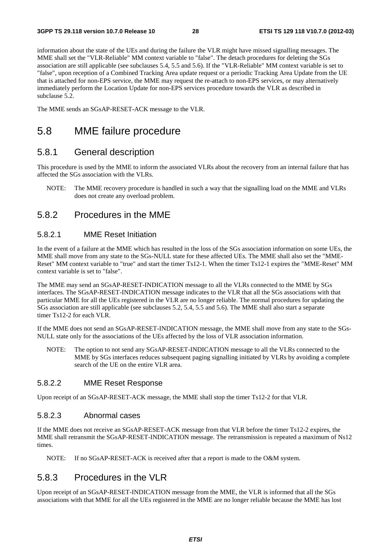information about the state of the UEs and during the failure the VLR might have missed signalling messages. The MME shall set the "VLR-Reliable" MM context variable to "false". The detach procedures for deleting the SGs association are still applicable (see subclauses 5.4, 5.5 and 5.6). If the "VLR-Reliable" MM context variable is set to "false", upon reception of a Combined Tracking Area update request or a periodic Tracking Area Update from the UE that is attached for non-EPS service, the MME may request the re-attach to non-EPS services, or may alternatively immediately perform the Location Update for non-EPS services procedure towards the VLR as described in subclause 5.2.

The MME sends an SGsAP-RESET-ACK message to the VLR.

### 5.8 MME failure procedure

#### 5.8.1 General description

This procedure is used by the MME to inform the associated VLRs about the recovery from an internal failure that has affected the SGs association with the VLRs.

NOTE: The MME recovery procedure is handled in such a way that the signalling load on the MME and VLRs does not create any overload problem.

#### 5.8.2 Procedures in the MME

#### 5.8.2.1 MME Reset Initiation

In the event of a failure at the MME which has resulted in the loss of the SGs association information on some UEs, the MME shall move from any state to the SGs-NULL state for these affected UEs. The MME shall also set the "MME-Reset" MM context variable to "true" and start the timer Ts12-1. When the timer Ts12-1 expires the "MME-Reset" MM context variable is set to "false".

The MME may send an SGsAP-RESET-INDICATION message to all the VLRs connected to the MME by SGs interfaces. The SGsAP-RESET-INDICATION message indicates to the VLR that all the SGs associations with that particular MME for all the UEs registered in the VLR are no longer reliable. The normal procedures for updating the SGs association are still applicable (see subclauses 5.2, 5.4, 5.5 and 5.6). The MME shall also start a separate timer Ts12-2 for each VLR.

If the MME does not send an SGsAP-RESET-INDICATION message, the MME shall move from any state to the SGs-NULL state only for the associations of the UEs affected by the loss of VLR association information.

NOTE: The option to not send any SGsAP-RESET-INDICATION message to all the VLRs connected to the MME by SGs interfaces reduces subsequent paging signalling initiated by VLRs by avoiding a complete search of the UE on the entire VLR area.

#### 5.8.2.2 MME Reset Response

Upon receipt of an SGsAP-RESET-ACK message, the MME shall stop the timer Ts12-2 for that VLR.

#### 5.8.2.3 Abnormal cases

If the MME does not receive an SGsAP-RESET-ACK message from that VLR before the timer Ts12-2 expires, the MME shall retransmit the SGsAP-RESET-INDICATION message. The retransmission is repeated a maximum of Ns12 times.

NOTE: If no SGsAP-RESET-ACK is received after that a report is made to the O&M system.

### 5.8.3 Procedures in the VLR

Upon receipt of an SGsAP-RESET-INDICATION message from the MME, the VLR is informed that all the SGs associations with that MME for all the UEs registered in the MME are no longer reliable because the MME has lost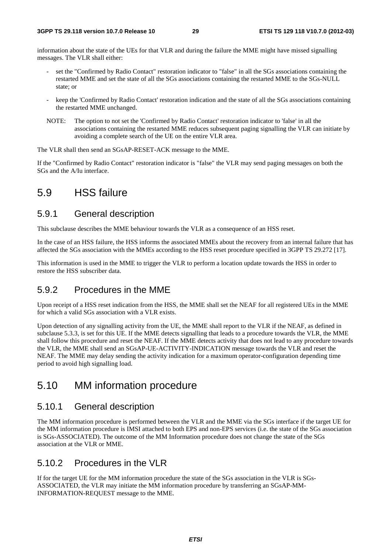information about the state of the UEs for that VLR and during the failure the MME might have missed signalling messages. The VLR shall either:

- set the "Confirmed by Radio Contact" restoration indicator to "false" in all the SGs associations containing the restarted MME and set the state of all the SGs associations containing the restarted MME to the SGs-NULL state; or
- keep the 'Confirmed by Radio Contact' restoration indication and the state of all the SGs associations containing the restarted MME unchanged.
- NOTE: The option to not set the 'Confirmed by Radio Contact' restoration indicator to 'false' in all the associations containing the restarted MME reduces subsequent paging signalling the VLR can initiate by avoiding a complete search of the UE on the entire VLR area.

The VLR shall then send an SGsAP-RESET-ACK message to the MME.

If the "Confirmed by Radio Contact" restoration indicator is "false" the VLR may send paging messages on both the SGs and the A/Iu interface.

## 5.9 HSS failure

### 5.9.1 General description

This subclause describes the MME behaviour towards the VLR as a consequence of an HSS reset.

In the case of an HSS failure, the HSS informs the associated MMEs about the recovery from an internal failure that has affected the SGs association with the MMEs according to the HSS reset procedure specified in 3GPP TS 29.272 [17].

This information is used in the MME to trigger the VLR to perform a location update towards the HSS in order to restore the HSS subscriber data.

### 5.9.2 Procedures in the MME

Upon receipt of a HSS reset indication from the HSS, the MME shall set the NEAF for all registered UEs in the MME for which a valid SGs association with a VLR exists.

Upon detection of any signalling activity from the UE, the MME shall report to the VLR if the NEAF, as defined in subclause 5.3.3, is set for this UE. If the MME detects signalling that leads to a procedure towards the VLR, the MME shall follow this procedure and reset the NEAF. If the MME detects activity that does not lead to any procedure towards the VLR, the MME shall send an SGsAP-UE-ACTIVITY-INDICATION message towards the VLR and reset the NEAF. The MME may delay sending the activity indication for a maximum operator-configuration depending time period to avoid high signalling load.

## 5.10 MM information procedure

### 5.10.1 General description

The MM information procedure is performed between the VLR and the MME via the SGs interface if the target UE for the MM information procedure is IMSI attached to both EPS and non-EPS services (i.e. the state of the SGs association is SGs-ASSOCIATED). The outcome of the MM Information procedure does not change the state of the SGs association at the VLR or MME.

### 5.10.2 Procedures in the VLR

If for the target UE for the MM information procedure the state of the SGs association in the VLR is SGs-ASSOCIATED, the VLR may initiate the MM information procedure by transferring an SGsAP-MM-INFORMATION-REQUEST message to the MME.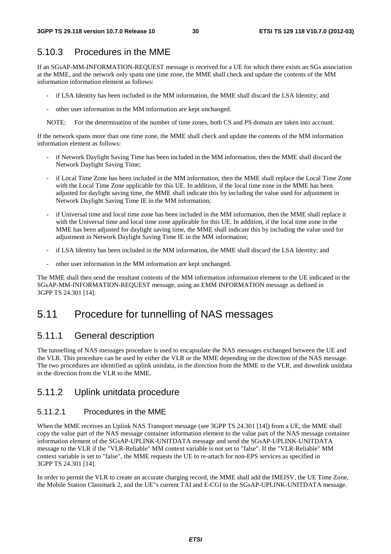### 5.10.3 Procedures in the MME

If an SGsAP-MM-INFORMATION-REQUEST message is received for a UE for which there exists an SGs association at the MME, and the network only spans one time zone, the MME shall check and update the contents of the MM information information element as follows:

- if LSA Identity has been included in the MM information, the MME shall discard the LSA Identity; and
- other user information in the MM information are kept unchanged.

NOTE: For the determination of the number of time zones, both CS and PS domain are taken into account.

If the network spans more than one time zone, the MME shall check and update the contents of the MM information information element as follows:

- if Network Daylight Saving Time has been included in the MM information, then the MME shall discard the Network Daylight Saving Time;
- if Local Time Zone has been included in the MM information, then the MME shall replace the Local Time Zone with the Local Time Zone applicable for this UE. In addition, if the local time zone in the MME has been adjusted for daylight saving time, the MME shall indicate this by including the value used for adjustment in Network Daylight Saving Time IE in the MM information;
- if Universal time and local time zone has been included in the MM information, then the MME shall replace it with the Universal time and local time zone applicable for this UE. In addition, if the local time zone in the MME has been adjusted for daylight saving time, the MME shall indicate this by including the value used for adjustment in Network Daylight Saving Time IE in the MM information;
- if LSA Identity has been included in the MM information, the MME shall discard the LSA Identity; and
- other user information in the MM information are kept unchanged.

The MME shall then send the resultant contents of the MM information information element to the UE indicated in the SGsAP-MM-INFORMATION-REQUEST message, using an EMM INFORMATION message as defined in 3GPP TS 24.301 [14].

## 5.11 Procedure for tunnelling of NAS messages

### 5.11.1 General description

The tunnelling of NAS messages procedure is used to encapsulate the NAS messages exchanged between the UE and the VLR. This procedure can be used by either the VLR or the MME depending on the direction of the NAS message. The two procedures are identified as uplink unitdata, in the direction from the MME to the VLR, and downlink unitdata in the direction from the VLR to the MME.

#### 5.11.2 Uplink unitdata procedure

#### 5.11.2.1 Procedures in the MME

When the MME receives an Uplink NAS Transport message (see 3GPP TS 24.301 [14]) from a UE, the MME shall copy the value part of the NAS message container information element to the value part of the NAS message container information element of the SGsAP-UPLINK-UNITDATA message and send the SGsAP-UPLINK-UNITDATA message to the VLR if the "VLR-Reliable" MM context variable is not set to "false". If the "VLR-Reliable" MM context variable is set to "false", the MME requests the UE to re-attach for non-EPS services as specified in 3GPP TS 24.301 [14].

In order to permit the VLR to create an accurate charging record, the MME shall add the IMEISV, the UE Time Zone, the Mobile Station Classmark 2, and the UE"s current TAI and E-CGI to the SGsAP-UPLINK-UNITDATA message.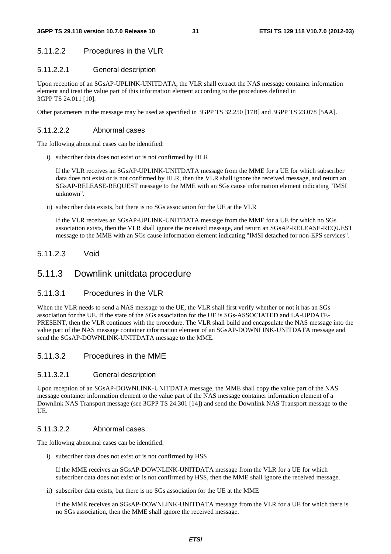#### 5.11.2.2 Procedures in the VLR

#### 5.11.2.2.1 General description

Upon reception of an SGsAP-UPLINK-UNITDATA, the VLR shall extract the NAS message container information element and treat the value part of this information element according to the procedures defined in 3GPP TS 24.011 [10].

Other parameters in the message may be used as specified in 3GPP TS 32.250 [17B] and 3GPP TS 23.078 [5AA].

#### 5.11.2.2.2 Abnormal cases

The following abnormal cases can be identified:

i) subscriber data does not exist or is not confirmed by HLR

 If the VLR receives an SGsAP-UPLINK-UNITDATA message from the MME for a UE for which subscriber data does not exist or is not confirmed by HLR, then the VLR shall ignore the received message, and return an SGsAP-RELEASE-REQUEST message to the MME with an SGs cause information element indicating "IMSI unknown".

ii) subscriber data exists, but there is no SGs association for the UE at the VLR

 If the VLR receives an SGsAP-UPLINK-UNITDATA message from the MME for a UE for which no SGs association exists, then the VLR shall ignore the received message, and return an SGsAP-RELEASE-REQUEST message to the MME with an SGs cause information element indicating "IMSI detached for non-EPS services".

#### 5.11.2.3 Void

### 5.11.3 Downlink unitdata procedure

#### 5.11.3.1 Procedures in the VLR

When the VLR needs to send a NAS message to the UE, the VLR shall first verify whether or not it has an SGs association for the UE. If the state of the SGs association for the UE is SGs-ASSOCIATED and LA-UPDATE-PRESENT, then the VLR continues with the procedure. The VLR shall build and encapsulate the NAS message into the value part of the NAS message container information element of an SGsAP-DOWNLINK-UNITDATA message and send the SGsAP-DOWNLINK-UNITDATA message to the MME.

#### 5.11.3.2 Procedures in the MME

#### 5.11.3.2.1 General description

Upon reception of an SGsAP-DOWNLINK-UNITDATA message, the MME shall copy the value part of the NAS message container information element to the value part of the NAS message container information element of a Downlink NAS Transport message (see 3GPP TS 24.301 [14]) and send the Downlink NAS Transport message to the UE.

#### 5.11.3.2.2 Abnormal cases

The following abnormal cases can be identified:

i) subscriber data does not exist or is not confirmed by HSS

 If the MME receives an SGsAP-DOWNLINK-UNITDATA message from the VLR for a UE for which subscriber data does not exist or is not confirmed by HSS, then the MME shall ignore the received message.

ii) subscriber data exists, but there is no SGs association for the UE at the MME

 If the MME receives an SGsAP-DOWNLINK-UNITDATA message from the VLR for a UE for which there is no SGs association, then the MME shall ignore the received message.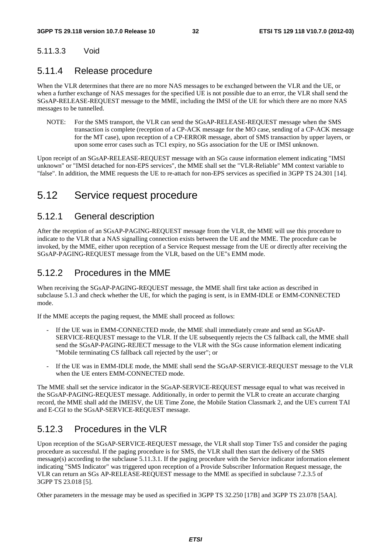#### 5.11.3.3 Void

### 5.11.4 Release procedure

When the VLR determines that there are no more NAS messages to be exchanged between the VLR and the UE, or when a further exchange of NAS messages for the specified UE is not possible due to an error, the VLR shall send the SGsAP-RELEASE-REQUEST message to the MME, including the IMSI of the UE for which there are no more NAS messages to be tunnelled.

NOTE: For the SMS transport, the VLR can send the SGsAP-RELEASE-REQUEST message when the SMS transaction is complete (reception of a CP-ACK message for the MO case, sending of a CP-ACK message for the MT case), upon reception of a CP-ERROR message, abort of SMS transaction by upper layers, or upon some error cases such as TC1 expiry, no SGs association for the UE or IMSI unknown.

Upon receipt of an SGsAP-RELEASE-REQUEST message with an SGs cause information element indicating "IMSI unknown" or "IMSI detached for non-EPS services", the MME shall set the "VLR-Reliable" MM context variable to "false". In addition, the MME requests the UE to re-attach for non-EPS services as specified in 3GPP TS 24.301 [14].

## 5.12 Service request procedure

### 5.12.1 General description

After the reception of an SGsAP-PAGING-REQUEST message from the VLR, the MME will use this procedure to indicate to the VLR that a NAS signalling connection exists between the UE and the MME. The procedure can be invoked, by the MME, either upon reception of a Service Request message from the UE or directly after receiving the SGsAP-PAGING-REQUEST message from the VLR, based on the UE"s EMM mode.

### 5.12.2 Procedures in the MME

When receiving the SGsAP-PAGING-REQUEST message, the MME shall first take action as described in subclause 5.1.3 and check whether the UE, for which the paging is sent, is in EMM-IDLE or EMM-CONNECTED mode.

If the MME accepts the paging request, the MME shall proceed as follows:

- If the UE was in EMM-CONNECTED mode, the MME shall immediately create and send an SGsAP-SERVICE-REQUEST message to the VLR. If the UE subsequently rejects the CS fallback call, the MME shall send the SGsAP-PAGING-REJECT message to the VLR with the SGs cause information element indicating "Mobile terminating CS fallback call rejected by the user"; or
- If the UE was in EMM-IDLE mode, the MME shall send the SGsAP-SERVICE-REQUEST message to the VLR when the UE enters EMM-CONNECTED mode.

The MME shall set the service indicator in the SGsAP-SERVICE-REQUEST message equal to what was received in the SGsAP-PAGING-REQUEST message. Additionally, in order to permit the VLR to create an accurate charging record, the MME shall add the IMEISV, the UE Time Zone, the Mobile Station Classmark 2, and the UE's current TAI and E-CGI to the SGsAP-SERVICE-REQUEST message.

### 5.12.3 Procedures in the VLR

Upon reception of the SGsAP-SERVICE-REQUEST message, the VLR shall stop Timer Ts5 and consider the paging procedure as successful. If the paging procedure is for SMS, the VLR shall then start the delivery of the SMS message(s) according to the subclause 5.11.3.1. If the paging procedure with the Service indicator information element indicating "SMS Indicator" was triggered upon reception of a Provide Subscriber Information Request message, the VLR can return an SGs AP-RELEASE-REQUEST message to the MME as specified in subclause 7.2.3.5 of 3GPP TS 23.018 [5].

Other parameters in the message may be used as specified in 3GPP TS 32.250 [17B] and 3GPP TS 23.078 [5AA].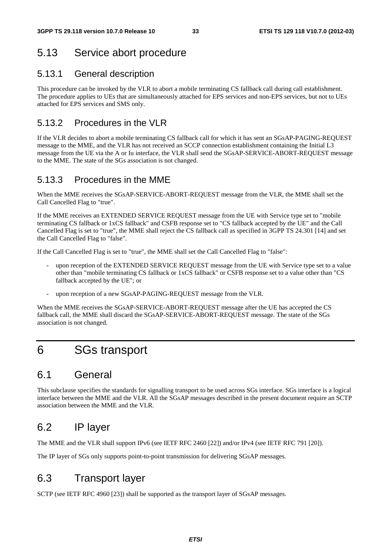## 5.13 Service abort procedure

### 5.13.1 General description

This procedure can be invoked by the VLR to abort a mobile terminating CS fallback call during call establishment. The procedure applies to UEs that are simultaneously attached for EPS services and non-EPS services, but not to UEs attached for EPS services and SMS only.

### 5.13.2 Procedures in the VLR

If the VLR decides to abort a mobile terminating CS fallback call for which it has sent an SGsAP-PAGING-REQUEST message to the MME, and the VLR has not received an SCCP connection establishment containing the Initial L3 message from the UE via the A or Iu interface, the VLR shall send the SGsAP-SERVICE-ABORT-REQUEST message to the MME. The state of the SGs association is not changed.

### 5.13.3 Procedures in the MME

When the MME receives the SGsAP-SERVICE-ABORT-REQUEST message from the VLR, the MME shall set the Call Cancelled Flag to "true".

If the MME receives an EXTENDED SERVICE REQUEST message from the UE with Service type set to "mobile terminating CS fallback or 1xCS fallback" and CSFB response set to "CS fallback accepted by the UE" and the Call Cancelled Flag is set to "true", the MME shall reject the CS fallback call as specified in 3GPP TS 24.301 [14] and set the Call Cancelled Flag to "false".

If the Call Cancelled Flag is set to "true", the MME shall set the Call Cancelled Flag to "false":

- upon reception of the EXTENDED SERVICE REQUEST message from the UE with Service type set to a value other than "mobile terminating CS fallback or 1xCS fallback" or CSFB response set to a value other than "CS fallback accepted by the UE"; or
- upon reception of a new SGsAP-PAGING-REQUEST message from the VLR.

When the MME receives the SGsAP-SERVICE-ABORT-REQUEST message after the UE has accepted the CS fallback call, the MME shall discard the SGsAP-SERVICE-ABORT-REQUEST message. The state of the SGs association is not changed.

## 6 SGs transport

## 6.1 General

This subclause specifies the standards for signalling transport to be used across SGs interface. SGs interface is a logical interface between the MME and the VLR. All the SGsAP messages described in the present document require an SCTP association between the MME and the VLR.

## 6.2 IP layer

The MME and the VLR shall support IPv6 (see IETF RFC 2460 [22]) and/or IPv4 (see IETF RFC 791 [20]).

The IP layer of SGs only supports point-to-point transmission for delivering SGsAP messages.

## 6.3 Transport layer

SCTP (see IETF RFC 4960 [23]) shall be supported as the transport layer of SGsAP messages.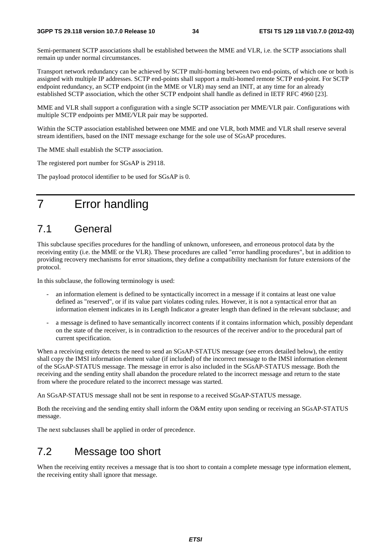Semi-permanent SCTP associations shall be established between the MME and VLR, i.e. the SCTP associations shall remain up under normal circumstances.

Transport network redundancy can be achieved by SCTP multi-homing between two end-points, of which one or both is assigned with multiple IP addresses. SCTP end-points shall support a multi-homed remote SCTP end-point. For SCTP endpoint redundancy, an SCTP endpoint (in the MME or VLR) may send an INIT, at any time for an already established SCTP association, which the other SCTP endpoint shall handle as defined in IETF RFC 4960 [23].

MME and VLR shall support a configuration with a single SCTP association per MME/VLR pair. Configurations with multiple SCTP endpoints per MME/VLR pair may be supported.

Within the SCTP association established between one MME and one VLR, both MME and VLR shall reserve several stream identifiers, based on the INIT message exchange for the sole use of SGsAP procedures.

The MME shall establish the SCTP association.

The registered port number for SGsAP is 29118.

The payload protocol identifier to be used for SGsAP is 0.

## 7 Error handling

## 7.1 General

This subclause specifies procedures for the handling of unknown, unforeseen, and erroneous protocol data by the receiving entity (i.e. the MME or the VLR). These procedures are called "error handling procedures", but in addition to providing recovery mechanisms for error situations, they define a compatibility mechanism for future extensions of the protocol.

In this subclause, the following terminology is used:

- an information element is defined to be syntactically incorrect in a message if it contains at least one value defined as "reserved", or if its value part violates coding rules. However, it is not a syntactical error that an information element indicates in its Length Indicator a greater length than defined in the relevant subclause; and
- a message is defined to have semantically incorrect contents if it contains information which, possibly dependant on the state of the receiver, is in contradiction to the resources of the receiver and/or to the procedural part of current specification.

When a receiving entity detects the need to send an SGsAP-STATUS message (see errors detailed below), the entity shall copy the IMSI information element value (if included) of the incorrect message to the IMSI information element of the SGsAP-STATUS message. The message in error is also included in the SGsAP-STATUS message. Both the receiving and the sending entity shall abandon the procedure related to the incorrect message and return to the state from where the procedure related to the incorrect message was started.

An SGsAP-STATUS message shall not be sent in response to a received SGsAP-STATUS message.

Both the receiving and the sending entity shall inform the O&M entity upon sending or receiving an SGsAP-STATUS message.

The next subclauses shall be applied in order of precedence.

### 7.2 Message too short

When the receiving entity receives a message that is too short to contain a complete message type information element, the receiving entity shall ignore that message.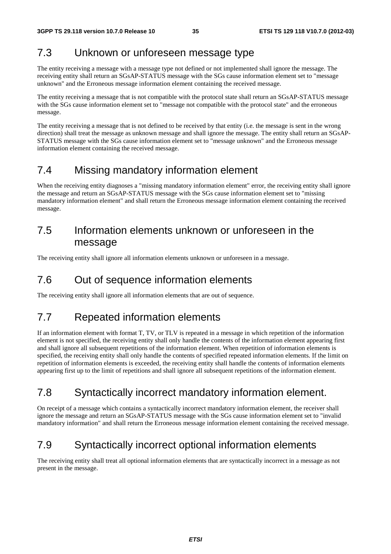### 7.3 Unknown or unforeseen message type

The entity receiving a message with a message type not defined or not implemented shall ignore the message. The receiving entity shall return an SGsAP-STATUS message with the SGs cause information element set to "message unknown" and the Erroneous message information element containing the received message.

The entity receiving a message that is not compatible with the protocol state shall return an SGsAP-STATUS message with the SGs cause information element set to "message not compatible with the protocol state" and the erroneous message.

The entity receiving a message that is not defined to be received by that entity (i.e. the message is sent in the wrong direction) shall treat the message as unknown message and shall ignore the message. The entity shall return an SGsAP-STATUS message with the SGs cause information element set to "message unknown" and the Erroneous message information element containing the received message.

## 7.4 Missing mandatory information element

When the receiving entity diagnoses a "missing mandatory information element" error, the receiving entity shall ignore the message and return an SGsAP-STATUS message with the SGs cause information element set to "missing mandatory information element" and shall return the Erroneous message information element containing the received message.

## 7.5 Information elements unknown or unforeseen in the message

The receiving entity shall ignore all information elements unknown or unforeseen in a message.

## 7.6 Out of sequence information elements

The receiving entity shall ignore all information elements that are out of sequence.

## 7.7 Repeated information elements

If an information element with format T, TV, or TLV is repeated in a message in which repetition of the information element is not specified, the receiving entity shall only handle the contents of the information element appearing first and shall ignore all subsequent repetitions of the information element. When repetition of information elements is specified, the receiving entity shall only handle the contents of specified repeated information elements. If the limit on repetition of information elements is exceeded, the receiving entity shall handle the contents of information elements appearing first up to the limit of repetitions and shall ignore all subsequent repetitions of the information element.

## 7.8 Syntactically incorrect mandatory information element.

On receipt of a message which contains a syntactically incorrect mandatory information element, the receiver shall ignore the message and return an SGsAP-STATUS message with the SGs cause information element set to "invalid mandatory information" and shall return the Erroneous message information element containing the received message.

## 7.9 Syntactically incorrect optional information elements

The receiving entity shall treat all optional information elements that are syntactically incorrect in a message as not present in the message.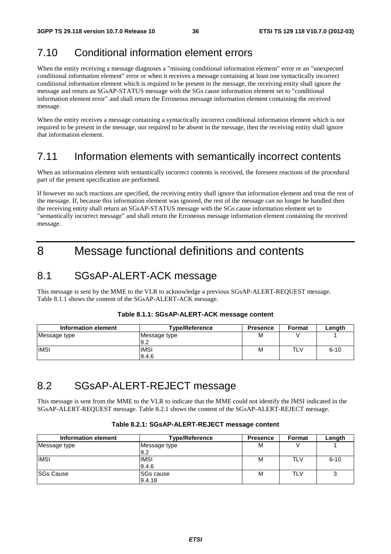## 7.10 Conditional information element errors

When the entity receiving a message diagnoses a "missing conditional information element" error or an "unexpected conditional information element" error or when it receives a message containing at least one syntactically incorrect conditional information element which is required to be present in the message, the receiving entity shall ignore the message and return an SGsAP-STATUS message with the SGs cause information element set to "conditional information element error" and shall return the Erroneous message information element containing the received message.

When the entity receives a message containing a syntactically incorrect conditional information element which is not required to be present in the message, nor required to be absent in the message, then the receiving entity shall ignore that information element.

## 7.11 Information elements with semantically incorrect contents

When an information element with semantically incorrect contents is received, the foreseen reactions of the procedural part of the present specification are performed.

If however no such reactions are specified, the receiving entity shall ignore that information element and treat the rest of the message. If, because this information element was ignored, the rest of the message can no longer be handled then the receiving entity shall return an SGsAP-STATUS message with the SGs cause information element set to "semantically incorrect message" and shall return the Erroneous message information element containing the received message.

## 8 Message functional definitions and contents

### 8.1 SGsAP-ALERT-ACK message

This message is sent by the MME to the VLR to acknowledge a previous SGsAP-ALERT-REQUEST message. Table 8.1.1 shows the content of the SGsAP-ALERT-ACK message.

| Information element | <b>Type/Reference</b> | <b>Presence</b> | <b>Format</b> | Length   |
|---------------------|-----------------------|-----------------|---------------|----------|
| Message type        | Message type<br>9.2   | M               |               |          |
| <b>IMSI</b>         | IMSI<br>9.4.6         | М               | TLV           | $6 - 10$ |

#### **Table 8.1.1: SGsAP-ALERT-ACK message content**

## 8.2 SGsAP-ALERT-REJECT message

This message is sent from the MME to the VLR to indicate that the MME could not identify the IMSI indicated in the SGsAP-ALERT-REQUEST message. Table 8.2.1 shows the content of the SGsAP-ALERT-REJECT message.

#### **Table 8.2.1: SGsAP-ALERT-REJECT message content**

| Information element | <b>Type/Reference</b>      | <b>Presence</b> | <b>Format</b> | Length   |
|---------------------|----------------------------|-----------------|---------------|----------|
| Message type        | Message type<br>9.2        | М               |               |          |
| <b>IMSI</b>         | <b>IMSI</b><br>9.4.6       | М               | TLV           | $6 - 10$ |
| <b>SGs Cause</b>    | <b>SGs cause</b><br>9.4.18 | м               | TLV           | w        |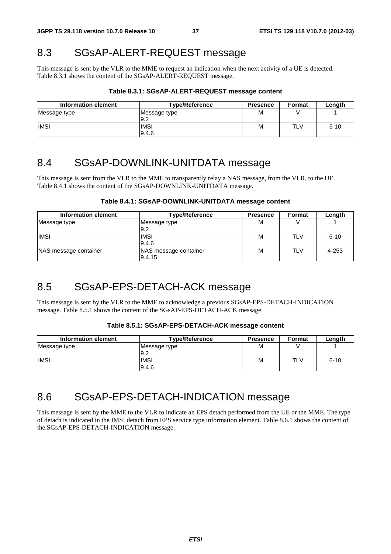## 8.3 SGsAP-ALERT-REQUEST message

This message is sent by the VLR to the MME to request an indication when the next activity of a UE is detected. Table 8.3.1 shows the content of the SGsAP-ALERT-REQUEST message.

#### **Table 8.3.1: SGsAP-ALERT-REQUEST message content**

| Information element | <b>Type/Reference</b> | <b>Presence</b> | Format | Lenath   |
|---------------------|-----------------------|-----------------|--------|----------|
| Message type        | Message type<br>9.2   | M               |        |          |
| <b>IMSI</b>         | <b>IMSI</b><br>9.4.6  | M               | TLV    | $6 - 10$ |

## 8.4 SGsAP-DOWNLINK-UNITDATA message

This message is sent from the VLR to the MME to transparently relay a NAS message, from the VLR, to the UE. Table 8.4.1 shows the content of the SGsAP-DOWNLINK-UNITDATA message.

#### **Table 8.4.1: SGsAP-DOWNLINK-UNITDATA message content**

| Information element   | <b>Type/Reference</b> | <b>Presence</b> | Format | Length    |
|-----------------------|-----------------------|-----------------|--------|-----------|
| Message type          | Message type          | М               |        |           |
|                       | 9.2                   |                 |        |           |
| <b>IMSI</b>           | <b>IMSI</b>           | М               | TLV    | $6 - 10$  |
|                       | 9.4.6                 |                 |        |           |
| NAS message container | NAS message container | М               | TLV    | $4 - 253$ |
|                       | 9.4.15                |                 |        |           |

## 8.5 SGsAP-EPS-DETACH-ACK message

This message is sent by the VLR to the MME to acknowledge a previous SGsAP-EPS-DETACH-INDICATION message. Table 8.5.1 shows the content of the SGsAP-EPS-DETACH-ACK message.

#### **Table 8.5.1: SGsAP-EPS-DETACH-ACK message content**

| Information element | <b>Type/Reference</b> | <b>Presence</b> | <b>Format</b> | Length   |
|---------------------|-----------------------|-----------------|---------------|----------|
| Message type        | Message type<br>9.2   | M               |               |          |
| <b>IMSI</b>         | <b>IMSI</b><br>9.4.6  | M               | TLV           | $6 - 10$ |

## 8.6 SGsAP-EPS-DETACH-INDICATION message

This message is sent by the MME to the VLR to indicate an EPS detach performed from the UE or the MME. The type of detach is indicated in the IMSI detach from EPS service type information element. Table 8.6.1 shows the content of the SGsAP-EPS-DETACH-INDICATION message.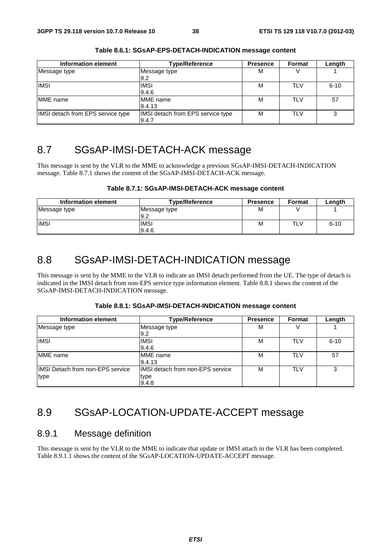| Information element               | <b>Type/Reference</b>                      | <b>Presence</b> | Format     | Length   |
|-----------------------------------|--------------------------------------------|-----------------|------------|----------|
| Message type                      | Message type<br>9.2                        | М               |            |          |
| <b>IMSI</b>                       | <b>IMSI</b><br>9.4.6                       | М               | TLV        | $6 - 10$ |
| MME name                          | <b>IMME</b> name<br>9.4.13                 | м               | <b>TLV</b> | 57       |
| IMSI detach from EPS service type | IMSI detach from EPS service type<br>9.4.7 | м               | <b>TLV</b> | 3        |

**Table 8.6.1: SGsAP-EPS-DETACH-INDICATION message content** 

## 8.7 SGsAP-IMSI-DETACH-ACK message

This message is sent by the VLR to the MME to acknowledge a previous SGsAP-IMSI-DETACH-INDICATION message. Table 8.7.1 shows the content of the SGsAP-IMSI-DETACH-ACK message.

| Table 8.7.1: SGsAP-IMSI-DETACH-ACK message content |  |
|----------------------------------------------------|--|
|----------------------------------------------------|--|

| Information element | <b>Type/Reference</b> | <b>Presence</b> | Format | Length   |
|---------------------|-----------------------|-----------------|--------|----------|
| Message type        | Message type<br>9.2   | M               |        |          |
| <b>IMSI</b>         | IMSI                  | M               | TLV    | $6 - 10$ |
|                     | 9.4.6                 |                 |        |          |

## 8.8 SGsAP-IMSI-DETACH-INDICATION message

This message is sent by the MME to the VLR to indicate an IMSI detach performed from the UE. The type of detach is indicated in the IMSI detach from non-EPS service type information element. Table 8.8.1 shows the content of the SGsAP-IMSI-DETACH-INDICATION message.

| Table 8.8.1: SGsAP-IMSI-DETACH-INDICATION message content |  |  |
|-----------------------------------------------------------|--|--|
|-----------------------------------------------------------|--|--|

| Information element                              | <b>Type/Reference</b>                              | <b>Presence</b> | Format     | Length   |
|--------------------------------------------------|----------------------------------------------------|-----------------|------------|----------|
| Message type                                     | Message type<br>9.2                                | M               |            |          |
| <b>IMSI</b>                                      | <b>IMSI</b><br>9.4.6                               | M               | <b>TLV</b> | $6 - 10$ |
| <b>IMME</b> name                                 | <b>MME</b> name<br>9.4.13                          | М               | <b>TLV</b> | 57       |
| <b>IIMSI Detach from non-EPS service</b><br>type | IIMSI detach from non-EPS service<br>type<br>9.4.8 | М               | <b>TLV</b> | 3        |

## 8.9 SGsAP-LOCATION-UPDATE-ACCEPT message

### 8.9.1 Message definition

This message is sent by the VLR to the MME to indicate that update or IMSI attach in the VLR has been completed. Table 8.9.1.1 shows the content of the SGsAP-LOCATION-UPDATE-ACCEPT message.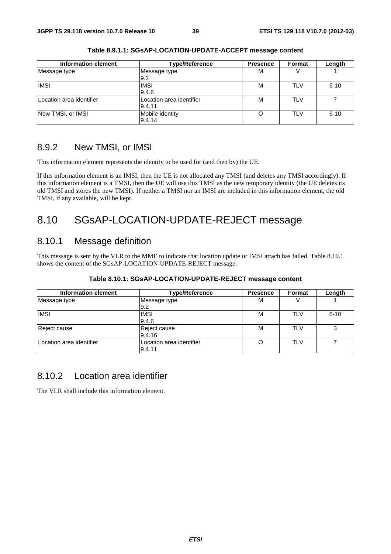| Information element      | <b>Type/Reference</b>    | <b>Presence</b> | Format     | Length   |
|--------------------------|--------------------------|-----------------|------------|----------|
| Message type             | Message type             | м               |            |          |
|                          | 9.2                      |                 |            |          |
| <b>IMSI</b>              | <b>IMSI</b>              | м               | TLV        | $6 - 10$ |
|                          | 9.4.6                    |                 |            |          |
| Location area identifier | Location area identifier | м               | <b>TLV</b> |          |
|                          | 9.4.11                   |                 |            |          |
| New TMSI, or IMSI        | Mobile identity          | $\Omega$        | <b>TLV</b> | $6 - 10$ |
|                          | 9.4.14                   |                 |            |          |

**Table 8.9.1.1: SGsAP-LOCATION-UPDATE-ACCEPT message content** 

### 8.9.2 New TMSI, or IMSI

This information element represents the identity to be used for (and then by) the UE.

If this information element is an IMSI, then the UE is not allocated any TMSI (and deletes any TMSI accordingly). If this information element is a TMSI, then the UE will use this TMSI as the new temporary identity (the UE deletes its old TMSI and stores the new TMSI). If neither a TMSI nor an IMSI are included in this information element, the old TMSI, if any available, will be kept.

## 8.10 SGsAP-LOCATION-UPDATE-REJECT message

### 8.10.1 Message definition

This message is sent by the VLR to the MME to indicate that location update or IMSI attach has failed. Table 8.10.1 shows the content of the SGsAP-LOCATION-UPDATE-REJECT message.

| Information element      | <b>Type/Reference</b>              | <b>Presence</b> | Format     | Length   |
|--------------------------|------------------------------------|-----------------|------------|----------|
| Message type             | Message type<br>9.2                | М               |            |          |
| <b>IMSI</b>              | <b>IMSI</b><br>9.4.6               | М               | <b>TLV</b> | $6 - 10$ |
| Reject cause             | Reject cause<br>9.4.16             | М               | <b>TLV</b> | 3        |
| Location area identifier | Location area identifier<br>9.4.11 |                 | <b>TLV</b> |          |

#### **Table 8.10.1: SGsAP-LOCATION-UPDATE-REJECT message content**

#### 8.10.2 Location area identifier

The VLR shall include this information element.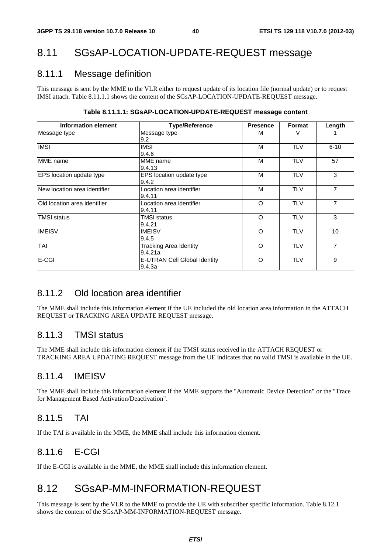## 8.11 SGsAP-LOCATION-UPDATE-REQUEST message

### 8.11.1 Message definition

This message is sent by the MME to the VLR either to request update of its location file (normal update) or to request IMSI attach. Table 8.11.1.1 shows the content of the SGsAP-LOCATION-UPDATE-REQUEST message.

| <b>Information element</b>          | <b>Type/Reference</b>                    | <b>Presence</b> | Format     | Length   |
|-------------------------------------|------------------------------------------|-----------------|------------|----------|
| Message type                        | Message type<br>9.2                      | м               | V          |          |
| <b>IMSI</b>                         | <b>IMSI</b><br>9.4.6                     | м               | <b>TLV</b> | $6 - 10$ |
| MME name                            | MME name<br>9.4.13                       | м               | <b>TLV</b> | 57       |
| EPS location update type            | EPS location update type<br>9.4.2        | M               | <b>TLV</b> | 3        |
| New location area identifier        | Location area identifier<br>9.4.11       | м               | <b>TLV</b> | 7        |
| <b>Old location area identifier</b> | Location area identifier<br>9.4.11       | $\circ$         | <b>TLV</b> | 7        |
| <b>TMSI</b> status                  | <b>TMSI</b> status<br>9.4.21             | O               | <b>TLV</b> | 3        |
| <b>IMEISV</b>                       | <b>IMEISV</b><br>9.4.5                   | $\circ$         | <b>TLV</b> | 10       |
| TAI                                 | <b>Tracking Area Identity</b><br>9.4.21a | $\circ$         | <b>TLV</b> | 7        |
| E-CGI                               | E-UTRAN Cell Global Identity<br>9.4.3a   | O               | <b>TLV</b> | 9        |

#### **Table 8.11.1.1: SGsAP-LOCATION-UPDATE-REQUEST message content**

### 8.11.2 Old location area identifier

The MME shall include this information element if the UE included the old location area information in the ATTACH REQUEST or TRACKING AREA UPDATE REQUEST message.

### 8.11.3 TMSI status

The MME shall include this information element if the TMSI status received in the ATTACH REQUEST or TRACKING AREA UPDATING REQUEST message from the UE indicates that no valid TMSI is available in the UE.

### 8.11.4 IMEISV

The MME shall include this information element if the MME supports the "Automatic Device Detection" or the "Trace for Management Based Activation/Deactivation".

### 8.11.5 TAI

If the TAI is available in the MME, the MME shall include this information element.

### 8.11.6 E-CGI

If the E-CGI is available in the MME, the MME shall include this information element.

## 8.12 SGsAP-MM-INFORMATION-REQUEST

This message is sent by the VLR to the MME to provide the UE with subscriber specific information. Table 8.12.1 shows the content of the SGsAP-MM-INFORMATION-REQUEST message.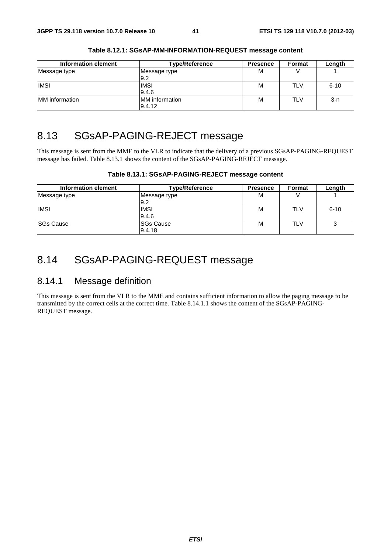| Information element | <b>Type/Reference</b>           | <b>Presence</b> | Format | Length   |
|---------------------|---------------------------------|-----------------|--------|----------|
| Message type        | Message type<br>9.2             | M               |        |          |
| <b>IMSI</b>         | <b>IMSI</b><br>9.4.6            | M               | TLV    | $6 - 10$ |
| MM information      | <b>MM</b> information<br>9.4.12 | M               | TLV    | $3-n$    |

**Table 8.12.1: SGsAP-MM-INFORMATION-REQUEST message content** 

## 8.13 SGsAP-PAGING-REJECT message

This message is sent from the MME to the VLR to indicate that the delivery of a previous SGsAP-PAGING-REQUEST message has failed. Table 8.13.1 shows the content of the SGsAP-PAGING-REJECT message.

| Information element | <b>Type/Reference</b>      | <b>Presence</b> | Format | Length   |
|---------------------|----------------------------|-----------------|--------|----------|
| Message type        | Message type<br>l9.2       | М               |        |          |
| <b>IMSI</b>         | <b>IMSI</b><br>9.4.6       | м               | TLV    | $6 - 10$ |
| <b>SGs Cause</b>    | <b>SGs Cause</b><br>9.4.18 | М               | TLV    | っ        |

**Table 8.13.1: SGsAP-PAGING-REJECT message content** 

## 8.14 SGsAP-PAGING-REQUEST message

### 8.14.1 Message definition

This message is sent from the VLR to the MME and contains sufficient information to allow the paging message to be transmitted by the correct cells at the correct time. Table 8.14.1.1 shows the content of the SGsAP-PAGING-REQUEST message.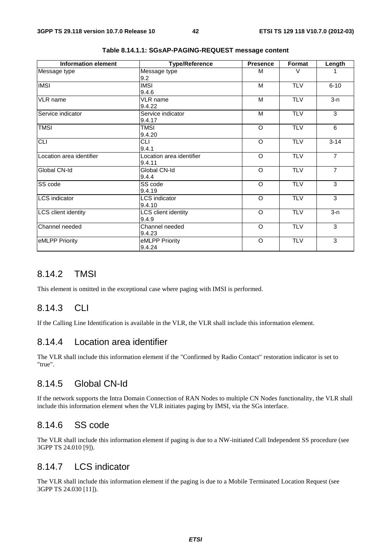| <b>Information element</b> | Type/Reference                     | <b>Presence</b> | Format     | Length         |
|----------------------------|------------------------------------|-----------------|------------|----------------|
| Message type               | Message type<br>9.2                | M               | $\vee$     |                |
| <b>IMSI</b>                | <b>IMSI</b><br>9.4.6               | M               | <b>TLV</b> | $6 - 10$       |
| <b>VLR</b> name            | VLR name<br>9.4.22                 | M               | <b>TLV</b> | $3-n$          |
| Service indicator          | Service indicator<br>9.4.17        | M               | <b>TLV</b> | 3              |
| <b>TMSI</b>                | <b>TMSI</b><br>9.4.20              | $\circ$         | <b>TLV</b> | 6              |
| CLI                        | <b>CLI</b><br>9.4.1                | $\circ$         | <b>TLV</b> | $3 - 14$       |
| Location area identifier   | Location area identifier<br>9.4.11 | $\circ$         | <b>TLV</b> | $\overline{7}$ |
| Global CN-Id               | Global CN-Id<br>9.4.4              | $\circ$         | <b>TLV</b> | $\overline{7}$ |
| SS code                    | SS code<br>9.4.19                  | $\circ$         | <b>TLV</b> | 3              |
| <b>LCS</b> indicator       | LCS indicator<br>9.4.10            | $\circ$         | <b>TLV</b> | 3              |
| <b>LCS</b> client identity | LCS client identity<br>9.4.9       | $\circ$         | <b>TLV</b> | $3 - n$        |
| Channel needed             | Channel needed<br>9.4.23           | $\circ$         | <b>TLV</b> | 3              |
| eMLPP Priority             | eMLPP Priority<br>9.4.24           | $\circ$         | <b>TLV</b> | 3              |

**Table 8.14.1.1: SGsAP-PAGING-REQUEST message content** 

### 8.14.2 TMSI

This element is omitted in the exceptional case where paging with IMSI is performed.

### 8.14.3 CLI

If the Calling Line Identification is available in the VLR, the VLR shall include this information element.

### 8.14.4 Location area identifier

The VLR shall include this information element if the "Confirmed by Radio Contact" restoration indicator is set to "true".

### 8.14.5 Global CN-Id

If the network supports the Intra Domain Connection of RAN Nodes to multiple CN Nodes functionality, the VLR shall include this information element when the VLR initiates paging by IMSI, via the SGs interface.

#### 8.14.6 SS code

The VLR shall include this information element if paging is due to a NW-initiated Call Independent SS procedure (see 3GPP TS 24.010 [9]).

### 8.14.7 LCS indicator

The VLR shall include this information element if the paging is due to a Mobile Terminated Location Request (see 3GPP TS 24.030 [11]).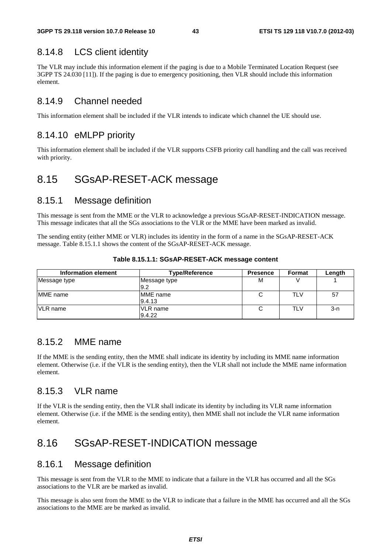### 8.14.8 LCS client identity

The VLR may include this information element if the paging is due to a Mobile Terminated Location Request (see 3GPP TS 24.030 [11]). If the paging is due to emergency positioning, then VLR should include this information element.

### 8.14.9 Channel needed

This information element shall be included if the VLR intends to indicate which channel the UE should use.

### 8.14.10 eMLPP priority

This information element shall be included if the VLR supports CSFB priority call handling and the call was received with priority.

## 8.15 SGsAP-RESET-ACK message

#### 8.15.1 Message definition

This message is sent from the MME or the VLR to acknowledge a previous SGsAP-RESET-INDICATION message. This message indicates that all the SGs associations to the VLR or the MME have been marked as invalid.

The sending entity (either MME or VLR) includes its identity in the form of a name in the SGsAP-RESET-ACK message. Table 8.15.1.1 shows the content of the SGsAP-RESET-ACK message.

| Information element | <b>Type/Reference</b>      | <b>Presence</b> | Format     | Length  |
|---------------------|----------------------------|-----------------|------------|---------|
| Message type        | Message type<br>9.2        | M               |            |         |
| <b>IMME</b> name    | <b>IMME</b> name<br>9.4.13 |                 | TLV        | 57      |
| <b>VLR</b> name     | VLR name<br>9.4.22         |                 | <b>TLV</b> | $3 - n$ |

**Table 8.15.1.1: SGsAP-RESET-ACK message content** 

### 8.15.2 MME name

If the MME is the sending entity, then the MME shall indicate its identity by including its MME name information element. Otherwise (i.e. if the VLR is the sending entity), then the VLR shall not include the MME name information element.

### 8.15.3 VLR name

If the VLR is the sending entity, then the VLR shall indicate its identity by including its VLR name information element. Otherwise (i.e. if the MME is the sending entity), then MME shall not include the VLR name information element.

## 8.16 SGsAP-RESET-INDICATION message

### 8.16.1 Message definition

This message is sent from the VLR to the MME to indicate that a failure in the VLR has occurred and all the SGs associations to the VLR are be marked as invalid.

This message is also sent from the MME to the VLR to indicate that a failure in the MME has occurred and all the SGs associations to the MME are be marked as invalid.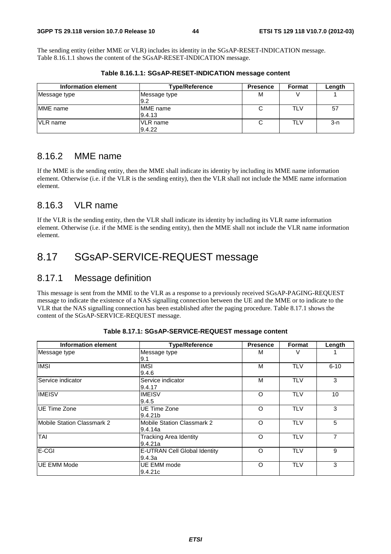The sending entity (either MME or VLR) includes its identity in the SGsAP-RESET-INDICATION message. Table 8.16.1.1 shows the content of the SGsAP-RESET-INDICATION message.

| Information element | <b>Type/Reference</b>      | <b>Presence</b> | <b>Format</b> | Length |
|---------------------|----------------------------|-----------------|---------------|--------|
| Message type        | Message type<br>9.2        | M               |               |        |
| IMME name           | <b>IMME</b> name<br>9.4.13 |                 | TLV           | 57     |
| <b>VLR</b> name     | <b>VLR</b> name<br>9.4.22  | C               | TLV           | $3-n$  |

**Table 8.16.1.1: SGsAP-RESET-INDICATION message content** 

### 8.16.2 MME name

If the MME is the sending entity, then the MME shall indicate its identity by including its MME name information element. Otherwise (i.e. if the VLR is the sending entity), then the VLR shall not include the MME name information element.

### 8.16.3 VLR name

If the VLR is the sending entity, then the VLR shall indicate its identity by including its VLR name information element. Otherwise (i.e. if the MME is the sending entity), then the MME shall not include the VLR name information element.

## 8.17 SGsAP-SERVICE-REQUEST message

### 8.17.1 Message definition

This message is sent from the MME to the VLR as a response to a previously received SGsAP-PAGING-REQUEST message to indicate the existence of a NAS signalling connection between the UE and the MME or to indicate to the VLR that the NAS signalling connection has been established after the paging procedure. Table 8.17.1 shows the content of the SGsAP-SERVICE-REQUEST message.

| <b>Information element</b> | <b>Type/Reference</b>             | <b>Presence</b> | <b>Format</b> | Length   |
|----------------------------|-----------------------------------|-----------------|---------------|----------|
| Message type               | Message type                      | М               |               |          |
|                            | 9.1                               |                 |               |          |
| <b>IMSI</b>                | <b>IMSI</b>                       | М               | <b>TLV</b>    | $6 - 10$ |
|                            | 9.4.6                             |                 |               |          |
| Service indicator          | Service indicator                 | М               | <b>TLV</b>    | 3        |
|                            | 9.4.17                            |                 |               |          |
| <b>IMEISV</b>              | <b>IMEISV</b>                     | O               | <b>TLV</b>    | 10       |
|                            | 9.4.5                             |                 |               |          |
| <b>IUE Time Zone</b>       | UE Time Zone                      | O               | <b>TLV</b>    | 3        |
|                            | 9.4.21b                           |                 |               |          |
| Mobile Station Classmark 2 | <b>Mobile Station Classmark 2</b> | O               | <b>TLV</b>    | 5        |
|                            | 9.4.14a                           |                 |               |          |
| TAI                        | <b>Tracking Area Identity</b>     | O               | <b>TLV</b>    | 7        |
|                            | 9.4.21a                           |                 |               |          |
| <b>E-CGI</b>               | E-UTRAN Cell Global Identity      | O               | <b>TLV</b>    | 9        |
|                            | 9.4.3a                            |                 |               |          |
| IUE EMM Mode               | UE EMM mode                       | $\circ$         | <b>TLV</b>    | 3        |
|                            | 9.4.21c                           |                 |               |          |

**Table 8.17.1: SGsAP-SERVICE-REQUEST message content**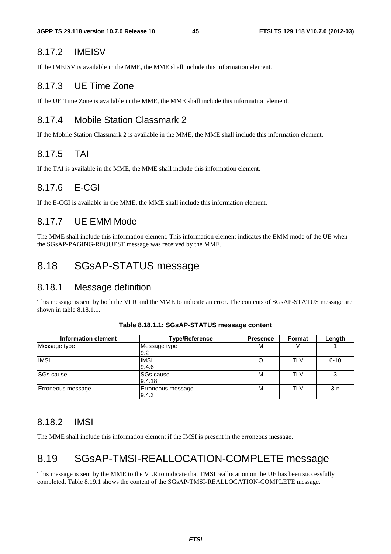#### 8.17.2 IMEISV

If the IMEISV is available in the MME, the MME shall include this information element.

### 8.17.3 UE Time Zone

If the UE Time Zone is available in the MME, the MME shall include this information element.

### 8.17.4 Mobile Station Classmark 2

If the Mobile Station Classmark 2 is available in the MME, the MME shall include this information element.

### 8.17.5 TAI

If the TAI is available in the MME, the MME shall include this information element.

### 8.17.6 E-CGI

If the E-CGI is available in the MME, the MME shall include this information element.

#### 8.17.7 UE EMM Mode

The MME shall include this information element. This information element indicates the EMM mode of the UE when the SGsAP-PAGING-REQUEST message was received by the MME.

### 8.18 SGsAP-STATUS message

#### 8.18.1 Message definition

This message is sent by both the VLR and the MME to indicate an error. The contents of SGsAP-STATUS message are shown in table 8.18.1.1.

| Information element | <b>Type/Reference</b>      | <b>Presence</b> | Format     | Length   |
|---------------------|----------------------------|-----------------|------------|----------|
| Message type        | Message type<br>9.2        | M               |            |          |
| <b>IMSI</b>         | <b>IMSI</b><br>9.4.6       | O               | <b>TLV</b> | $6 - 10$ |
| <b>SGs cause</b>    | ISGs cause<br>9.4.18       | М               | TLV        | 3        |
| Erroneous message   | Erroneous message<br>9.4.3 | М               | <b>TLV</b> | 3-n      |

#### **Table 8.18.1.1: SGsAP-STATUS message content**

### 8.18.2 IMSI

The MME shall include this information element if the IMSI is present in the erroneous message.

## 8.19 SGsAP-TMSI-REALLOCATION-COMPLETE message

This message is sent by the MME to the VLR to indicate that TMSI reallocation on the UE has been successfully completed. Table 8.19.1 shows the content of the SGsAP-TMSI-REALLOCATION-COMPLETE message.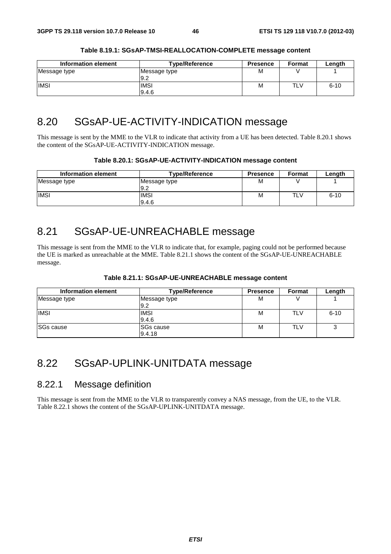| Information element | <b>Type/Reference</b> | <b>Presence</b> | <b>Format</b> | Lenath   |
|---------------------|-----------------------|-----------------|---------------|----------|
| Message type        | Message type<br>19.2  | М               |               |          |
| <b>IMSI</b>         | <b>IMSI</b><br>9.4.6  | М               | TLV           | $6 - 10$ |

#### **Table 8.19.1: SGsAP-TMSI-REALLOCATION-COMPLETE message content**

## 8.20 SGsAP-UE-ACTIVITY-INDICATION message

This message is sent by the MME to the VLR to indicate that activity from a UE has been detected. Table 8.20.1 shows the content of the SGsAP-UE-ACTIVITY-INDICATION message.

| Table 8.20.1: SGsAP-UE-ACTIVITY-INDICATION message content |  |
|------------------------------------------------------------|--|

| Information element | <b>Type/Reference</b> | <b>Presence</b> | <b>Format</b> | Length   |
|---------------------|-----------------------|-----------------|---------------|----------|
| Message type        | Message type<br>19.2  | М               |               |          |
| <b>IMSI</b>         | <b>IMSI</b><br>9.4.6  | M               | TLV           | $6 - 10$ |

## 8.21 SGsAP-UE-UNREACHABLE message

This message is sent from the MME to the VLR to indicate that, for example, paging could not be performed because the UE is marked as unreachable at the MME. Table 8.21.1 shows the content of the SGsAP-UE-UNREACHABLE message.

| Information element | <b>Type/Reference</b> | <b>Presence</b> | <b>Format</b> | Length   |
|---------------------|-----------------------|-----------------|---------------|----------|
| Message type        | Message type<br>9.2   | M               |               |          |
| <b>IMSI</b>         | <b>IMSI</b><br>9.4.6  | M               | TLV           | $6 - 10$ |
| <b>ISGs cause</b>   | ISGs cause<br>9.4.18  | M               | TLV           | ◠<br>ت   |

## 8.22 SGsAP-UPLINK-UNITDATA message

### 8.22.1 Message definition

This message is sent from the MME to the VLR to transparently convey a NAS message, from the UE, to the VLR. Table 8.22.1 shows the content of the SGsAP-UPLINK-UNITDATA message.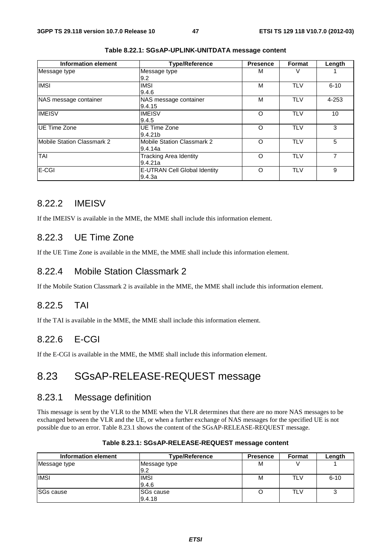| <b>Information element</b> | <b>Type/Reference</b>                        | <b>Presence</b> | Format     | Length   |
|----------------------------|----------------------------------------------|-----------------|------------|----------|
| Message type               | Message type                                 | М               |            |          |
| <b>IMSI</b>                | l9.2<br><b>IMSI</b><br>9.4.6                 | M               | <b>TLV</b> | $6 - 10$ |
| NAS message container      | NAS message container<br>9.4.15              | M               | <b>TLV</b> | 4-253    |
| <b>IMEISV</b>              | <b>IMEISV</b><br>9.4.5                       | O               | <b>TLV</b> | 10       |
| <b>IUE Time Zone</b>       | UE Time Zone<br>9.4.21 <sub>b</sub>          | O               | <b>TLV</b> | 3        |
| Mobile Station Classmark 2 | <b>Mobile Station Classmark 2</b><br>9.4.14a | O               | <b>TLV</b> | 5        |
| TAI                        | <b>Tracking Area Identity</b><br>9.4.21a     | O               | <b>TLV</b> | 7        |
| E-CGI                      | E-UTRAN Cell Global Identity<br>9.4.3a       | O               | <b>TLV</b> | 9        |

**Table 8.22.1: SGsAP-UPLINK-UNITDATA message content** 

### 8.22.2 IMEISV

If the IMEISV is available in the MME, the MME shall include this information element.

### 8.22.3 UE Time Zone

If the UE Time Zone is available in the MME, the MME shall include this information element.

### 8.22.4 Mobile Station Classmark 2

If the Mobile Station Classmark 2 is available in the MME, the MME shall include this information element.

### 8.22.5 TAI

If the TAI is available in the MME, the MME shall include this information element.

### 8.22.6 E-CGI

If the E-CGI is available in the MME, the MME shall include this information element.

## 8.23 SGsAP-RELEASE-REQUEST message

### 8.23.1 Message definition

This message is sent by the VLR to the MME when the VLR determines that there are no more NAS messages to be exchanged between the VLR and the UE, or when a further exchange of NAS messages for the specified UE is not possible due to an error. Table 8.23.1 shows the content of the SGsAP-RELEASE-REQUEST message.

| Information element | <b>Type/Reference</b>      | <b>Presence</b> | <b>Format</b> | Length   |
|---------------------|----------------------------|-----------------|---------------|----------|
| Message type        | Message type<br>9.2        | M               |               |          |
| <b>IMSI</b>         | <b>IMSI</b><br>9.4.6       | M               | TLV           | $6 - 10$ |
| <b>SGs cause</b>    | <b>SGs cause</b><br>9.4.18 |                 | TLV           | ົ        |

| Table 8.23.1: SGsAP-RELEASE-REQUEST message content |
|-----------------------------------------------------|
|-----------------------------------------------------|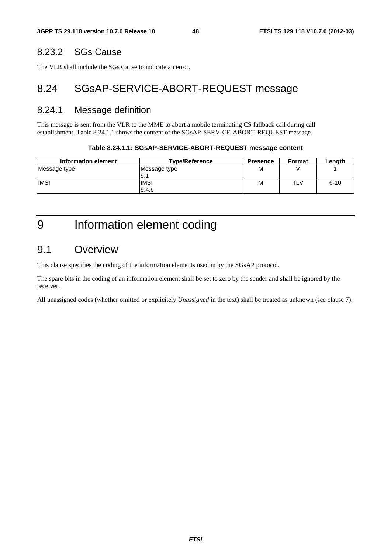### 8.23.2 SGs Cause

The VLR shall include the SGs Cause to indicate an error.

## 8.24 SGsAP-SERVICE-ABORT-REQUEST message

#### 8.24.1 Message definition

This message is sent from the VLR to the MME to abort a mobile terminating CS fallback call during call establishment. Table 8.24.1.1 shows the content of the SGsAP-SERVICE-ABORT-REQUEST message.

#### **Table 8.24.1.1: SGsAP-SERVICE-ABORT-REQUEST message content**

| Information element | <b>Type/Reference</b> | <b>Presence</b> | <b>Format</b> | Length   |
|---------------------|-----------------------|-----------------|---------------|----------|
| Message type        | Message type<br>I9.   | М               |               |          |
| <b>IMSI</b>         | <b>IMSI</b><br>9.4.6  | М               | TLV           | $6 - 10$ |

9 Information element coding

### 9.1 Overview

This clause specifies the coding of the information elements used in by the SGsAP protocol.

The spare bits in the coding of an information element shall be set to zero by the sender and shall be ignored by the receiver.

All unassigned codes (whether omitted or explicitely *Unassigned* in the text) shall be treated as unknown (see clause 7).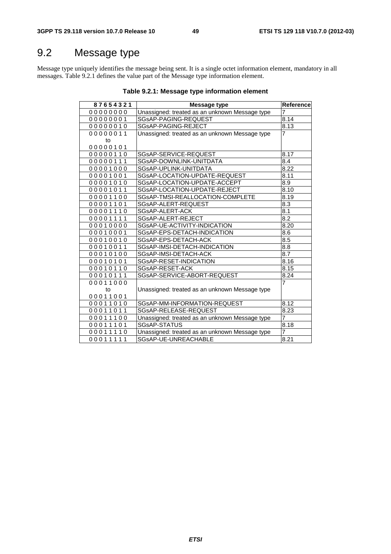## 9.2 Message type

Message type uniquely identifies the message being sent. It is a single octet information element, mandatory in all messages. Table 9.2.1 defines the value part of the Message type information element.

| 87654321 | Message type                                   | Reference        |
|----------|------------------------------------------------|------------------|
| 00000000 | Unassigned: treated as an unknown Message type | 7                |
| 00000001 | SGsAP-PAGING-REQUEST                           | 8.14             |
| 00000010 | SGsAP-PAGING-REJECT                            | 8.13             |
| 00000011 | Unassigned: treated as an unknown Message type | 7                |
| to       |                                                |                  |
| 00000101 |                                                |                  |
| 00000110 | SGsAP-SERVICE-REQUEST                          | 8.17             |
| 00000111 | SGsAP-DOWNLINK-UNITDATA                        | 8.4              |
| 00001000 | SGsAP-UPLINK-UNITDATA                          | 8.22             |
| 00001001 | SGsAP-LOCATION-UPDATE-REQUEST                  | 8.11             |
| 00001010 | SGsAP-LOCATION-UPDATE-ACCEPT                   | 8.9              |
| 00001011 | SGsAP-LOCATION-UPDATE-REJECT                   | 8.10             |
| 00001100 | SGsAP-TMSI-REALLOCATION-COMPLETE               | 8.19             |
| 00001101 | SGsAP-ALERT-REQUEST                            | 8.3              |
| 00001110 | SGsAP-ALERT-ACK                                | 8.1              |
| 00001111 | SGsAP-ALERT-REJECT                             | 8.2              |
| 00010000 | SGsAP-UE-ACTIVITY-INDICATION                   | 8.20             |
| 00010001 | SGsAP-EPS-DETACH-INDICATION                    | 8.6              |
| 00010010 | SGsAP-EPS-DETACH-ACK                           | 8.5              |
| 00010011 | SGsAP-IMSI-DETACH-INDICATION                   | $\overline{8.8}$ |
| 00010100 | SGsAP-IMSI-DETACH-ACK                          | 8.7              |
| 00010101 | SGsAP-RESET-INDICATION                         | 8.16             |
| 00010110 | SGsAP-RESET-ACK                                | 8.15             |
| 00010111 | SGsAP-SERVICE-ABORT-REQUEST                    | 8.24             |
| 00011000 |                                                | $\overline{7}$   |
| to       | Unassigned: treated as an unknown Message type |                  |
| 00011001 |                                                |                  |
| 00011010 | SGsAP-MM-INFORMATION-REQUEST                   | 8.12             |
| 00011011 | SGsAP-RELEASE-REQUEST                          | 8.23             |
| 00011100 | Unassigned: treated as an unknown Message type | 7                |
| 00011101 | <b>SGsAP-STATUS</b>                            | 8.18             |
| 00011110 | Unassigned: treated as an unknown Message type | $\overline{7}$   |
| 00011111 | SGsAP-UE-UNREACHABLE                           | 8.21             |

#### **Table 9.2.1: Message type information element**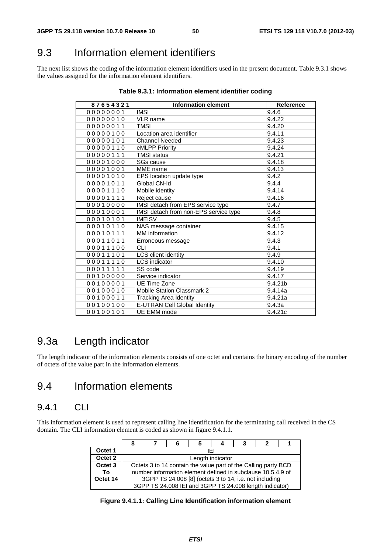## 9.3 Information element identifiers

The next list shows the coding of the information element identifiers used in the present document. Table 9.3.1 shows the values assigned for the information element identifiers.

| 87654321  | <b>Information element</b>            | <b>Reference</b> |
|-----------|---------------------------------------|------------------|
| 00000001  | <b>IMSI</b>                           | 9.4.6            |
| 000000010 | <b>VLR</b> name                       | 9.4.22           |
| 00000011  | <b>TMSI</b>                           | 9.4.20           |
| 00000100  | Location area identifier              | 9.4.11           |
| 00000101  | <b>Channel Needed</b>                 | 9.4.23           |
| 00000110  | eMLPP Priority                        | 9.4.24           |
| 00000111  | <b>TMSI status</b>                    | 9.4.21           |
| 00001000  | <b>SGs cause</b>                      | 9.4.18           |
| 00001001  | MME name                              | 9.4.13           |
| 00001010  | EPS location update type              | 9.4.2            |
| 00001011  | Global CN-Id                          | 9.4.4            |
| 00001110  | Mobile identity                       | 9.4.14           |
| 00001111  | Reject cause                          | 9.4.16           |
| 00010000  | IMSI detach from EPS service type     | 9.4.7            |
| 00010001  | IMSI detach from non-EPS service type | 9.4.8            |
| 00010101  | <b>IMEISV</b>                         | 9.4.5            |
| 00010110  | NAS message container                 | 9.4.15           |
| 00010111  | <b>MM</b> information                 | 9.4.12           |
| 00011011  | Erroneous message                     | 9.4.3            |
| 00011100  | СLІ                                   | 9.4.1            |
| 00011101  | LCS client identity                   | 9.4.9            |
| 00011110  | <b>LCS</b> indicator                  | 9.4.10           |
| 00011111  | SS code                               | 9.4.19           |
| 00100000  | Service indicator                     | 9.4.17           |
| 00100001  | UE Time Zone                          | 9.4.21b          |
| 00100010  | <b>Mobile Station Classmark 2</b>     | 9.4.14a          |
| 00100011  | Tracking Area Identity                | 9.4.21a          |
| 00100100  | <b>E-UTRAN Cell Global Identity</b>   | 9.4.3a           |
| 00100101  | <b>UE EMM</b> mode                    | 9.4.21c          |

| Table 9.3.1: Information element identifier coding |  |  |  |
|----------------------------------------------------|--|--|--|
|----------------------------------------------------|--|--|--|

## 9.3a Length indicator

The length indicator of the information elements consists of one octet and contains the binary encoding of the number of octets of the value part in the information elements.

## 9.4 Information elements

### 9.4.1 CLI

This information element is used to represent calling line identification for the terminating call received in the CS domain. The CLI information element is coded as shown in figure 9.4.1.1.

|          |                                                                |  |  | 4 | 3                                                       |  |  |  |
|----------|----------------------------------------------------------------|--|--|---|---------------------------------------------------------|--|--|--|
| Octet 1  | IEI                                                            |  |  |   |                                                         |  |  |  |
| Octet 2  | Length indicator                                               |  |  |   |                                                         |  |  |  |
| Octet 3  | Octets 3 to 14 contain the value part of the Calling party BCD |  |  |   |                                                         |  |  |  |
| To       | number information element defined in subclause 10.5.4.9 of    |  |  |   |                                                         |  |  |  |
| Octet 14 | 3GPP TS 24.008 [8] (octets 3 to 14, i.e. not including         |  |  |   |                                                         |  |  |  |
|          |                                                                |  |  |   | 3GPP TS 24.008 IEI and 3GPP TS 24.008 length indicator) |  |  |  |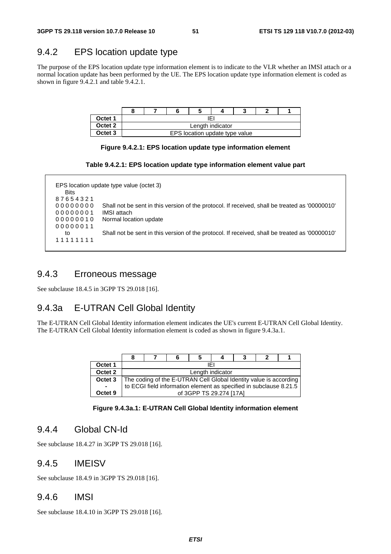### 9.4.2 EPS location update type

The purpose of the EPS location update type information element is to indicate to the VLR whether an IMSI attach or a normal location update has been performed by the UE. The EPS location update type information element is coded as shown in figure 9.4.2.1 and table 9.4.2.1.

| Octet 1 | IEI              |  |                                |  |  |  |  |
|---------|------------------|--|--------------------------------|--|--|--|--|
| Octet 2 | Length indicator |  |                                |  |  |  |  |
| Octet 3 |                  |  | EPS location update type value |  |  |  |  |

#### **Figure 9.4.2.1: EPS location update type information element**

|  | Table 9.4.2.1: EPS location update type information element value part |  |  |  |  |
|--|------------------------------------------------------------------------|--|--|--|--|
|--|------------------------------------------------------------------------|--|--|--|--|

| <b>Bits</b> | EPS location update type value (octet 3)                                                       |
|-------------|------------------------------------------------------------------------------------------------|
| 87654321    |                                                                                                |
| 00000000    | Shall not be sent in this version of the protocol. If received, shall be treated as '00000010' |
| 00000001    | IMSI attach                                                                                    |
| 00000010    | Normal location update                                                                         |
| 00000011    |                                                                                                |
| to          | Shall not be sent in this version of the protocol. If received, shall be treated as '00000010' |
| 11111111    |                                                                                                |

### 9.4.3 Erroneous message

See subclause 18.4.5 in 3GPP TS 29.018 [16].

### 9.4.3a E-UTRAN Cell Global Identity

The E-UTRAN Cell Global Identity information element indicates the UE's current E-UTRAN Cell Global Identity. The E-UTRAN Cell Global Identity information element is coded as shown in figure 9.4.3a.1.

| Octet 1 | IFI                                                                |  |                         |  |  |  |  |  |
|---------|--------------------------------------------------------------------|--|-------------------------|--|--|--|--|--|
| Octet 2 | Length indicator                                                   |  |                         |  |  |  |  |  |
| Octet 3 | The coding of the E-UTRAN Cell Global Identity value is according  |  |                         |  |  |  |  |  |
|         | to ECGI field information element as specified in subclause 8.21.5 |  |                         |  |  |  |  |  |
| Octet 9 |                                                                    |  | of 3GPP TS 29.274 [17A] |  |  |  |  |  |

**Figure 9.4.3a.1: E-UTRAN Cell Global Identity information element** 

### 9.4.4 Global CN-Id

See subclause 18.4.27 in 3GPP TS 29.018 [16].

#### 9.4.5 IMEISV

See subclause 18.4.9 in 3GPP TS 29.018 [16].

#### 9.4.6 IMSI

See subclause 18.4.10 in 3GPP TS 29.018 [16].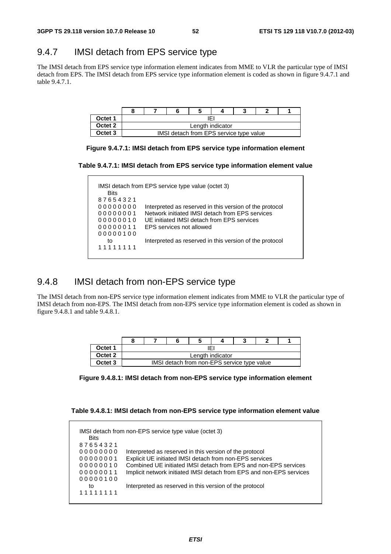## 9.4.7 IMSI detach from EPS service type

The IMSI detach from EPS service type information element indicates from MME to VLR the particular type of IMSI detach from EPS. The IMSI detach from EPS service type information element is coded as shown in figure 9.4.7.1 and table 9.4.7.1.

| Octet 1 | IFI              |  |                                         |  |  |  |  |
|---------|------------------|--|-----------------------------------------|--|--|--|--|
| Octet 2 | Length indicator |  |                                         |  |  |  |  |
| Octet 3 |                  |  | IMSI detach from EPS service type value |  |  |  |  |



**Table 9.4.7.1: IMSI detach from EPS service type information element value** 

| <b>Bits</b> |                                                         |
|-------------|---------------------------------------------------------|
| 87654321    |                                                         |
| 00000000    | Interpreted as reserved in this version of the protocol |
| 00000001    | Network initiated IMSI detach from EPS services         |
| 00000010    | UE initiated IMSI detach from EPS services              |
| 00000011    | <b>EPS</b> services not allowed                         |
| 00000100    |                                                         |
| to          | Interpreted as reserved in this version of the protocol |
| 11111111    |                                                         |

### 9.4.8 IMSI detach from non-EPS service type

The IMSI detach from non-EPS service type information element indicates from MME to VLR the particular type of IMSI detach from non-EPS. The IMSI detach from non-EPS service type information element is coded as shown in figure 9.4.8.1 and table 9.4.8.1.

| Octet 1            | IFI              |  |                                             |  |  |  |  |
|--------------------|------------------|--|---------------------------------------------|--|--|--|--|
| Octet <sub>2</sub> | Length indicator |  |                                             |  |  |  |  |
| Octet <sub>3</sub> |                  |  | IMSI detach from non-EPS service type value |  |  |  |  |

**Table 9.4.8.1: IMSI detach from non-EPS service type information element value** 

| <b>Bits</b> |                                                                      |
|-------------|----------------------------------------------------------------------|
| 87654321    |                                                                      |
| 00000000    | Interpreted as reserved in this version of the protocol              |
| 00000001    | Explicit UE initiated IMSI detach from non-EPS services              |
| 00000010    | Combined UE initiated IMSI detach from EPS and non-EPS services      |
| 00000011    | Implicit network initiated IMSI detach from EPS and non-EPS services |
| 00000100    |                                                                      |
| to          | Interpreted as reserved in this version of the protocol              |
| 11111111    |                                                                      |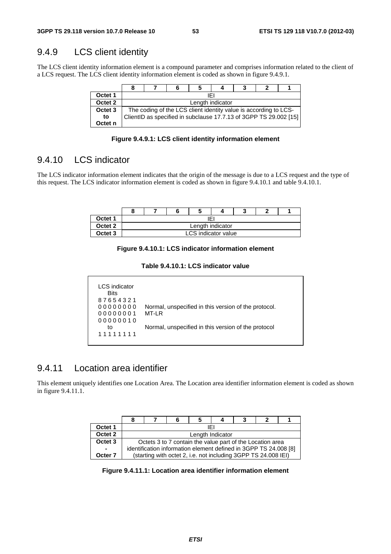### 9.4.9 LCS client identity

The LCS client identity information element is a compound parameter and comprises information related to the client of a LCS request. The LCS client identity information element is coded as shown in figure 9.4.9.1.

| Octet 1            | IFI                                                               |  |  |  |  |  |  |  |  |  |
|--------------------|-------------------------------------------------------------------|--|--|--|--|--|--|--|--|--|
| Octet <sub>2</sub> | Length indicator                                                  |  |  |  |  |  |  |  |  |  |
| Octet <sub>3</sub> | The coding of the LCS client identity value is according to LCS-  |  |  |  |  |  |  |  |  |  |
| to                 | ClientID as specified in subclause 17.7.13 of 3GPP TS 29.002 [15] |  |  |  |  |  |  |  |  |  |
| Octet n            |                                                                   |  |  |  |  |  |  |  |  |  |

**Figure 9.4.9.1: LCS client identity information element** 

### 9.4.10 LCS indicator

The LCS indicator information element indicates that the origin of the message is due to a LCS request and the type of this request. The LCS indicator information element is coded as shown in figure 9.4.10.1 and table 9.4.10.1.

| Octet 1            | ΙF                  |  |  |  |  |  |  |  |  |
|--------------------|---------------------|--|--|--|--|--|--|--|--|
| Octet <sub>2</sub> | Length indicator    |  |  |  |  |  |  |  |  |
| Octet <sub>3</sub> | LCS indicator value |  |  |  |  |  |  |  |  |

**Figure 9.4.10.1: LCS indicator information element** 

#### **Table 9.4.10.1: LCS indicator value**

| LCS indicator |                                                      |
|---------------|------------------------------------------------------|
| <b>Bits</b>   |                                                      |
| 87654321      |                                                      |
| 00000000      | Normal, unspecified in this version of the protocol. |
| 00000001      | MT-LR                                                |
| 00000010      |                                                      |
| to            | Normal, unspecified in this version of the protocol  |
| 11111111      |                                                      |
|               |                                                      |

#### 9.4.11 Location area identifier

This element uniquely identifies one Location Area. The Location area identifier information element is coded as shown in figure 9.4.11.1.

|                    |                                                                  | 6 |                  |  | 3                                                              |  |  |
|--------------------|------------------------------------------------------------------|---|------------------|--|----------------------------------------------------------------|--|--|
| Octet 1            |                                                                  |   | IFI              |  |                                                                |  |  |
| Octet 2            |                                                                  |   | Length Indicator |  |                                                                |  |  |
| Octet <sub>3</sub> |                                                                  |   |                  |  | Octets 3 to 7 contain the value part of the Location area      |  |  |
| $\blacksquare$     | identification information element defined in 3GPP TS 24.008 [8] |   |                  |  |                                                                |  |  |
| Octer 7            |                                                                  |   |                  |  | (starting with octet 2, i.e. not including 3GPP TS 24.008 IEI) |  |  |

**Figure 9.4.11.1: Location area identifier information element**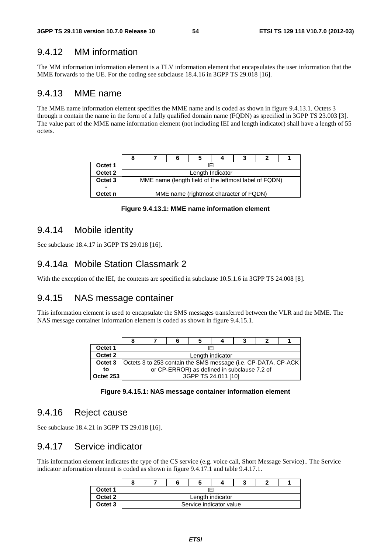### 9.4.12 MM information

The MM information information element is a TLV information element that encapsulates the user information that the MME forwards to the UE. For the coding see subclause 18.4.16 in 3GPP TS 29.018 [16].

#### 9.4.13 MME name

The MME name information element specifies the MME name and is coded as shown in figure 9.4.13.1. Octets 3 through n contain the name in the form of a fully qualified domain name (FQDN) as specified in 3GPP TS 23.003 [3]. The value part of the MME name information element (not including IEI and length indicator) shall have a length of 55 octets.

| Octet 1            | IFI              |  |                                                       |  |  |  |  |  |  |
|--------------------|------------------|--|-------------------------------------------------------|--|--|--|--|--|--|
| Octet 2            | Length Indicator |  |                                                       |  |  |  |  |  |  |
| Octet <sub>3</sub> |                  |  | MME name (length field of the leftmost label of FQDN) |  |  |  |  |  |  |
|                    |                  |  |                                                       |  |  |  |  |  |  |
| Octet n            |                  |  | MME name (rightmost character of FQDN)                |  |  |  |  |  |  |

**Figure 9.4.13.1: MME name information element** 

#### 9.4.14 Mobile identity

See subclause 18.4.17 in 3GPP TS 29.018 [16].

#### 9.4.14a Mobile Station Classmark 2

With the exception of the IEI, the contents are specified in subclause 10.5.1.6 in 3GPP TS 24.008 [8].

### 9.4.15 NAS message container

This information element is used to encapsulate the SMS messages transferred between the VLR and the MME. The NAS message container information element is coded as shown in figure 9.4.15.1.

|                    |                                                                |                                             |  |                     |  | з |  |  |  |  |  |
|--------------------|----------------------------------------------------------------|---------------------------------------------|--|---------------------|--|---|--|--|--|--|--|
| Octet 1            |                                                                | IFI                                         |  |                     |  |   |  |  |  |  |  |
| Octet 2            |                                                                | Length indicator                            |  |                     |  |   |  |  |  |  |  |
| Octet <sub>3</sub> | Octets 3 to 253 contain the SMS message (i.e. CP-DATA, CP-ACK) |                                             |  |                     |  |   |  |  |  |  |  |
| to                 |                                                                | or CP-ERROR) as defined in subclause 7.2 of |  |                     |  |   |  |  |  |  |  |
| Octet 253          |                                                                |                                             |  | 3GPP TS 24.011 [10] |  |   |  |  |  |  |  |

#### **Figure 9.4.15.1: NAS message container information element**

#### 9.4.16 Reject cause

See subclause 18.4.21 in 3GPP TS 29.018 [16].

#### 9.4.17 Service indicator

This information element indicates the type of the CS service (e.g. voice call, Short Message Service).. The Service indicator information element is coded as shown in figure 9.4.17.1 and table 9.4.17.1.

|                    |                         |  |  |  | w |  |  |  |  |
|--------------------|-------------------------|--|--|--|---|--|--|--|--|
| Octet 1            | ١E١                     |  |  |  |   |  |  |  |  |
| Octet <sub>2</sub> | Length indicator        |  |  |  |   |  |  |  |  |
| Octet 3            | Service indicator value |  |  |  |   |  |  |  |  |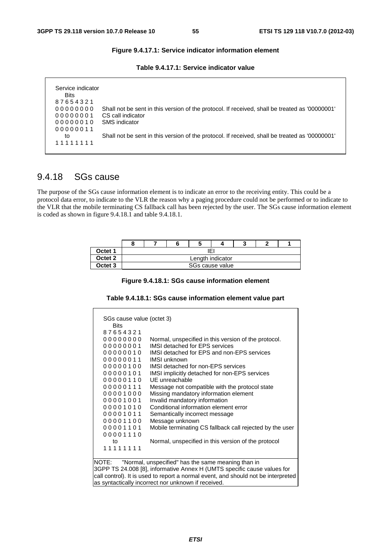#### **Figure 9.4.17.1: Service indicator information element**

| Table 9.4.17.1: Service indicator value |  |  |  |
|-----------------------------------------|--|--|--|
|-----------------------------------------|--|--|--|

| Service indicator |                                                                                                |
|-------------------|------------------------------------------------------------------------------------------------|
| <b>Bits</b>       |                                                                                                |
| 87654321          |                                                                                                |
| 00000000          | Shall not be sent in this version of the protocol. If received, shall be treated as '00000001' |
| 00000001          | CS call indicator                                                                              |
| 00000010          | SMS indicator                                                                                  |
| 00000011          |                                                                                                |
| to                | Shall not be sent in this version of the protocol. If received, shall be treated as '00000001' |
| 11111111          |                                                                                                |

#### 9.4.18 SGs cause

The purpose of the SGs cause information element is to indicate an error to the receiving entity. This could be a protocol data error, to indicate to the VLR the reason why a paging procedure could not be performed or to indicate to the VLR that the mobile terminating CS fallback call has been rejected by the user. The SGs cause information element is coded as shown in figure 9.4.18.1 and table 9.4.18.1.

| Octet 1            | IEI              |  |                 |  |  |  |  |
|--------------------|------------------|--|-----------------|--|--|--|--|
| Octet 2            | Length indicator |  |                 |  |  |  |  |
| Octet <sub>3</sub> |                  |  | SGs cause value |  |  |  |  |

|  |  |  |  |  | Figure 9.4.18.1: SGs cause information element |
|--|--|--|--|--|------------------------------------------------|
|--|--|--|--|--|------------------------------------------------|

| Table 9.4.18.1: SGs cause information element value part |  |
|----------------------------------------------------------|--|
|----------------------------------------------------------|--|

| SGs cause value (octet 3) |                                                                                   |  |  |  |  |  |  |
|---------------------------|-----------------------------------------------------------------------------------|--|--|--|--|--|--|
| <b>Bits</b>               |                                                                                   |  |  |  |  |  |  |
| 87654321                  |                                                                                   |  |  |  |  |  |  |
| 00000000                  | Normal, unspecified in this version of the protocol.                              |  |  |  |  |  |  |
| 00000001                  | <b>IMSI detached for EPS services</b>                                             |  |  |  |  |  |  |
| 00000010                  | IMSI detached for EPS and non-EPS services                                        |  |  |  |  |  |  |
| 00000011                  | <b>IMSI</b> unknown                                                               |  |  |  |  |  |  |
| 00000100                  | IMSI detached for non-EPS services                                                |  |  |  |  |  |  |
| 00000101                  | IMSI implicitly detached for non-EPS services                                     |  |  |  |  |  |  |
| 00000110                  | UE unreachable                                                                    |  |  |  |  |  |  |
| 00000111                  | Message not compatible with the protocol state                                    |  |  |  |  |  |  |
| 00001000                  | Missing mandatory information element                                             |  |  |  |  |  |  |
| 00001001                  | Invalid mandatory information                                                     |  |  |  |  |  |  |
| 00001010                  | Conditional information element error                                             |  |  |  |  |  |  |
| 00001011                  | Semantically incorrect message                                                    |  |  |  |  |  |  |
| 00001100                  | Message unknown                                                                   |  |  |  |  |  |  |
| 00001101                  | Mobile terminating CS fallback call rejected by the user                          |  |  |  |  |  |  |
| 00001110                  |                                                                                   |  |  |  |  |  |  |
| to                        | Normal, unspecified in this version of the protocol                               |  |  |  |  |  |  |
| 11111111                  |                                                                                   |  |  |  |  |  |  |
|                           |                                                                                   |  |  |  |  |  |  |
| NOTE:                     | "Normal, unspecified" has the same meaning than in                                |  |  |  |  |  |  |
|                           | 3GPP TS 24.008 [8], informative Annex H (UMTS specific cause values for           |  |  |  |  |  |  |
|                           | call control). It is used to report a normal event, and should not be interpreted |  |  |  |  |  |  |
|                           | as syntactically incorrect nor unknown if received.                               |  |  |  |  |  |  |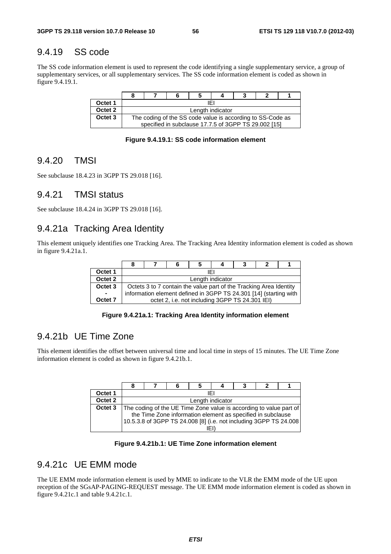### 9.4.19 SS code

The SS code information element is used to represent the code identifying a single supplementary service, a group of supplementary services, or all supplementary services. The SS code information element is coded as shown in figure 9.4.19.1.

| Octet 1            | IFI              |  |                                                                                                                    |  |  |  |  |
|--------------------|------------------|--|--------------------------------------------------------------------------------------------------------------------|--|--|--|--|
| Octet <sub>2</sub> | Length indicator |  |                                                                                                                    |  |  |  |  |
| Octet <sub>3</sub> |                  |  | The coding of the SS code value is according to SS-Code as<br>specified in subclause 17.7.5 of 3GPP TS 29.002 [15] |  |  |  |  |

**Figure 9.4.19.1: SS code information element** 

### 9.4.20 TMSI

See subclause 18.4.23 in 3GPP TS 29.018 [16].

#### 9.4.21 TMSI status

See subclause 18.4.24 in 3GPP TS 29.018 [16].

#### 9.4.21a Tracking Area Identity

This element uniquely identifies one Tracking Area. The Tracking Area Identity information element is coded as shown in figure 9.4.21a.1.

|                    |                                                                    |  |                                                 |  | 3 |  |  |  |  |
|--------------------|--------------------------------------------------------------------|--|-------------------------------------------------|--|---|--|--|--|--|
| Octet 1            | IFI                                                                |  |                                                 |  |   |  |  |  |  |
| Octet 2            | Length indicator                                                   |  |                                                 |  |   |  |  |  |  |
| Octet <sub>3</sub> | Octets 3 to 7 contain the value part of the Tracking Area Identity |  |                                                 |  |   |  |  |  |  |
| $\sim$             | information element defined in 3GPP TS 24.301 [14] (starting with  |  |                                                 |  |   |  |  |  |  |
| Octet <sub>7</sub> |                                                                    |  | octet 2, i.e. not including 3GPP TS 24.301 IEI) |  |   |  |  |  |  |

**Figure 9.4.21a.1: Tracking Area Identity information element** 

### 9.4.21b UE Time Zone

This element identifies the offset between universal time and local time in steps of 15 minutes. The UE Time Zone information element is coded as shown in figure 9.4.21b.1.

| Octet 1 | IFI                                                                |  |     |  |  |  |  |  |  |
|---------|--------------------------------------------------------------------|--|-----|--|--|--|--|--|--|
| Octet 2 | Length indicator                                                   |  |     |  |  |  |  |  |  |
| Octet 3 | The coding of the UE Time Zone value is according to value part of |  |     |  |  |  |  |  |  |
|         | the Time Zone information element as specified in subclause        |  |     |  |  |  |  |  |  |
|         | 10.5.3.8 of 3GPP TS 24.008 [8] (i.e. not including 3GPP TS 24.008  |  |     |  |  |  |  |  |  |
|         |                                                                    |  | iEl |  |  |  |  |  |  |

**Figure 9.4.21b.1: UE Time Zone information element** 

### 9.4.21c UE EMM mode

The UE EMM mode information element is used by MME to indicate to the VLR the EMM mode of the UE upon reception of the SGsAP-PAGING-REQUEST message. The UE EMM mode information element is coded as shown in figure 9.4.21c.1 and table 9.4.21c.1.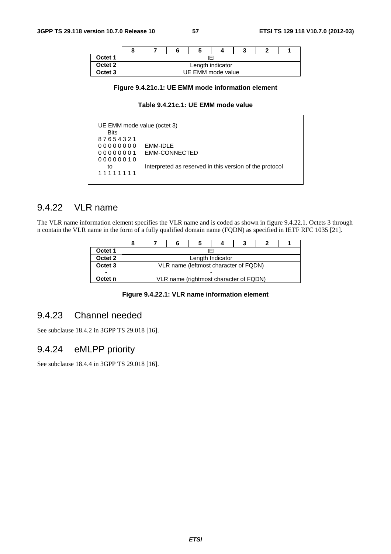|                    |                  |  |                   |  | w |  |  |
|--------------------|------------------|--|-------------------|--|---|--|--|
| Octet 1            | IEI              |  |                   |  |   |  |  |
| Octet <sub>2</sub> | Length indicator |  |                   |  |   |  |  |
| Octet 3            |                  |  | UE EMM mode value |  |   |  |  |

#### **Figure 9.4.21c.1: UE EMM mode information element**

#### **Table 9.4.21c.1: UE EMM mode value**

 UE EMM mode value (octet 3) Bits 8 7 6 5 4 3 2 1 0 0 0 0 0 0 0 0 EMM-IDLE 0 0 0 0 0 0 0 1 EMM-CONNECTED 0 0 0 0 0 0 1 0 to Interpreted as reserved in this version of the protocol 1 1 1 1 1 1 1 1

### 9.4.22 VLR name

The VLR name information element specifies the VLR name and is coded as shown in figure 9.4.22.1. Octets 3 through n contain the VLR name in the form of a fully qualified domain name (FQDN) as specified in IETF RFC 1035 [21].

| Octet 1            | IFI                                   |  |  |  |                                        |  |  |  |  |
|--------------------|---------------------------------------|--|--|--|----------------------------------------|--|--|--|--|
| Octet 2            | Length Indicator                      |  |  |  |                                        |  |  |  |  |
| Octet <sub>3</sub> | VLR name (leftmost character of FQDN) |  |  |  |                                        |  |  |  |  |
| $\blacksquare$     | -                                     |  |  |  |                                        |  |  |  |  |
| Octet n            |                                       |  |  |  | VLR name (rightmost character of FQDN) |  |  |  |  |

#### **Figure 9.4.22.1: VLR name information element**

### 9.4.23 Channel needed

See subclause 18.4.2 in 3GPP TS 29.018 [16].

### 9.4.24 eMLPP priority

See subclause 18.4.4 in 3GPP TS 29.018 [16].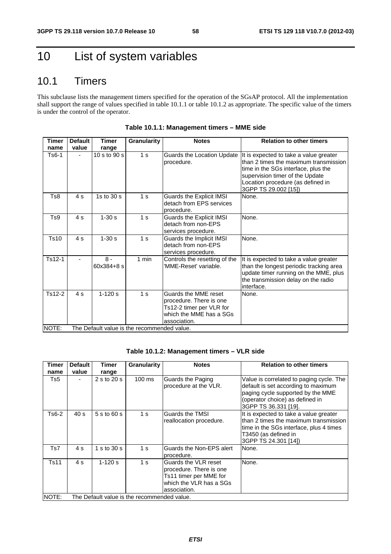## 10 List of system variables

## 10.1 Timers

This subclause lists the management timers specified for the operation of the SGsAP protocol. All the implementation shall support the range of values specified in table 10.1.1 or table 10.1.2 as appropriate. The specific value of the timers is under the control of the operator.

| <b>Timer</b> | <b>Default</b> | Timer               | <b>Granularity</b>                          | <b>Notes</b>                                                                                                           | <b>Relation to other timers</b>                                                                                                                                                                                        |
|--------------|----------------|---------------------|---------------------------------------------|------------------------------------------------------------------------------------------------------------------------|------------------------------------------------------------------------------------------------------------------------------------------------------------------------------------------------------------------------|
| name         | value          | range               |                                             |                                                                                                                        |                                                                                                                                                                                                                        |
| Ts6-1        |                | 10 s to 90 s        | 1 <sub>s</sub>                              | Guards the Location Update<br>procedure.                                                                               | It is expected to take a value greater<br>than 2 times the maximum transmission<br>time in the SGs interface, plus the<br>supervision timer of the Update<br>Location procedure (as defined in<br>3GPP TS 29.002 [15]) |
| Ts8          | 4s             | 1s to $30 s$        | 1 <sub>s</sub>                              | Guards the Explicit IMSI<br>detach from EPS services<br>procedure.                                                     | None.                                                                                                                                                                                                                  |
| Ts9          | 4s             | $1 - 30s$           | 1 <sub>s</sub>                              | Guards the Explicit IMSI<br>detach from non-EPS<br>services procedure.                                                 | None.                                                                                                                                                                                                                  |
| Ts10         | 4s             | $1 - 30s$           | 1 <sub>s</sub>                              | Guards the Implicit IMSI<br>detach from non-EPS<br>services procedure.                                                 | None.                                                                                                                                                                                                                  |
| Ts12-1       |                | $8 -$<br>60x384+8 s | $1$ min                                     | Controls the resetting of the<br>'MME-Reset' variable.                                                                 | It is expected to take a value greater<br>than the longest periodic tracking area<br>update timer running on the MME, plus<br>the transmission delay on the radio<br>interface.                                        |
| Ts12-2       | 4s             | $1 - 120s$          | 1 <sub>s</sub>                              | Guards the MME reset<br>procedure. There is one<br>Ts12-2 timer per VLR for<br>which the MME has a SGs<br>association. | None.                                                                                                                                                                                                                  |
| NOTE:        |                |                     | The Default value is the recommended value. |                                                                                                                        |                                                                                                                                                                                                                        |

**Table 10.1.1: Management timers – MME side** 

|  | Table 10.1.2: Management timers - VLR side |  |  |
|--|--------------------------------------------|--|--|
|--|--------------------------------------------|--|--|

| Timer | <b>Default</b> | Timer         | Granularity                                 | <b>Notes</b>                                                                                                         | <b>Relation to other timers</b>                                                                                                                                                 |
|-------|----------------|---------------|---------------------------------------------|----------------------------------------------------------------------------------------------------------------------|---------------------------------------------------------------------------------------------------------------------------------------------------------------------------------|
|       |                |               |                                             |                                                                                                                      |                                                                                                                                                                                 |
| name  | value          | range         |                                             |                                                                                                                      |                                                                                                                                                                                 |
| Ts5   |                | 2 s to 20 s   | $100 \text{ ms}$                            | Guards the Paging<br>procedure at the VLR.                                                                           | Value is correlated to paging cycle. The<br>default is set according to maximum<br>paging cycle supported by the MME<br>(operator choice) as defined in<br>3GPP TS 36.331 [19]. |
| Ts6-2 | 40 s           | 5 s to 60 s   | 1 <sub>s</sub>                              | Guards the TMSI<br>reallocation procedure.                                                                           | It is expected to take a value greater<br>than 2 times the maximum transmission<br>time in the SGs interface, plus 4 times<br>T3450 (as defined in<br>3GPP TS 24.301 [14])      |
| Ts7   | 4 s            | 1 s to $30 s$ | 1 <sub>s</sub>                              | Guards the Non-EPS alert<br>procedure.                                                                               | None.                                                                                                                                                                           |
| Ts11  | 4 s            | $1 - 120$ s   | 1 <sub>s</sub>                              | Guards the VLR reset<br>procedure. There is one<br>Ts11 timer per MME for<br>which the VLR has a SGs<br>association. | None.                                                                                                                                                                           |
| NOTE: |                |               | The Default value is the recommended value. |                                                                                                                      |                                                                                                                                                                                 |

*ETSI*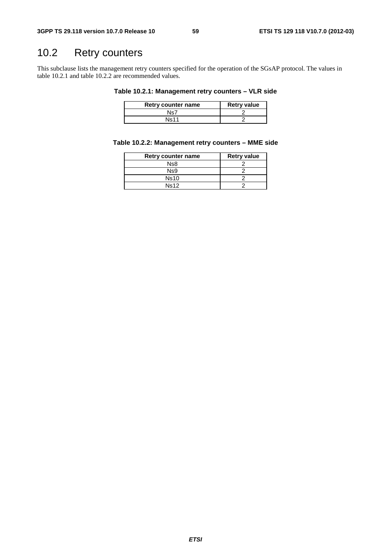## 10.2 Retry counters

This subclause lists the management retry counters specified for the operation of the SGsAP protocol. The values in table 10.2.1 and table 10.2.2 are recommended values.

#### **Table 10.2.1: Management retry counters – VLR side**

| Retry counter name | <b>Retry value</b> |
|--------------------|--------------------|
| Ns7                |                    |
| <b>Ns11</b>        |                    |

#### **Table 10.2.2: Management retry counters – MME side**

| Retry counter name | <b>Retry value</b> |
|--------------------|--------------------|
| Ns8                |                    |
| Ns9                |                    |
| <b>Ns10</b>        |                    |
| Ns12               |                    |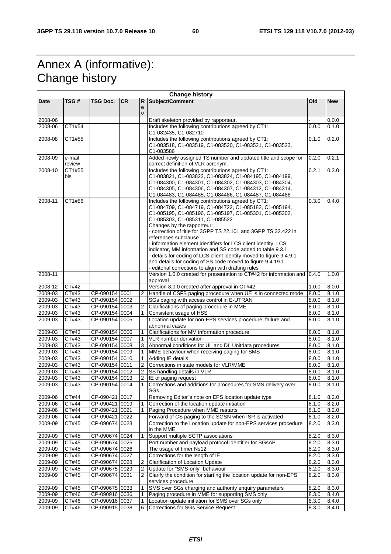## Annex A (informative): Change history

| <b>Change history</b> |        |                                  |     |                |                                                                                                                              |                |                |
|-----------------------|--------|----------------------------------|-----|----------------|------------------------------------------------------------------------------------------------------------------------------|----------------|----------------|
| <b>Date</b>           | TSG #  | <b>TSG Doc.</b>                  | CR. | R              | Subject/Comment                                                                                                              | <b>Old</b>     | <b>New</b>     |
|                       |        |                                  |     | e              |                                                                                                                              |                |                |
|                       |        |                                  |     | $\mathbf{v}$   |                                                                                                                              |                |                |
| 2008-06<br>2008-06    | CT1#54 |                                  |     |                | Draft skeleton provided by rapporteur.<br>Includes the following contributions agreed by CT1:                                | 0.0.0          | 0.0.0<br>0.1.0 |
|                       |        |                                  |     |                | C1-082435, C1-082710                                                                                                         |                |                |
| 2008-08               | CT1#55 |                                  |     |                | Includes the following contributions agreed by CT1:                                                                          | 0.1.0          | 0.2.0          |
|                       |        |                                  |     |                | C1-083518, C1-083519, C1-083520, C1-083521, C1-083523,                                                                       |                |                |
|                       |        |                                  |     |                | C1-083586                                                                                                                    |                |                |
| 2008-09               | e-mail |                                  |     |                | Added newly assigned TS number and updated title and scope for                                                               | 0.2.0          | 0.2.1          |
|                       | review |                                  |     |                | correct definition of VLR acronym.                                                                                           |                |                |
| 2008-10               | CT1#55 |                                  |     |                | Includes the following contributions agreed by CT1:                                                                          | 0.2.1          | 0.3.0          |
|                       | bis    |                                  |     |                | C1-083821, C1-083822, C1-083824, C1-084195, C1-084199,                                                                       |                |                |
|                       |        |                                  |     |                | C1-084300, C1-084301, C1-084302, C1-084303, C1-084304,<br>C1-084305, C1-084306, C1-084307, C1-084312, C1-084314,             |                |                |
|                       |        |                                  |     |                | C1-084483, C1-084485, C1-084486, C1-084487, C1-084488                                                                        |                |                |
| $2008 - 11$           | CT1#56 |                                  |     |                | Includes the following contributions agreed by CT1:                                                                          | 0.3.0          | 0.4.0          |
|                       |        |                                  |     |                | C1-084709, C1-084719, C1-084722, C1-085182, C1-085194,                                                                       |                |                |
|                       |        |                                  |     |                | C1-085195, C1-085196, C1-085197, C1-085301, C1-085302,                                                                       |                |                |
|                       |        |                                  |     |                | C1-085303, C1-085311, C1-085522                                                                                              |                |                |
|                       |        |                                  |     |                | Changes by the rapporteur:                                                                                                   |                |                |
|                       |        |                                  |     |                | - correction of title for 3GPP TS 22.101 and 3GPP TS 32.422 in                                                               |                |                |
|                       |        |                                  |     |                | references subclause                                                                                                         |                |                |
|                       |        |                                  |     |                | - information element identifiers for LCS client identity. LCS<br>indicator, MM information and SS code added to table 9.3.1 |                |                |
|                       |        |                                  |     |                | - details for coding of LCS client identity moved to figure 9.4.9.1                                                          |                |                |
|                       |        |                                  |     |                | and details for coding of SS code moved to figure 9.4.19.1                                                                   |                |                |
|                       |        |                                  |     |                | - editorial corrections to align with drafting rules                                                                         |                |                |
| 2008-11               |        |                                  |     |                | Version 1.0.0 created for presentation to CT#42 for information and 0.4.0                                                    |                | 1.0.0          |
|                       |        |                                  |     |                | approval                                                                                                                     |                |                |
| 2008-12               | CT#42  |                                  |     |                | Version 8.0.0 created after approval in CT#42                                                                                | 1.0.0          | 8.0.0          |
| 2009-03               | CT#43  | CP-090154 0001                   |     | 2              | Handle of CSFB paging procedure when UE is in connected mode                                                                 | 8.0.0          | 8.1.0          |
| 2009-03               | CT#43  | CP-090154 0002                   |     |                | SGs paging with access control in E-UTRAN                                                                                    | 8.0.0          | 8.1.0          |
| 2009-03               | CT#43  | CP-090154 0003                   |     | 2              | Clarifications of paging procedure in MME                                                                                    | 8.0.0          | 8.1.0          |
| 2009-03               | CT#43  | CP-090154 0004                   |     | 1              | Consistent usage of HSS                                                                                                      | 8.0.0          | 8.1.0          |
| $2009 - 03$           | CT#43  | CP-090154 0005                   |     |                | Location update for non-EPS services procedure: failure and                                                                  | 8.0.0          | 8.1.0          |
| 2009-03               | CT#43  | CP-090154 0006                   |     | 1              | abnormal cases<br>Clarifications for MM information procedure                                                                | 8.0.0          | 8.1.0          |
| 2009-03               | CT#43  | CP-090154 0007                   |     | 1              | VLR number derivation                                                                                                        | 8.0.0          | 8.1.0          |
| 2009-03               | CT#43  | CP-090154 0008                   |     | 3              | Abnormal conditions for UL and DL Unitdata procedures                                                                        | 8.0.0          | 8.1.0          |
| 2009-03               | CT#43  | CP-090154 0009                   |     | 1              | MME behaviour when receiving paging for SMS                                                                                  | 8.0.0          | 8.1.0          |
| 2009-03               | CT#43  | CP-090154 0010                   |     | $\mathbf{1}$   | Adding IE details                                                                                                            | 8.0.0          | 8.1.0          |
| 2009-03               | CT#43  | CP-090154 0011                   |     | 2              | Corrections in state models for VLR/MME                                                                                      | 8.0.0          | 8.1.0          |
| 2009-03               | CT#43  | CP-090154 0012                   |     | $\overline{2}$ | SS handling details in VLR                                                                                                   | 8.0.0          | 8.1.0          |
| 2009-03               | CT#43  | CP-090154 0013                   |     | $\overline{2}$ | IE of paging request                                                                                                         | 8.0.0          | 8.1.0          |
| 2009-03               | CT#43  | CP-090154 0014                   |     |                | Corrections and additions for procedures for SMS delivery over                                                               | 8.0.0          | 8.1.0          |
|                       |        |                                  |     |                | SGs                                                                                                                          |                |                |
| 2009-06               | CT#44  | CP-090421 0017                   |     |                | Removing Editor"s note on EPS location update type                                                                           | 8.1.0          | 8.2.0          |
| 2009-06               | CT#44  | CP-090421 0019                   |     |                | Correction of the location update initiation                                                                                 | 8.1.0          | 8.2.0          |
| 2009-06               | CT#44  | CP-090421 0021                   |     | 1              | Paging Procedure when MME restarts                                                                                           | 8.1.0          | 8.2.0          |
| 2009-06               | CT#44  | CP-090421 0022                   |     |                | Forward of CS paging to the SGSN when ISR is activated                                                                       | 8.1.0          | 8.2.0          |
| 2009-09               | CT#45  | CP-090674 0023                   |     |                | Correction to the Location update for non-EPS services procedure                                                             | 8.2.0          | 8.3.0          |
| 2009-09               | CT#45  |                                  |     | 1              | in the MME<br>Support multiple SCTP associations                                                                             |                |                |
| 2009-09               | CT#45  | CP-090674 0024<br>CP-090674 0025 |     |                | Port number and payload protocol identifier for SGsAP                                                                        | 8.2.0<br>8.2.0 | 8.3.0<br>8.3.0 |
| 2009-09               | CT#45  | CP-090674 0026                   |     |                | The usage of timer Ns12                                                                                                      | 8.2.0          | 8.3.0          |
| 2009-09               | CT#45  | CP-090674 0027                   |     |                | Corrections for the length of IE                                                                                             | 8.2.0          | 8.3.0          |
| 2009-09               | CT#45  | CP-090674 0028                   |     | $\overline{2}$ | Clarification of Location Update                                                                                             | 8.2.0          | 8.3.0          |
| $2009 - 09$           | CT#45  | CP-090675 0029                   |     | 2              | Update for "SMS-only" behaviour                                                                                              | 8.2.0          | 8.3.0          |
| 2009-09               | CT#45  | CP-090674 0031                   |     | $\overline{2}$ | Clarify the condition for starting the location update for non-EPS                                                           | 8.2.0          | 8.3.0          |
|                       |        |                                  |     |                | services procedure                                                                                                           |                |                |
| 2009-09               | CT#45  | CP-090675 0033                   |     | 1              | SMS over SGs charging and authority enquiry parameters                                                                       | 8.2.0          | 8.3.0          |
| 2009-09               | CT#46  | CP-090916 0036                   |     | 1              | Paging procedure in MME for supporting SMS only                                                                              | 8.3.0          | 8.4.0          |
| 2009-09               | CT#46  | CP-090916 0037                   |     | 1              | Location update initiation for SMS over SGs only                                                                             | 8.3.0          | 8.4.0          |
| 2009-09               | CT#46  | CP-090915 0038                   |     | 6              | Corrections for SGs Service Request                                                                                          | 8.3.0          | 8.4.0          |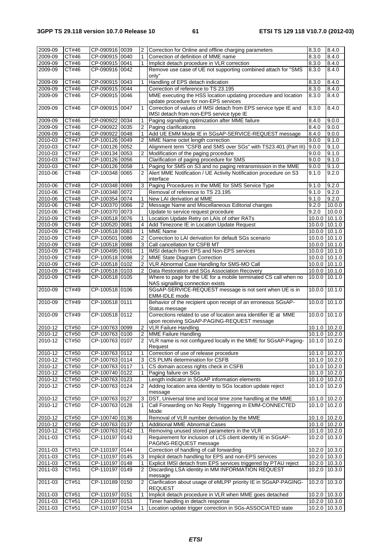| 2009-09     | CT#46        | CP-090916 0039 | 2              | Correction for Online and offline charging parameters                         | 8.3.0             | 8.4.0         |
|-------------|--------------|----------------|----------------|-------------------------------------------------------------------------------|-------------------|---------------|
| 2009-09     | CT#46        | CP-090915 0040 | 1              | Correction of definition of MME name                                          | 8.3.0             | 8.4.0         |
| 2009-09     | CT#46        | CP-090915 0041 | 1              | Implicit detach procedure in VLR correction                                   | 8.3.0             | 8.4.0         |
| 2009-09     | CT#46        | CP-090916 0042 |                | Remove use case of UE not supporting combined attach for "SMS                 | 8.3.0             | 8.4.0         |
|             |              |                |                | only"                                                                         |                   |               |
| 2009-09     | CT#46        | CP-090915 0043 | 1              | Handling of EPS detach indication                                             | 8.3.0             | 8.4.0         |
| 2009-09     | CT#46        | CP-090915 0044 |                | Correction of reference to TS 23.195                                          | 8.3.0             | 8.4.0         |
|             |              |                |                |                                                                               |                   |               |
| 2009-09     | CT#46        | CP-090915 0046 |                | MME executing the HSS location updating procedure and location                | 8.3.0             | 8.4.0         |
|             |              |                |                | update procedure for non-EPS services                                         |                   |               |
| 2009-09     | CT#46        | CP-090915 0047 |                | Correction of values of IMSI detach from EPS service type IE and              | 8.3.0             | 8.4.0         |
|             |              |                |                | IMSI detach from non-EPS service type IE                                      |                   |               |
| 2009-09     | CT#46        | CP-090922 0034 | 1              | Paging signalling optimization after MME failure                              | 8.4.0             | 9.0.0         |
| 2009-09     | CT#46        | CP-090922 0035 | 2              | Paging clarifications                                                         | 8.4.0             | 9.0.0         |
| 2009-09     | CT#46        | CP-090922 0048 | 1              | Add UE EMM Mode IE in SGsAP-SERVICE-REQUEST message                           | 8.4.0             | 9.0.0         |
|             |              |                |                |                                                                               |                   |               |
| 2010-03     | CT#47        | CP-100126 0049 | $\overline{2}$ | MME Name octet length correction                                              | 9.0.0             | 9.1.0         |
| $2010 - 03$ | CT#47        | CP-100126 0052 |                | Alignment term "CSFB and SMS over SGs" with TS23.401 (Part III)               | 9.0.0             | 9.1.0         |
| 2010-03     | CT#47        | CP-100134 0053 | $\overline{2}$ | Modification of the paging procedure                                          | 9.0.0             | 9.1.0         |
| 2010-03     | <b>CT#47</b> | CP-100126 0056 |                | Clarification of paging procedure for SMS                                     | 9.0.0             | 9.1.0         |
| 2010-03     | CT#47        | CP-100126 0058 |                | Paging for SMS on S3 and no paging retransmission in the MME                  | 9.0.0             | 9.1.0         |
| 2010-06     | CT#48        | CP-100348 0065 | $\overline{2}$ | Alert MME Notification / UE Activity Notification procedure on S3             | 9.1.0             | 9.2.0         |
|             |              |                |                |                                                                               |                   |               |
|             |              |                |                | interface                                                                     |                   |               |
| 2010-06     | CT#48        | CP-100348 0069 | 3              | Paging Procedures in the MME for SMS Service Type                             | 9.1.0             | 9.2.0         |
| 2010-06     | CT#48        | CP-100348 0072 |                | Removal of reference to TS 23.195                                             | 9.1.0             | 9.2.0         |
| 2010-06     | CT#48        | CP-100354 0074 | 1              | New LAI derivation at MME                                                     | 9.1.0             | 9.2.0         |
| 2010-06     | <b>CT#48</b> | CP-100370 0066 | $\overline{2}$ | Message Name and Miscellaneous Editorial changes                              | 9.2.0             | 10.0.0        |
| $2010 - 06$ | CT#48        | CP-100370 0073 |                | Update to service request procedure                                           | 9.2.0             | 10.0.0        |
|             |              |                |                |                                                                               |                   |               |
| 2010-09     | CT#49        | CP-100518 0076 | 1              | Location Update Retry on LAIs of other RATs                                   | 10.0.0            | 10.1.0        |
| 2010-09     | CT#49        | CP-100520 0081 | 4              | Add Timezone IE in Location Update Request                                    | 10.0.0 10.1.0     |               |
| $2010 - 09$ | CT#49        | CP-100518 0083 | $\mathbf{1}$   | <b>MME Name</b>                                                               | 10.0.0 10.1.0     |               |
| 2010-09     | CT#49        | CP-100501 0086 | $\overline{2}$ | Correction to LAI derivation for default SGs scenario                         | 10.0.0 10.1.0     |               |
| 2010-09     | CT#49        | CP-100518 0088 | 3              | Call cancellation for CSFB MT                                                 | 10.0.0 10.1.0     |               |
| 2010-09     | CT#49        | CP-100495 0091 | 1              | IMSI detach from EPS and Non-EPS services                                     | 10.0.0 10.1.0     |               |
|             |              |                |                |                                                                               |                   |               |
| 2010-09     | CT#49        | CP-100518 0098 | $\overline{2}$ | MME State Diagram Correction                                                  | 10.0.0 10.1.0     |               |
| 2010-09     | CT#49        | CP-100518 0102 | $\overline{2}$ | VLR Abnormal Case Handling for SMS-MO Call                                    | 10.0.0 10.1.0     |               |
| 2010-09     | CT#49        | CP-100518 0103 | $\overline{2}$ | Data Restoration and SGs Association Recovery                                 | 10.0.0 10.1.0     |               |
| 2010-09     | CT#49        | CP-100518 0105 |                | Where to page for the UE for a mobile terminated CS call when no              | 10.0.0 10.1.0     |               |
|             |              |                |                | NAS signalling connection exists                                              |                   |               |
| 2010-09     | CT#49        | CP-100518 0106 |                | SGsAP-SERVICE-REQUEST message is not sent when UE is in                       | 10.0.0 10.1.0     |               |
|             |              |                |                |                                                                               |                   |               |
|             |              |                |                | EMM-IDLE mode                                                                 |                   |               |
| 2010-09     | CT#49        | CP-100518 0111 |                | Behavior of the recipient upon receipt of an erroneous SGsAP-                 | 10.0.0            | 10.1.0        |
|             |              |                |                | Status message                                                                |                   |               |
| 2010-09     | CT#49        | CP-100518 0112 |                | Corrections related to use of location area identifier IE at MME              | 10.0.0            | 10.1.0        |
|             |              |                |                | upon receiving SGsAP-PAGING-REQUEST message                                   |                   |               |
| 2010-12     | CT#50        | CP-100763 0099 | $\overline{2}$ | <b>VLR Failure Handling</b>                                                   | 10.1.0 10.2.0     |               |
| 2010-12     | CT#50        | CP-100763 0100 |                | <b>MME Failure Handling</b>                                                   | 10.1.0 10.2.0     |               |
|             |              |                | $\overline{2}$ |                                                                               |                   |               |
| 2010-12     | CT#50        | CP-100763 0107 |                | VLR name is not configured locally in the MME for SGsAP-Paging- 10.1.0 10.2.0 |                   |               |
|             |              |                |                | Request                                                                       |                   |               |
| 2010-12     | CT#50        | CP-100763 0112 | 1              | Correction of use of release procedure                                        | 10.1.0 10.2.0     |               |
| 2010-12     | CT#50        | CP-100763 0114 | 3              | CS PLMN determination for CSFB                                                | 10.1.0 10.2.0     |               |
| $2010 - 12$ | CT#50        | CP-100763 0117 |                | CS domain access rights check in CSFB                                         | 10.1.0 10.2.0     |               |
|             |              |                |                |                                                                               |                   |               |
| 2010-12     | CT#50        | CP-100740 0122 | 1              | Paging failure on SGs                                                         | 10.1.0 10.2.0     |               |
| 2010-12     | CT#50        | CP-100763 0123 |                | Length indicator in SGsAP information elements                                | 10.1.0 10.2.0     |               |
| 2010-12     | CT#50        | CP-100763 0124 | $\overline{2}$ | Adding location area identity to SGs location update reject                   | 10.1.0            | 10.2.0        |
|             |              |                |                | message                                                                       |                   |               |
| 2010-12     | CT#50        | CP-100763 0127 | 3              | DST, Universal time and local time zone handling at the MME                   | 10.1.0 10.2.0     |               |
| 2010-12     | CT#50        | CP-100763 0128 | 1              | Call Forwarding on No Reply Triggering in EMM-CONNECTED                       | 10.1.0 10.2.0     |               |
|             |              |                |                | Mode                                                                          |                   |               |
|             |              | CP-100740 0136 |                |                                                                               | 10.1.0 10.2.0     |               |
| 2010-12     | CT#50        |                |                | Removal of VLR number derivation by the MME                                   |                   |               |
| 2010-12     | CT#50        | CP-100763 0137 | 1              | Additional MME Abnormal Cases                                                 | 10.1.0 10.2.0     |               |
| 2010-12     | CT#50        | CP-100763 0142 | 1              | Removing unused stored parameters in the VLR                                  | $10.1.0$ $10.2.0$ |               |
| 2011-03     | CT#51        | CP-110197 0143 |                | Requirement for inclusion of LCS client identity IE in SGsAP-                 | 10.2.0            | 10.3.0        |
|             |              |                |                | PAGING-REQUEST message                                                        |                   |               |
| 2011-03     | CT#51        | CP-110197 0144 |                | Correction of handling of call forwarding                                     | 10.2.0 10.3.0     |               |
| 2011-03     | CT#51        | CP-110197 0145 | 3              | Implicit detach handling for EPS and non-EPS services                         | 10.2.0 10.3.0     |               |
|             |              |                |                |                                                                               |                   |               |
| 2011-03     | CT#51        | CP-110197 0148 | 1              | Explicit IMSI detach from EPS services triggered by PTAU reject               | 10.2.0 10.3.0     |               |
| 2011-03     | CT#51        | CP-110197 0149 | 2              | Discarding LSA identity in MM INFORMATION REQUEST                             | 10.2.0 10.3.0     |               |
|             |              |                |                | message                                                                       |                   |               |
| 2011-03     | CT#51        | CP-110189 0150 | $\overline{2}$ | Clarification about usage of eMLPP priority IE in SGsAP-PAGING-               | 10.2.0 10.3.0     |               |
|             |              |                |                | <b>REQUEST</b>                                                                |                   |               |
| 2011-03     | CT#51        | CP-110197 0151 | 1              | Implicit detach procedure in VLR when MME goes detached                       | 10.2.0 10.3.0     |               |
| 2011-03     | CT#51        | CP-110197 0153 |                | Timer handling in detach response                                             | 10.2.0 10.3.0     |               |
|             |              |                |                |                                                                               |                   |               |
| 2011-03     | CT#51        | CP-110197 0154 | $\mathbf{1}$   | Location update trigger correction in SGs-ASSOCIATED state                    |                   | 10.2.0 10.3.0 |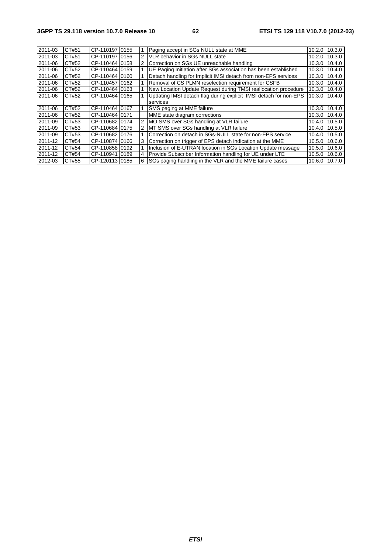| 2011-03 | CT#51 | CP-110197 0155 |                | Paging accept in SGs NULL state at MME                            | 10.2.0 10.3.0 |               |
|---------|-------|----------------|----------------|-------------------------------------------------------------------|---------------|---------------|
| 2011-03 | CT#51 | CP-110197 0156 | $\overline{2}$ | VLR behavior in SGs NULL state                                    | 10.2.0 10.3.0 |               |
| 2011-06 | CT#52 | CP-110464 0158 |                | Correction on SGs UE unreachable handling                         | 10.3.0        | 10.4.0        |
| 2011-06 | CT#52 | CP-110464 0159 |                | UE Paging Initiation after SGs association has been established   | 10.3.0        | 10.4.0        |
| 2011-06 | CT#52 | CP-110464 0160 |                | Detach handling for Implicit IMSI detach from non-EPS services    | 10.3.0 10.4.0 |               |
| 2011-06 | CT#52 | CP-11045710162 |                | Removal of CS PLMN reselection requirement for CSFB               |               | 10.3.0 10.4.0 |
| 2011-06 | CT#52 | CP-110464 0163 |                | New Location Update Request during TMSI reallocation procedure    |               | 10.3.0 10.4.0 |
| 2011-06 | CT#52 | CP-110464 0165 |                | Updating IMSI detach flag during explicit IMSI detach for non-EPS |               | 10.3.0 10.4.0 |
|         |       |                |                | services                                                          |               |               |
| 2011-06 | CT#52 | CP-110464 0167 |                | SMS paging at MME failure                                         | 10.3.0 10.4.0 |               |
| 2011-06 | CT#52 | CP-110464 0171 |                | MME state diagram corrections                                     |               | 10.3.0 10.4.0 |
| 2011-09 | CT#53 | CP-11068210174 |                | MO SMS over SGs handling at VLR failure                           |               | 10.4.0 10.5.0 |
| 2011-09 | CT#53 | CP-110684 0175 |                | MT SMS over SGs handling at VLR failure                           | 10.4.0        | 10.5.0        |
| 2011-09 | CT#53 | CP-11068210176 |                | Correction on detach in SGs-NULL state for non-EPS service        | 10.4.0        | 10.5.0        |
| 2011-12 | CT#54 | CP-110874 0166 |                | Correction on trigger of EPS detach indication at the MME         | 10.5.0        | 10.6.0        |
| 2011-12 | CT#54 | CP-11085810192 |                | Inclusion of E-UTRAN location in SGs Location Update message      | 10.5.0 10.6.0 |               |
| 2011-12 | CT#54 | CP-110941 0189 | 4              | Provide Subscriber Information handling for UE under LTE          |               | 10.5.0 10.6.0 |
| 2012-03 | CT#55 | CP-120113 0185 | 6              | SGs paging handling in the VLR and the MME failure cases          |               | 10.6.0 10.7.0 |